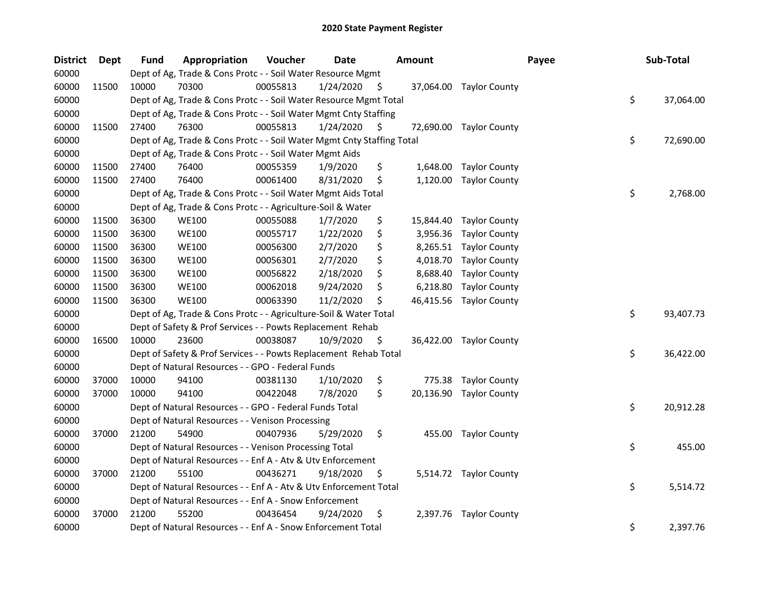| <b>District</b> | Dept  | <b>Fund</b> | Appropriation                                                          | Voucher  | <b>Date</b> |     | <b>Amount</b> |                         | Payee | Sub-Total       |
|-----------------|-------|-------------|------------------------------------------------------------------------|----------|-------------|-----|---------------|-------------------------|-------|-----------------|
| 60000           |       |             | Dept of Ag, Trade & Cons Protc - - Soil Water Resource Mgmt            |          |             |     |               |                         |       |                 |
| 60000           | 11500 | 10000       | 70300                                                                  | 00055813 | 1/24/2020   | - S |               | 37,064.00 Taylor County |       |                 |
| 60000           |       |             | Dept of Ag, Trade & Cons Protc - - Soil Water Resource Mgmt Total      |          |             |     |               |                         |       | \$<br>37,064.00 |
| 60000           |       |             | Dept of Ag, Trade & Cons Protc - - Soil Water Mgmt Cnty Staffing       |          |             |     |               |                         |       |                 |
| 60000           | 11500 | 27400       | 76300                                                                  | 00055813 | 1/24/2020   | \$. |               | 72,690.00 Taylor County |       |                 |
| 60000           |       |             | Dept of Ag, Trade & Cons Protc - - Soil Water Mgmt Cnty Staffing Total |          |             |     |               |                         |       | \$<br>72,690.00 |
| 60000           |       |             | Dept of Ag, Trade & Cons Protc - - Soil Water Mgmt Aids                |          |             |     |               |                         |       |                 |
| 60000           | 11500 | 27400       | 76400                                                                  | 00055359 | 1/9/2020    | \$  |               | 1,648.00 Taylor County  |       |                 |
| 60000           | 11500 | 27400       | 76400                                                                  | 00061400 | 8/31/2020   | \$  | 1,120.00      | <b>Taylor County</b>    |       |                 |
| 60000           |       |             | Dept of Ag, Trade & Cons Protc - - Soil Water Mgmt Aids Total          |          |             |     |               |                         |       | \$<br>2,768.00  |
| 60000           |       |             | Dept of Ag, Trade & Cons Protc - - Agriculture-Soil & Water            |          |             |     |               |                         |       |                 |
| 60000           | 11500 | 36300       | <b>WE100</b>                                                           | 00055088 | 1/7/2020    | \$  | 15,844.40     | <b>Taylor County</b>    |       |                 |
| 60000           | 11500 | 36300       | <b>WE100</b>                                                           | 00055717 | 1/22/2020   | \$  | 3,956.36      | <b>Taylor County</b>    |       |                 |
| 60000           | 11500 | 36300       | <b>WE100</b>                                                           | 00056300 | 2/7/2020    | \$  | 8,265.51      | <b>Taylor County</b>    |       |                 |
| 60000           | 11500 | 36300       | <b>WE100</b>                                                           | 00056301 | 2/7/2020    | \$  | 4,018.70      | <b>Taylor County</b>    |       |                 |
| 60000           | 11500 | 36300       | <b>WE100</b>                                                           | 00056822 | 2/18/2020   | \$  | 8,688.40      | <b>Taylor County</b>    |       |                 |
| 60000           | 11500 | 36300       | <b>WE100</b>                                                           | 00062018 | 9/24/2020   | \$  | 6,218.80      | <b>Taylor County</b>    |       |                 |
| 60000           | 11500 | 36300       | <b>WE100</b>                                                           | 00063390 | 11/2/2020   | \$  | 46,415.56     | <b>Taylor County</b>    |       |                 |
| 60000           |       |             | Dept of Ag, Trade & Cons Protc - - Agriculture-Soil & Water Total      |          |             |     |               |                         |       | \$<br>93,407.73 |
| 60000           |       |             | Dept of Safety & Prof Services - - Powts Replacement Rehab             |          |             |     |               |                         |       |                 |
| 60000           | 16500 | 10000       | 23600                                                                  | 00038087 | 10/9/2020   | \$  |               | 36,422.00 Taylor County |       |                 |
| 60000           |       |             | Dept of Safety & Prof Services - - Powts Replacement Rehab Total       |          |             |     |               |                         |       | \$<br>36,422.00 |
| 60000           |       |             | Dept of Natural Resources - - GPO - Federal Funds                      |          |             |     |               |                         |       |                 |
| 60000           | 37000 | 10000       | 94100                                                                  | 00381130 | 1/10/2020   | \$  | 775.38        | <b>Taylor County</b>    |       |                 |
| 60000           | 37000 | 10000       | 94100                                                                  | 00422048 | 7/8/2020    | \$  |               | 20,136.90 Taylor County |       |                 |
| 60000           |       |             | Dept of Natural Resources - - GPO - Federal Funds Total                |          |             |     |               |                         |       | \$<br>20,912.28 |
| 60000           |       |             | Dept of Natural Resources - - Venison Processing                       |          |             |     |               |                         |       |                 |
| 60000           | 37000 | 21200       | 54900                                                                  | 00407936 | 5/29/2020   | \$  |               | 455.00 Taylor County    |       |                 |
| 60000           |       |             | Dept of Natural Resources - - Venison Processing Total                 |          |             |     |               |                         |       | \$<br>455.00    |
| 60000           |       |             | Dept of Natural Resources - - Enf A - Atv & Utv Enforcement            |          |             |     |               |                         |       |                 |
| 60000           | 37000 | 21200       | 55100                                                                  | 00436271 | 9/18/2020   | \$  |               | 5,514.72 Taylor County  |       |                 |
| 60000           |       |             | Dept of Natural Resources - - Enf A - Atv & Utv Enforcement Total      |          |             |     |               |                         |       | \$<br>5,514.72  |
| 60000           |       |             | Dept of Natural Resources - - Enf A - Snow Enforcement                 |          |             |     |               |                         |       |                 |
| 60000           | 37000 | 21200       | 55200                                                                  | 00436454 | 9/24/2020   | \$  |               | 2,397.76 Taylor County  |       |                 |
| 60000           |       |             | Dept of Natural Resources - - Enf A - Snow Enforcement Total           |          |             |     |               |                         |       | \$<br>2,397.76  |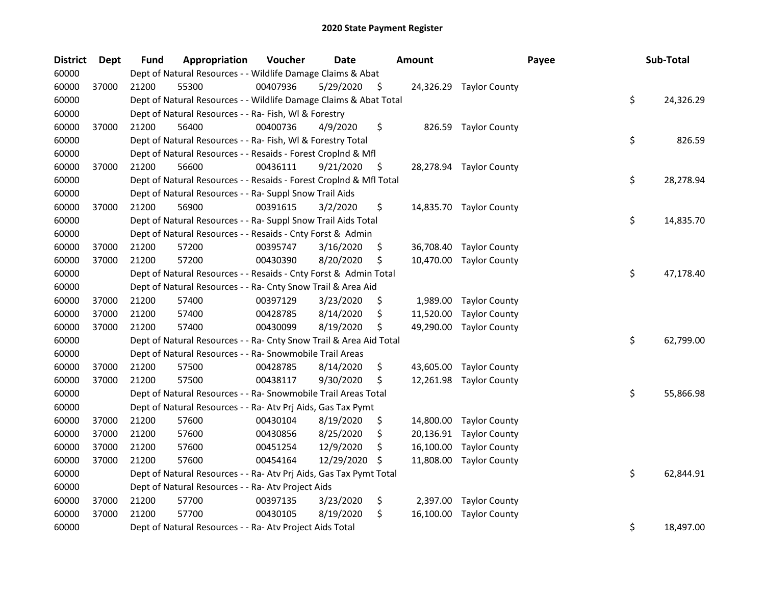| <b>District</b> | Dept  | <b>Fund</b> | Appropriation                                                      | Voucher  | <b>Date</b> |     | <b>Amount</b> |                         | Payee | Sub-Total       |
|-----------------|-------|-------------|--------------------------------------------------------------------|----------|-------------|-----|---------------|-------------------------|-------|-----------------|
| 60000           |       |             | Dept of Natural Resources - - Wildlife Damage Claims & Abat        |          |             |     |               |                         |       |                 |
| 60000           | 37000 | 21200       | 55300                                                              | 00407936 | 5/29/2020   | \$. |               | 24,326.29 Taylor County |       |                 |
| 60000           |       |             | Dept of Natural Resources - - Wildlife Damage Claims & Abat Total  |          |             |     |               |                         |       | \$<br>24,326.29 |
| 60000           |       |             | Dept of Natural Resources - - Ra- Fish, WI & Forestry              |          |             |     |               |                         |       |                 |
| 60000           | 37000 | 21200       | 56400                                                              | 00400736 | 4/9/2020    | \$  |               | 826.59 Taylor County    |       |                 |
| 60000           |       |             | Dept of Natural Resources - - Ra- Fish, WI & Forestry Total        |          |             |     |               |                         |       | \$<br>826.59    |
| 60000           |       |             | Dept of Natural Resources - - Resaids - Forest Croplnd & Mfl       |          |             |     |               |                         |       |                 |
| 60000           | 37000 | 21200       | 56600                                                              | 00436111 | 9/21/2020   | \$  |               | 28,278.94 Taylor County |       |                 |
| 60000           |       |             | Dept of Natural Resources - - Resaids - Forest CropInd & Mfl Total |          |             |     |               |                         |       | \$<br>28,278.94 |
| 60000           |       |             | Dept of Natural Resources - - Ra- Suppl Snow Trail Aids            |          |             |     |               |                         |       |                 |
| 60000           | 37000 | 21200       | 56900                                                              | 00391615 | 3/2/2020    | \$  |               | 14,835.70 Taylor County |       |                 |
| 60000           |       |             | Dept of Natural Resources - - Ra- Suppl Snow Trail Aids Total      |          |             |     |               |                         |       | \$<br>14,835.70 |
| 60000           |       |             | Dept of Natural Resources - - Resaids - Cnty Forst & Admin         |          |             |     |               |                         |       |                 |
| 60000           | 37000 | 21200       | 57200                                                              | 00395747 | 3/16/2020   | \$  | 36,708.40     | <b>Taylor County</b>    |       |                 |
| 60000           | 37000 | 21200       | 57200                                                              | 00430390 | 8/20/2020   | \$  | 10,470.00     | <b>Taylor County</b>    |       |                 |
| 60000           |       |             | Dept of Natural Resources - - Resaids - Cnty Forst & Admin Total   |          |             |     |               |                         |       | \$<br>47,178.40 |
| 60000           |       |             | Dept of Natural Resources - - Ra- Cnty Snow Trail & Area Aid       |          |             |     |               |                         |       |                 |
| 60000           | 37000 | 21200       | 57400                                                              | 00397129 | 3/23/2020   | \$  | 1,989.00      | <b>Taylor County</b>    |       |                 |
| 60000           | 37000 | 21200       | 57400                                                              | 00428785 | 8/14/2020   | \$  | 11,520.00     | <b>Taylor County</b>    |       |                 |
| 60000           | 37000 | 21200       | 57400                                                              | 00430099 | 8/19/2020   | \$  | 49,290.00     | <b>Taylor County</b>    |       |                 |
| 60000           |       |             | Dept of Natural Resources - - Ra- Cnty Snow Trail & Area Aid Total |          |             |     |               |                         |       | \$<br>62,799.00 |
| 60000           |       |             | Dept of Natural Resources - - Ra- Snowmobile Trail Areas           |          |             |     |               |                         |       |                 |
| 60000           | 37000 | 21200       | 57500                                                              | 00428785 | 8/14/2020   | \$  | 43,605.00     | <b>Taylor County</b>    |       |                 |
| 60000           | 37000 | 21200       | 57500                                                              | 00438117 | 9/30/2020   | \$  | 12,261.98     | <b>Taylor County</b>    |       |                 |
| 60000           |       |             | Dept of Natural Resources - - Ra- Snowmobile Trail Areas Total     |          |             |     |               |                         |       | \$<br>55,866.98 |
| 60000           |       |             | Dept of Natural Resources - - Ra- Atv Prj Aids, Gas Tax Pymt       |          |             |     |               |                         |       |                 |
| 60000           | 37000 | 21200       | 57600                                                              | 00430104 | 8/19/2020   | \$  | 14,800.00     | <b>Taylor County</b>    |       |                 |
| 60000           | 37000 | 21200       | 57600                                                              | 00430856 | 8/25/2020   | \$  | 20,136.91     | <b>Taylor County</b>    |       |                 |
| 60000           | 37000 | 21200       | 57600                                                              | 00451254 | 12/9/2020   | \$  | 16,100.00     | <b>Taylor County</b>    |       |                 |
| 60000           | 37000 | 21200       | 57600                                                              | 00454164 | 12/29/2020  | \$  | 11,808.00     | <b>Taylor County</b>    |       |                 |
| 60000           |       |             | Dept of Natural Resources - - Ra- Atv Prj Aids, Gas Tax Pymt Total |          |             |     |               |                         |       | \$<br>62,844.91 |
| 60000           |       |             | Dept of Natural Resources - - Ra- Atv Project Aids                 |          |             |     |               |                         |       |                 |
| 60000           | 37000 | 21200       | 57700                                                              | 00397135 | 3/23/2020   | \$  | 2,397.00      | <b>Taylor County</b>    |       |                 |
| 60000           | 37000 | 21200       | 57700                                                              | 00430105 | 8/19/2020   | \$  | 16,100.00     | <b>Taylor County</b>    |       |                 |
| 60000           |       |             | Dept of Natural Resources - - Ra- Atv Project Aids Total           |          |             |     |               |                         |       | \$<br>18,497.00 |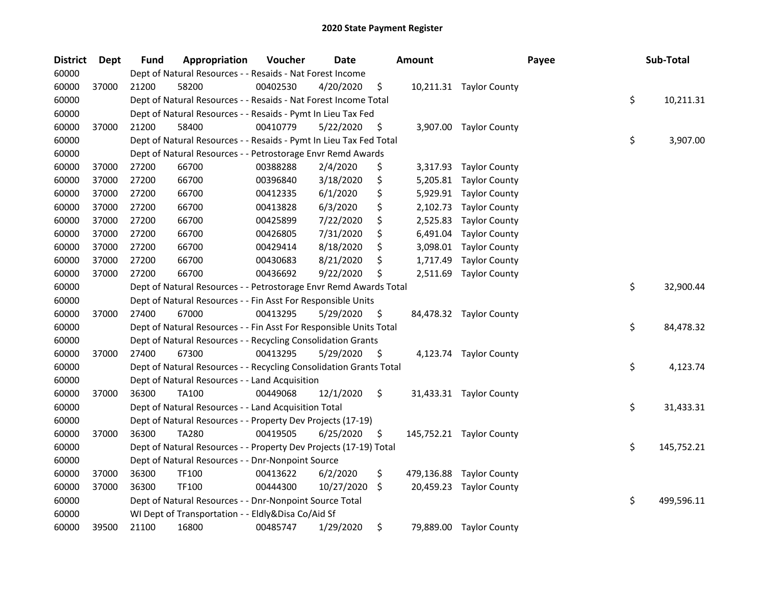| <b>District</b> | Dept  | <b>Fund</b> | Appropriation                                                      | Voucher  | <b>Date</b> |     | <b>Amount</b> |                          | Payee |    | Sub-Total  |  |
|-----------------|-------|-------------|--------------------------------------------------------------------|----------|-------------|-----|---------------|--------------------------|-------|----|------------|--|
| 60000           |       |             | Dept of Natural Resources - - Resaids - Nat Forest Income          |          |             |     |               |                          |       |    |            |  |
| 60000           | 37000 | 21200       | 58200                                                              | 00402530 | 4/20/2020   | \$  |               | 10,211.31 Taylor County  |       |    |            |  |
| 60000           |       |             | Dept of Natural Resources - - Resaids - Nat Forest Income Total    |          |             |     |               |                          |       | \$ | 10,211.31  |  |
| 60000           |       |             | Dept of Natural Resources - - Resaids - Pymt In Lieu Tax Fed       |          |             |     |               |                          |       |    |            |  |
| 60000           | 37000 | 21200       | 58400                                                              | 00410779 | 5/22/2020   | \$  |               | 3,907.00 Taylor County   |       |    |            |  |
| 60000           |       |             | Dept of Natural Resources - - Resaids - Pymt In Lieu Tax Fed Total |          |             |     |               |                          |       | \$ | 3,907.00   |  |
| 60000           |       |             | Dept of Natural Resources - - Petrostorage Envr Remd Awards        |          |             |     |               |                          |       |    |            |  |
| 60000           | 37000 | 27200       | 66700                                                              | 00388288 | 2/4/2020    | \$  |               | 3,317.93 Taylor County   |       |    |            |  |
| 60000           | 37000 | 27200       | 66700                                                              | 00396840 | 3/18/2020   | \$  |               | 5,205.81 Taylor County   |       |    |            |  |
| 60000           | 37000 | 27200       | 66700                                                              | 00412335 | 6/1/2020    | \$  |               | 5,929.91 Taylor County   |       |    |            |  |
| 60000           | 37000 | 27200       | 66700                                                              | 00413828 | 6/3/2020    | \$  | 2,102.73      | <b>Taylor County</b>     |       |    |            |  |
| 60000           | 37000 | 27200       | 66700                                                              | 00425899 | 7/22/2020   | \$  | 2,525.83      | <b>Taylor County</b>     |       |    |            |  |
| 60000           | 37000 | 27200       | 66700                                                              | 00426805 | 7/31/2020   | \$  | 6,491.04      | <b>Taylor County</b>     |       |    |            |  |
| 60000           | 37000 | 27200       | 66700                                                              | 00429414 | 8/18/2020   | \$  | 3,098.01      | <b>Taylor County</b>     |       |    |            |  |
| 60000           | 37000 | 27200       | 66700                                                              | 00430683 | 8/21/2020   | \$  | 1,717.49      | <b>Taylor County</b>     |       |    |            |  |
| 60000           | 37000 | 27200       | 66700                                                              | 00436692 | 9/22/2020   | \$  | 2,511.69      | <b>Taylor County</b>     |       |    |            |  |
| 60000           |       |             | Dept of Natural Resources - - Petrostorage Envr Remd Awards Total  |          |             |     |               |                          |       | \$ | 32,900.44  |  |
| 60000           |       |             | Dept of Natural Resources - - Fin Asst For Responsible Units       |          |             |     |               |                          |       |    |            |  |
| 60000           | 37000 | 27400       | 67000                                                              | 00413295 | 5/29/2020   | \$  |               | 84,478.32 Taylor County  |       |    |            |  |
| 60000           |       |             | Dept of Natural Resources - - Fin Asst For Responsible Units Total |          |             |     |               |                          |       | \$ | 84,478.32  |  |
| 60000           |       |             | Dept of Natural Resources - - Recycling Consolidation Grants       |          |             |     |               |                          |       |    |            |  |
| 60000           | 37000 | 27400       | 67300                                                              | 00413295 | 5/29/2020   | \$, |               | 4,123.74 Taylor County   |       |    |            |  |
| 60000           |       |             | Dept of Natural Resources - - Recycling Consolidation Grants Total |          |             |     |               |                          |       | \$ | 4,123.74   |  |
| 60000           |       |             | Dept of Natural Resources - - Land Acquisition                     |          |             |     |               |                          |       |    |            |  |
| 60000           | 37000 | 36300       | TA100                                                              | 00449068 | 12/1/2020   | \$  |               | 31,433.31 Taylor County  |       |    |            |  |
| 60000           |       |             | Dept of Natural Resources - - Land Acquisition Total               |          |             |     |               |                          |       | \$ | 31,433.31  |  |
| 60000           |       |             | Dept of Natural Resources - - Property Dev Projects (17-19)        |          |             |     |               |                          |       |    |            |  |
| 60000           | 37000 | 36300       | <b>TA280</b>                                                       | 00419505 | 6/25/2020   | \$  |               | 145,752.21 Taylor County |       |    |            |  |
| 60000           |       |             | Dept of Natural Resources - - Property Dev Projects (17-19) Total  |          |             |     |               |                          |       | \$ | 145,752.21 |  |
| 60000           |       |             | Dept of Natural Resources - - Dnr-Nonpoint Source                  |          |             |     |               |                          |       |    |            |  |
| 60000           | 37000 | 36300       | <b>TF100</b>                                                       | 00413622 | 6/2/2020    | \$  | 479,136.88    | <b>Taylor County</b>     |       |    |            |  |
| 60000           | 37000 | 36300       | TF100                                                              | 00444300 | 10/27/2020  | \$  |               | 20,459.23 Taylor County  |       |    |            |  |
| 60000           |       |             | Dept of Natural Resources - - Dnr-Nonpoint Source Total            |          |             |     |               |                          |       | \$ | 499,596.11 |  |
| 60000           |       |             | WI Dept of Transportation - - Eldly&Disa Co/Aid Sf                 |          |             |     |               |                          |       |    |            |  |
| 60000           | 39500 | 21100       | 16800                                                              | 00485747 | 1/29/2020   | \$  |               | 79,889.00 Taylor County  |       |    |            |  |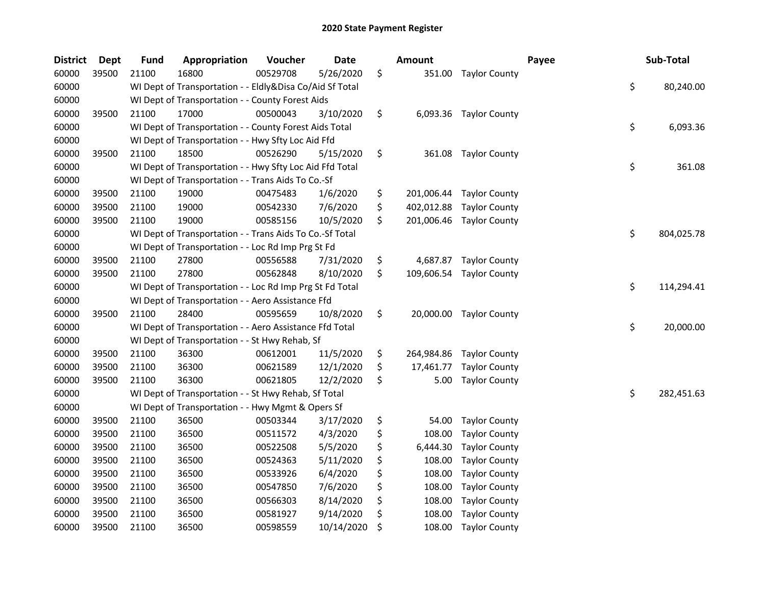| <b>District</b> | <b>Dept</b> | <b>Fund</b> | Appropriation                                            | Voucher  | Date       | <b>Amount</b>    |                        | Payee | Sub-Total        |
|-----------------|-------------|-------------|----------------------------------------------------------|----------|------------|------------------|------------------------|-------|------------------|
| 60000           | 39500       | 21100       | 16800                                                    | 00529708 | 5/26/2020  | \$<br>351.00     | <b>Taylor County</b>   |       |                  |
| 60000           |             |             | WI Dept of Transportation - - Eldly&Disa Co/Aid Sf Total |          |            |                  |                        |       | \$<br>80,240.00  |
| 60000           |             |             | WI Dept of Transportation - - County Forest Aids         |          |            |                  |                        |       |                  |
| 60000           | 39500       | 21100       | 17000                                                    | 00500043 | 3/10/2020  | \$               | 6,093.36 Taylor County |       |                  |
| 60000           |             |             | WI Dept of Transportation - - County Forest Aids Total   |          |            |                  |                        |       | \$<br>6,093.36   |
| 60000           |             |             | WI Dept of Transportation - - Hwy Sfty Loc Aid Ffd       |          |            |                  |                        |       |                  |
| 60000           | 39500       | 21100       | 18500                                                    | 00526290 | 5/15/2020  | \$<br>361.08     | <b>Taylor County</b>   |       |                  |
| 60000           |             |             | WI Dept of Transportation - - Hwy Sfty Loc Aid Ffd Total |          |            |                  |                        |       | \$<br>361.08     |
| 60000           |             |             | WI Dept of Transportation - - Trans Aids To Co.-Sf       |          |            |                  |                        |       |                  |
| 60000           | 39500       | 21100       | 19000                                                    | 00475483 | 1/6/2020   | \$<br>201,006.44 | <b>Taylor County</b>   |       |                  |
| 60000           | 39500       | 21100       | 19000                                                    | 00542330 | 7/6/2020   | \$<br>402,012.88 | <b>Taylor County</b>   |       |                  |
| 60000           | 39500       | 21100       | 19000                                                    | 00585156 | 10/5/2020  | \$<br>201,006.46 | <b>Taylor County</b>   |       |                  |
| 60000           |             |             | WI Dept of Transportation - - Trans Aids To Co.-Sf Total |          |            |                  |                        |       | \$<br>804,025.78 |
| 60000           |             |             | WI Dept of Transportation - - Loc Rd Imp Prg St Fd       |          |            |                  |                        |       |                  |
| 60000           | 39500       | 21100       | 27800                                                    | 00556588 | 7/31/2020  | \$<br>4,687.87   | <b>Taylor County</b>   |       |                  |
| 60000           | 39500       | 21100       | 27800                                                    | 00562848 | 8/10/2020  | \$<br>109,606.54 | <b>Taylor County</b>   |       |                  |
| 60000           |             |             | WI Dept of Transportation - - Loc Rd Imp Prg St Fd Total |          |            |                  |                        |       | \$<br>114,294.41 |
| 60000           |             |             | WI Dept of Transportation - - Aero Assistance Ffd        |          |            |                  |                        |       |                  |
| 60000           | 39500       | 21100       | 28400                                                    | 00595659 | 10/8/2020  | \$<br>20,000.00  | <b>Taylor County</b>   |       |                  |
| 60000           |             |             | WI Dept of Transportation - - Aero Assistance Ffd Total  |          |            |                  |                        |       | \$<br>20,000.00  |
| 60000           |             |             | WI Dept of Transportation - - St Hwy Rehab, Sf           |          |            |                  |                        |       |                  |
| 60000           | 39500       | 21100       | 36300                                                    | 00612001 | 11/5/2020  | \$<br>264,984.86 | <b>Taylor County</b>   |       |                  |
| 60000           | 39500       | 21100       | 36300                                                    | 00621589 | 12/1/2020  | \$<br>17,461.77  | <b>Taylor County</b>   |       |                  |
| 60000           | 39500       | 21100       | 36300                                                    | 00621805 | 12/2/2020  | \$<br>5.00       | <b>Taylor County</b>   |       |                  |
| 60000           |             |             | WI Dept of Transportation - - St Hwy Rehab, Sf Total     |          |            |                  |                        |       | \$<br>282,451.63 |
| 60000           |             |             | WI Dept of Transportation - - Hwy Mgmt & Opers Sf        |          |            |                  |                        |       |                  |
| 60000           | 39500       | 21100       | 36500                                                    | 00503344 | 3/17/2020  | \$<br>54.00      | <b>Taylor County</b>   |       |                  |
| 60000           | 39500       | 21100       | 36500                                                    | 00511572 | 4/3/2020   | \$<br>108.00     | <b>Taylor County</b>   |       |                  |
| 60000           | 39500       | 21100       | 36500                                                    | 00522508 | 5/5/2020   | \$<br>6,444.30   | <b>Taylor County</b>   |       |                  |
| 60000           | 39500       | 21100       | 36500                                                    | 00524363 | 5/11/2020  | \$<br>108.00     | <b>Taylor County</b>   |       |                  |
| 60000           | 39500       | 21100       | 36500                                                    | 00533926 | 6/4/2020   | \$<br>108.00     | <b>Taylor County</b>   |       |                  |
| 60000           | 39500       | 21100       | 36500                                                    | 00547850 | 7/6/2020   | \$<br>108.00     | <b>Taylor County</b>   |       |                  |
| 60000           | 39500       | 21100       | 36500                                                    | 00566303 | 8/14/2020  | \$<br>108.00     | <b>Taylor County</b>   |       |                  |
| 60000           | 39500       | 21100       | 36500                                                    | 00581927 | 9/14/2020  | \$<br>108.00     | <b>Taylor County</b>   |       |                  |
| 60000           | 39500       | 21100       | 36500                                                    | 00598559 | 10/14/2020 | \$<br>108.00     | <b>Taylor County</b>   |       |                  |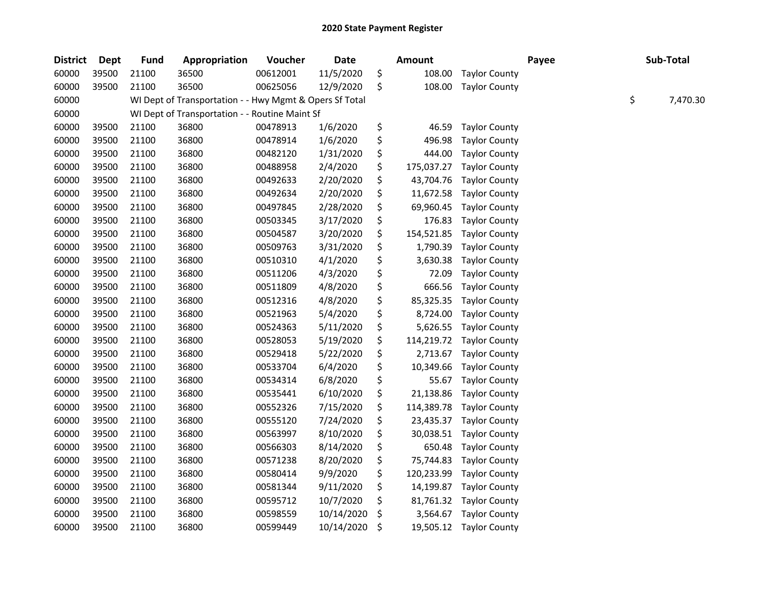| <b>District</b> | <b>Dept</b> | <b>Fund</b> | Appropriation                                           | Voucher  | Date       | <b>Amount</b>    |                      | Payee | Sub-Total      |
|-----------------|-------------|-------------|---------------------------------------------------------|----------|------------|------------------|----------------------|-------|----------------|
| 60000           | 39500       | 21100       | 36500                                                   | 00612001 | 11/5/2020  | \$<br>108.00     | <b>Taylor County</b> |       |                |
| 60000           | 39500       | 21100       | 36500                                                   | 00625056 | 12/9/2020  | \$<br>108.00     | <b>Taylor County</b> |       |                |
| 60000           |             |             | WI Dept of Transportation - - Hwy Mgmt & Opers Sf Total |          |            |                  |                      |       | \$<br>7,470.30 |
| 60000           |             |             | WI Dept of Transportation - - Routine Maint Sf          |          |            |                  |                      |       |                |
| 60000           | 39500       | 21100       | 36800                                                   | 00478913 | 1/6/2020   | \$<br>46.59      | <b>Taylor County</b> |       |                |
| 60000           | 39500       | 21100       | 36800                                                   | 00478914 | 1/6/2020   | \$<br>496.98     | <b>Taylor County</b> |       |                |
| 60000           | 39500       | 21100       | 36800                                                   | 00482120 | 1/31/2020  | \$<br>444.00     | <b>Taylor County</b> |       |                |
| 60000           | 39500       | 21100       | 36800                                                   | 00488958 | 2/4/2020   | \$<br>175,037.27 | <b>Taylor County</b> |       |                |
| 60000           | 39500       | 21100       | 36800                                                   | 00492633 | 2/20/2020  | \$<br>43,704.76  | <b>Taylor County</b> |       |                |
| 60000           | 39500       | 21100       | 36800                                                   | 00492634 | 2/20/2020  | \$<br>11,672.58  | <b>Taylor County</b> |       |                |
| 60000           | 39500       | 21100       | 36800                                                   | 00497845 | 2/28/2020  | \$<br>69,960.45  | <b>Taylor County</b> |       |                |
| 60000           | 39500       | 21100       | 36800                                                   | 00503345 | 3/17/2020  | \$<br>176.83     | <b>Taylor County</b> |       |                |
| 60000           | 39500       | 21100       | 36800                                                   | 00504587 | 3/20/2020  | \$<br>154,521.85 | <b>Taylor County</b> |       |                |
| 60000           | 39500       | 21100       | 36800                                                   | 00509763 | 3/31/2020  | \$<br>1,790.39   | <b>Taylor County</b> |       |                |
| 60000           | 39500       | 21100       | 36800                                                   | 00510310 | 4/1/2020   | \$<br>3,630.38   | <b>Taylor County</b> |       |                |
| 60000           | 39500       | 21100       | 36800                                                   | 00511206 | 4/3/2020   | \$<br>72.09      | <b>Taylor County</b> |       |                |
| 60000           | 39500       | 21100       | 36800                                                   | 00511809 | 4/8/2020   | \$<br>666.56     | <b>Taylor County</b> |       |                |
| 60000           | 39500       | 21100       | 36800                                                   | 00512316 | 4/8/2020   | \$<br>85,325.35  | <b>Taylor County</b> |       |                |
| 60000           | 39500       | 21100       | 36800                                                   | 00521963 | 5/4/2020   | \$<br>8,724.00   | <b>Taylor County</b> |       |                |
| 60000           | 39500       | 21100       | 36800                                                   | 00524363 | 5/11/2020  | \$<br>5,626.55   | <b>Taylor County</b> |       |                |
| 60000           | 39500       | 21100       | 36800                                                   | 00528053 | 5/19/2020  | \$<br>114,219.72 | <b>Taylor County</b> |       |                |
| 60000           | 39500       | 21100       | 36800                                                   | 00529418 | 5/22/2020  | \$<br>2,713.67   | <b>Taylor County</b> |       |                |
| 60000           | 39500       | 21100       | 36800                                                   | 00533704 | 6/4/2020   | \$<br>10,349.66  | <b>Taylor County</b> |       |                |
| 60000           | 39500       | 21100       | 36800                                                   | 00534314 | 6/8/2020   | \$<br>55.67      | <b>Taylor County</b> |       |                |
| 60000           | 39500       | 21100       | 36800                                                   | 00535441 | 6/10/2020  | \$<br>21,138.86  | <b>Taylor County</b> |       |                |
| 60000           | 39500       | 21100       | 36800                                                   | 00552326 | 7/15/2020  | \$<br>114,389.78 | <b>Taylor County</b> |       |                |
| 60000           | 39500       | 21100       | 36800                                                   | 00555120 | 7/24/2020  | \$<br>23,435.37  | <b>Taylor County</b> |       |                |
| 60000           | 39500       | 21100       | 36800                                                   | 00563997 | 8/10/2020  | \$<br>30,038.51  | <b>Taylor County</b> |       |                |
| 60000           | 39500       | 21100       | 36800                                                   | 00566303 | 8/14/2020  | \$<br>650.48     | <b>Taylor County</b> |       |                |
| 60000           | 39500       | 21100       | 36800                                                   | 00571238 | 8/20/2020  | \$<br>75,744.83  | <b>Taylor County</b> |       |                |
| 60000           | 39500       | 21100       | 36800                                                   | 00580414 | 9/9/2020   | \$<br>120,233.99 | <b>Taylor County</b> |       |                |
| 60000           | 39500       | 21100       | 36800                                                   | 00581344 | 9/11/2020  | \$<br>14,199.87  | <b>Taylor County</b> |       |                |
| 60000           | 39500       | 21100       | 36800                                                   | 00595712 | 10/7/2020  | \$<br>81,761.32  | <b>Taylor County</b> |       |                |
| 60000           | 39500       | 21100       | 36800                                                   | 00598559 | 10/14/2020 | \$<br>3,564.67   | <b>Taylor County</b> |       |                |
| 60000           | 39500       | 21100       | 36800                                                   | 00599449 | 10/14/2020 | \$<br>19,505.12  | <b>Taylor County</b> |       |                |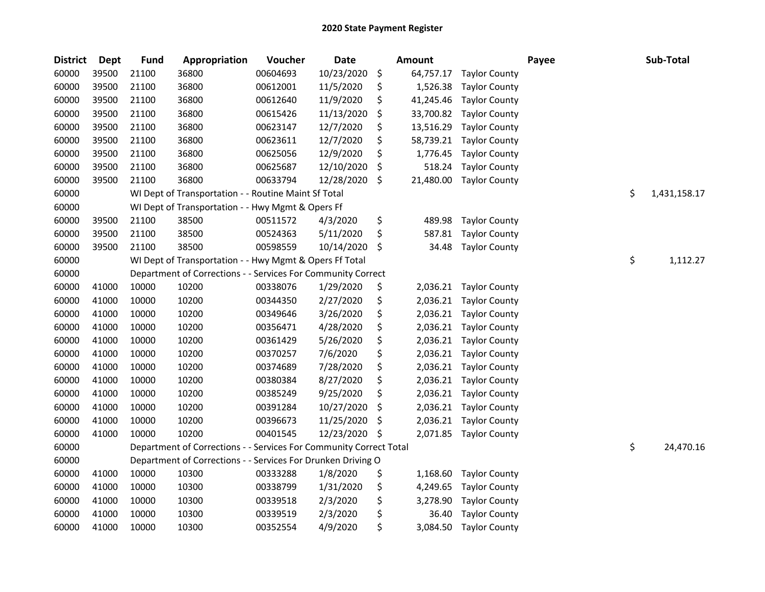| <b>District</b> | <b>Dept</b> | <b>Fund</b> | Appropriation                                                      | Voucher  | <b>Date</b> | <b>Amount</b>   |                      | Payee | Sub-Total          |
|-----------------|-------------|-------------|--------------------------------------------------------------------|----------|-------------|-----------------|----------------------|-------|--------------------|
| 60000           | 39500       | 21100       | 36800                                                              | 00604693 | 10/23/2020  | \$<br>64,757.17 | <b>Taylor County</b> |       |                    |
| 60000           | 39500       | 21100       | 36800                                                              | 00612001 | 11/5/2020   | \$<br>1,526.38  | <b>Taylor County</b> |       |                    |
| 60000           | 39500       | 21100       | 36800                                                              | 00612640 | 11/9/2020   | \$<br>41,245.46 | <b>Taylor County</b> |       |                    |
| 60000           | 39500       | 21100       | 36800                                                              | 00615426 | 11/13/2020  | \$<br>33,700.82 | <b>Taylor County</b> |       |                    |
| 60000           | 39500       | 21100       | 36800                                                              | 00623147 | 12/7/2020   | \$<br>13,516.29 | <b>Taylor County</b> |       |                    |
| 60000           | 39500       | 21100       | 36800                                                              | 00623611 | 12/7/2020   | \$<br>58,739.21 | <b>Taylor County</b> |       |                    |
| 60000           | 39500       | 21100       | 36800                                                              | 00625056 | 12/9/2020   | \$<br>1,776.45  | <b>Taylor County</b> |       |                    |
| 60000           | 39500       | 21100       | 36800                                                              | 00625687 | 12/10/2020  | \$<br>518.24    | <b>Taylor County</b> |       |                    |
| 60000           | 39500       | 21100       | 36800                                                              | 00633794 | 12/28/2020  | \$<br>21,480.00 | <b>Taylor County</b> |       |                    |
| 60000           |             |             | WI Dept of Transportation - - Routine Maint Sf Total               |          |             |                 |                      |       | \$<br>1,431,158.17 |
| 60000           |             |             | WI Dept of Transportation - - Hwy Mgmt & Opers Ff                  |          |             |                 |                      |       |                    |
| 60000           | 39500       | 21100       | 38500                                                              | 00511572 | 4/3/2020    | \$<br>489.98    | <b>Taylor County</b> |       |                    |
| 60000           | 39500       | 21100       | 38500                                                              | 00524363 | 5/11/2020   | \$<br>587.81    | <b>Taylor County</b> |       |                    |
| 60000           | 39500       | 21100       | 38500                                                              | 00598559 | 10/14/2020  | \$<br>34.48     | <b>Taylor County</b> |       |                    |
| 60000           |             |             | WI Dept of Transportation - - Hwy Mgmt & Opers Ff Total            |          |             |                 |                      |       | \$<br>1,112.27     |
| 60000           |             |             | Department of Corrections - - Services For Community Correct       |          |             |                 |                      |       |                    |
| 60000           | 41000       | 10000       | 10200                                                              | 00338076 | 1/29/2020   | \$<br>2,036.21  | <b>Taylor County</b> |       |                    |
| 60000           | 41000       | 10000       | 10200                                                              | 00344350 | 2/27/2020   | \$<br>2,036.21  | <b>Taylor County</b> |       |                    |
| 60000           | 41000       | 10000       | 10200                                                              | 00349646 | 3/26/2020   | \$<br>2,036.21  | <b>Taylor County</b> |       |                    |
| 60000           | 41000       | 10000       | 10200                                                              | 00356471 | 4/28/2020   | \$<br>2,036.21  | <b>Taylor County</b> |       |                    |
| 60000           | 41000       | 10000       | 10200                                                              | 00361429 | 5/26/2020   | \$<br>2,036.21  | <b>Taylor County</b> |       |                    |
| 60000           | 41000       | 10000       | 10200                                                              | 00370257 | 7/6/2020    | \$<br>2,036.21  | <b>Taylor County</b> |       |                    |
| 60000           | 41000       | 10000       | 10200                                                              | 00374689 | 7/28/2020   | \$<br>2,036.21  | <b>Taylor County</b> |       |                    |
| 60000           | 41000       | 10000       | 10200                                                              | 00380384 | 8/27/2020   | \$<br>2,036.21  | <b>Taylor County</b> |       |                    |
| 60000           | 41000       | 10000       | 10200                                                              | 00385249 | 9/25/2020   | \$<br>2,036.21  | <b>Taylor County</b> |       |                    |
| 60000           | 41000       | 10000       | 10200                                                              | 00391284 | 10/27/2020  | \$<br>2,036.21  | <b>Taylor County</b> |       |                    |
| 60000           | 41000       | 10000       | 10200                                                              | 00396673 | 11/25/2020  | \$<br>2,036.21  | <b>Taylor County</b> |       |                    |
| 60000           | 41000       | 10000       | 10200                                                              | 00401545 | 12/23/2020  | \$<br>2,071.85  | <b>Taylor County</b> |       |                    |
| 60000           |             |             | Department of Corrections - - Services For Community Correct Total |          |             |                 |                      |       | \$<br>24,470.16    |
| 60000           |             |             | Department of Corrections - - Services For Drunken Driving O       |          |             |                 |                      |       |                    |
| 60000           | 41000       | 10000       | 10300                                                              | 00333288 | 1/8/2020    | \$<br>1,168.60  | <b>Taylor County</b> |       |                    |
| 60000           | 41000       | 10000       | 10300                                                              | 00338799 | 1/31/2020   | \$<br>4,249.65  | <b>Taylor County</b> |       |                    |
| 60000           | 41000       | 10000       | 10300                                                              | 00339518 | 2/3/2020    | \$<br>3,278.90  | <b>Taylor County</b> |       |                    |
| 60000           | 41000       | 10000       | 10300                                                              | 00339519 | 2/3/2020    | \$<br>36.40     | <b>Taylor County</b> |       |                    |
| 60000           | 41000       | 10000       | 10300                                                              | 00352554 | 4/9/2020    | \$<br>3,084.50  | <b>Taylor County</b> |       |                    |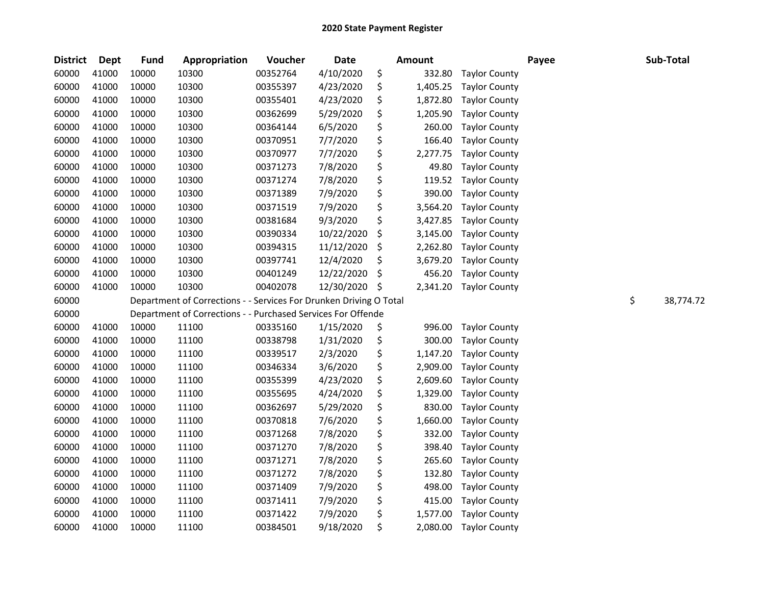| <b>District</b> | Dept  | <b>Fund</b> | Appropriation                                                      | Voucher  | Date       | <b>Amount</b>  |                      | Payee | Sub-Total       |
|-----------------|-------|-------------|--------------------------------------------------------------------|----------|------------|----------------|----------------------|-------|-----------------|
| 60000           | 41000 | 10000       | 10300                                                              | 00352764 | 4/10/2020  | \$<br>332.80   | <b>Taylor County</b> |       |                 |
| 60000           | 41000 | 10000       | 10300                                                              | 00355397 | 4/23/2020  | \$<br>1,405.25 | <b>Taylor County</b> |       |                 |
| 60000           | 41000 | 10000       | 10300                                                              | 00355401 | 4/23/2020  | \$<br>1,872.80 | <b>Taylor County</b> |       |                 |
| 60000           | 41000 | 10000       | 10300                                                              | 00362699 | 5/29/2020  | \$<br>1,205.90 | <b>Taylor County</b> |       |                 |
| 60000           | 41000 | 10000       | 10300                                                              | 00364144 | 6/5/2020   | \$<br>260.00   | <b>Taylor County</b> |       |                 |
| 60000           | 41000 | 10000       | 10300                                                              | 00370951 | 7/7/2020   | \$<br>166.40   | <b>Taylor County</b> |       |                 |
| 60000           | 41000 | 10000       | 10300                                                              | 00370977 | 7/7/2020   | \$<br>2,277.75 | <b>Taylor County</b> |       |                 |
| 60000           | 41000 | 10000       | 10300                                                              | 00371273 | 7/8/2020   | \$<br>49.80    | <b>Taylor County</b> |       |                 |
| 60000           | 41000 | 10000       | 10300                                                              | 00371274 | 7/8/2020   | \$<br>119.52   | <b>Taylor County</b> |       |                 |
| 60000           | 41000 | 10000       | 10300                                                              | 00371389 | 7/9/2020   | \$<br>390.00   | <b>Taylor County</b> |       |                 |
| 60000           | 41000 | 10000       | 10300                                                              | 00371519 | 7/9/2020   | \$<br>3,564.20 | <b>Taylor County</b> |       |                 |
| 60000           | 41000 | 10000       | 10300                                                              | 00381684 | 9/3/2020   | \$<br>3,427.85 | <b>Taylor County</b> |       |                 |
| 60000           | 41000 | 10000       | 10300                                                              | 00390334 | 10/22/2020 | \$<br>3,145.00 | <b>Taylor County</b> |       |                 |
| 60000           | 41000 | 10000       | 10300                                                              | 00394315 | 11/12/2020 | \$<br>2,262.80 | <b>Taylor County</b> |       |                 |
| 60000           | 41000 | 10000       | 10300                                                              | 00397741 | 12/4/2020  | \$<br>3,679.20 | <b>Taylor County</b> |       |                 |
| 60000           | 41000 | 10000       | 10300                                                              | 00401249 | 12/22/2020 | \$<br>456.20   | <b>Taylor County</b> |       |                 |
| 60000           | 41000 | 10000       | 10300                                                              | 00402078 | 12/30/2020 | \$<br>2,341.20 | <b>Taylor County</b> |       |                 |
| 60000           |       |             | Department of Corrections - - Services For Drunken Driving O Total |          |            |                |                      |       | \$<br>38,774.72 |
| 60000           |       |             | Department of Corrections - - Purchased Services For Offende       |          |            |                |                      |       |                 |
| 60000           | 41000 | 10000       | 11100                                                              | 00335160 | 1/15/2020  | \$<br>996.00   | <b>Taylor County</b> |       |                 |
| 60000           | 41000 | 10000       | 11100                                                              | 00338798 | 1/31/2020  | \$<br>300.00   | <b>Taylor County</b> |       |                 |
| 60000           | 41000 | 10000       | 11100                                                              | 00339517 | 2/3/2020   | \$<br>1,147.20 | <b>Taylor County</b> |       |                 |
| 60000           | 41000 | 10000       | 11100                                                              | 00346334 | 3/6/2020   | \$<br>2,909.00 | <b>Taylor County</b> |       |                 |
| 60000           | 41000 | 10000       | 11100                                                              | 00355399 | 4/23/2020  | \$<br>2,609.60 | <b>Taylor County</b> |       |                 |
| 60000           | 41000 | 10000       | 11100                                                              | 00355695 | 4/24/2020  | \$<br>1,329.00 | <b>Taylor County</b> |       |                 |
| 60000           | 41000 | 10000       | 11100                                                              | 00362697 | 5/29/2020  | \$<br>830.00   | <b>Taylor County</b> |       |                 |
| 60000           | 41000 | 10000       | 11100                                                              | 00370818 | 7/6/2020   | \$<br>1,660.00 | <b>Taylor County</b> |       |                 |
| 60000           | 41000 | 10000       | 11100                                                              | 00371268 | 7/8/2020   | \$<br>332.00   | <b>Taylor County</b> |       |                 |
| 60000           | 41000 | 10000       | 11100                                                              | 00371270 | 7/8/2020   | \$<br>398.40   | <b>Taylor County</b> |       |                 |
| 60000           | 41000 | 10000       | 11100                                                              | 00371271 | 7/8/2020   | \$<br>265.60   | <b>Taylor County</b> |       |                 |
| 60000           | 41000 | 10000       | 11100                                                              | 00371272 | 7/8/2020   | \$<br>132.80   | <b>Taylor County</b> |       |                 |
| 60000           | 41000 | 10000       | 11100                                                              | 00371409 | 7/9/2020   | \$<br>498.00   | <b>Taylor County</b> |       |                 |
| 60000           | 41000 | 10000       | 11100                                                              | 00371411 | 7/9/2020   | \$<br>415.00   | <b>Taylor County</b> |       |                 |
| 60000           | 41000 | 10000       | 11100                                                              | 00371422 | 7/9/2020   | \$<br>1,577.00 | <b>Taylor County</b> |       |                 |
| 60000           | 41000 | 10000       | 11100                                                              | 00384501 | 9/18/2020  | \$<br>2,080.00 | <b>Taylor County</b> |       |                 |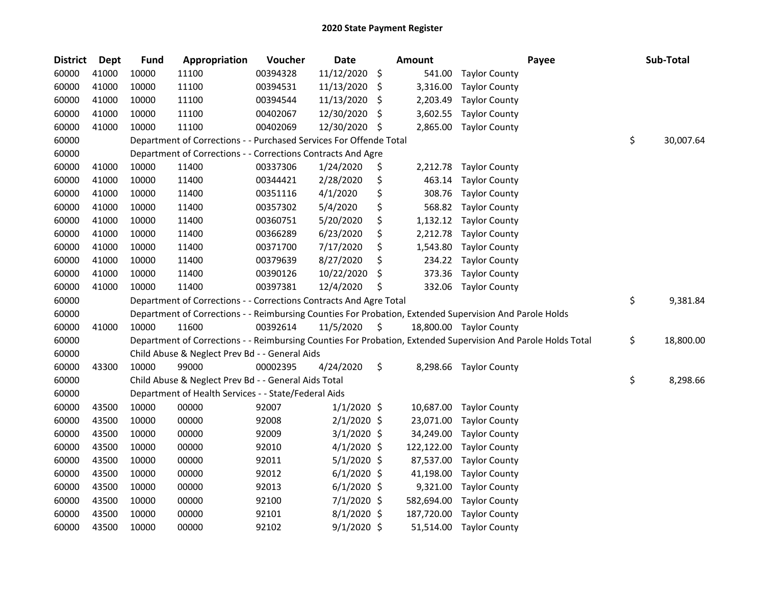| <b>District</b> | <b>Dept</b> | <b>Fund</b> | Appropriation                                                      | Voucher  | <b>Date</b>   |     | Amount     | Payee                                                                                                         | Sub-Total       |
|-----------------|-------------|-------------|--------------------------------------------------------------------|----------|---------------|-----|------------|---------------------------------------------------------------------------------------------------------------|-----------------|
| 60000           | 41000       | 10000       | 11100                                                              | 00394328 | 11/12/2020    | \$  | 541.00     | <b>Taylor County</b>                                                                                          |                 |
| 60000           | 41000       | 10000       | 11100                                                              | 00394531 | 11/13/2020    | \$, | 3,316.00   | <b>Taylor County</b>                                                                                          |                 |
| 60000           | 41000       | 10000       | 11100                                                              | 00394544 | 11/13/2020    | \$  | 2,203.49   | <b>Taylor County</b>                                                                                          |                 |
| 60000           | 41000       | 10000       | 11100                                                              | 00402067 | 12/30/2020    | S   | 3,602.55   | <b>Taylor County</b>                                                                                          |                 |
| 60000           | 41000       | 10000       | 11100                                                              | 00402069 | 12/30/2020    | \$  | 2,865.00   | <b>Taylor County</b>                                                                                          |                 |
| 60000           |             |             | Department of Corrections - - Purchased Services For Offende Total |          |               |     |            |                                                                                                               | \$<br>30,007.64 |
| 60000           |             |             | Department of Corrections - - Corrections Contracts And Agre       |          |               |     |            |                                                                                                               |                 |
| 60000           | 41000       | 10000       | 11400                                                              | 00337306 | 1/24/2020     | \$  | 2,212.78   | <b>Taylor County</b>                                                                                          |                 |
| 60000           | 41000       | 10000       | 11400                                                              | 00344421 | 2/28/2020     | \$  | 463.14     | <b>Taylor County</b>                                                                                          |                 |
| 60000           | 41000       | 10000       | 11400                                                              | 00351116 | 4/1/2020      | \$  | 308.76     | <b>Taylor County</b>                                                                                          |                 |
| 60000           | 41000       | 10000       | 11400                                                              | 00357302 | 5/4/2020      | \$  | 568.82     | <b>Taylor County</b>                                                                                          |                 |
| 60000           | 41000       | 10000       | 11400                                                              | 00360751 | 5/20/2020     | \$  | 1,132.12   | <b>Taylor County</b>                                                                                          |                 |
| 60000           | 41000       | 10000       | 11400                                                              | 00366289 | 6/23/2020     | \$  | 2,212.78   | <b>Taylor County</b>                                                                                          |                 |
| 60000           | 41000       | 10000       | 11400                                                              | 00371700 | 7/17/2020     | \$  | 1,543.80   | <b>Taylor County</b>                                                                                          |                 |
| 60000           | 41000       | 10000       | 11400                                                              | 00379639 | 8/27/2020     | \$  | 234.22     | <b>Taylor County</b>                                                                                          |                 |
| 60000           | 41000       | 10000       | 11400                                                              | 00390126 | 10/22/2020    | \$  | 373.36     | <b>Taylor County</b>                                                                                          |                 |
| 60000           | 41000       | 10000       | 11400                                                              | 00397381 | 12/4/2020     | \$  | 332.06     | <b>Taylor County</b>                                                                                          |                 |
| 60000           |             |             | Department of Corrections - - Corrections Contracts And Agre Total |          |               |     |            |                                                                                                               | \$<br>9,381.84  |
| 60000           |             |             |                                                                    |          |               |     |            | Department of Corrections - - Reimbursing Counties For Probation, Extended Supervision And Parole Holds       |                 |
| 60000           | 41000       | 10000       | 11600                                                              | 00392614 | 11/5/2020     | \$  |            | 18,800.00 Taylor County                                                                                       |                 |
| 60000           |             |             |                                                                    |          |               |     |            | Department of Corrections - - Reimbursing Counties For Probation, Extended Supervision And Parole Holds Total | \$<br>18,800.00 |
| 60000           |             |             | Child Abuse & Neglect Prev Bd - - General Aids                     |          |               |     |            |                                                                                                               |                 |
| 60000           | 43300       | 10000       | 99000                                                              | 00002395 | 4/24/2020     | \$  |            | 8,298.66 Taylor County                                                                                        |                 |
| 60000           |             |             | Child Abuse & Neglect Prev Bd - - General Aids Total               |          |               |     |            |                                                                                                               | \$<br>8,298.66  |
| 60000           |             |             | Department of Health Services - - State/Federal Aids               |          |               |     |            |                                                                                                               |                 |
| 60000           | 43500       | 10000       | 00000                                                              | 92007    | $1/1/2020$ \$ |     | 10,687.00  | <b>Taylor County</b>                                                                                          |                 |
| 60000           | 43500       | 10000       | 00000                                                              | 92008    | $2/1/2020$ \$ |     | 23,071.00  | <b>Taylor County</b>                                                                                          |                 |
| 60000           | 43500       | 10000       | 00000                                                              | 92009    | $3/1/2020$ \$ |     | 34,249.00  | <b>Taylor County</b>                                                                                          |                 |
| 60000           | 43500       | 10000       | 00000                                                              | 92010    | $4/1/2020$ \$ |     | 122,122.00 | <b>Taylor County</b>                                                                                          |                 |
| 60000           | 43500       | 10000       | 00000                                                              | 92011    | $5/1/2020$ \$ |     | 87,537.00  | <b>Taylor County</b>                                                                                          |                 |
| 60000           | 43500       | 10000       | 00000                                                              | 92012    | $6/1/2020$ \$ |     | 41,198.00  | <b>Taylor County</b>                                                                                          |                 |
| 60000           | 43500       | 10000       | 00000                                                              | 92013    | $6/1/2020$ \$ |     | 9,321.00   | <b>Taylor County</b>                                                                                          |                 |
| 60000           | 43500       | 10000       | 00000                                                              | 92100    | 7/1/2020 \$   |     | 582,694.00 | <b>Taylor County</b>                                                                                          |                 |
| 60000           | 43500       | 10000       | 00000                                                              | 92101    | $8/1/2020$ \$ |     | 187,720.00 | <b>Taylor County</b>                                                                                          |                 |
| 60000           | 43500       | 10000       | 00000                                                              | 92102    | $9/1/2020$ \$ |     | 51,514.00  | <b>Taylor County</b>                                                                                          |                 |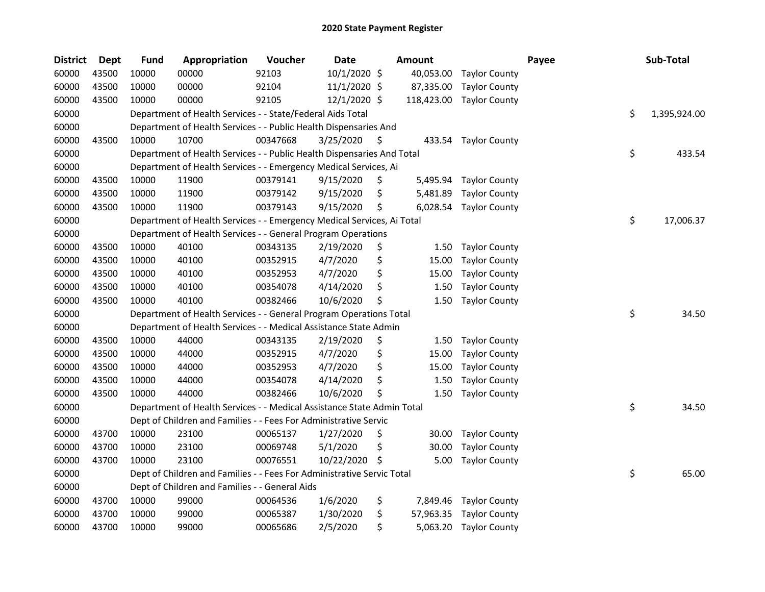| <b>District</b> | <b>Dept</b> | <b>Fund</b> | Appropriation                                                          | Voucher  | <b>Date</b>    | <b>Amount</b>   |                      | Payee | Sub-Total          |
|-----------------|-------------|-------------|------------------------------------------------------------------------|----------|----------------|-----------------|----------------------|-------|--------------------|
| 60000           | 43500       | 10000       | 00000                                                                  | 92103    | 10/1/2020 \$   | 40,053.00       | <b>Taylor County</b> |       |                    |
| 60000           | 43500       | 10000       | 00000                                                                  | 92104    | $11/1/2020$ \$ | 87,335.00       | <b>Taylor County</b> |       |                    |
| 60000           | 43500       | 10000       | 00000                                                                  | 92105    | 12/1/2020 \$   | 118,423.00      | <b>Taylor County</b> |       |                    |
| 60000           |             |             | Department of Health Services - - State/Federal Aids Total             |          |                |                 |                      |       | \$<br>1,395,924.00 |
| 60000           |             |             | Department of Health Services - - Public Health Dispensaries And       |          |                |                 |                      |       |                    |
| 60000           | 43500       | 10000       | 10700                                                                  | 00347668 | 3/25/2020      | \$<br>433.54    | <b>Taylor County</b> |       |                    |
| 60000           |             |             | Department of Health Services - - Public Health Dispensaries And Total |          |                |                 |                      |       | \$<br>433.54       |
| 60000           |             |             | Department of Health Services - - Emergency Medical Services, Ai       |          |                |                 |                      |       |                    |
| 60000           | 43500       | 10000       | 11900                                                                  | 00379141 | 9/15/2020      | \$<br>5,495.94  | <b>Taylor County</b> |       |                    |
| 60000           | 43500       | 10000       | 11900                                                                  | 00379142 | 9/15/2020      | \$<br>5,481.89  | <b>Taylor County</b> |       |                    |
| 60000           | 43500       | 10000       | 11900                                                                  | 00379143 | 9/15/2020      | \$<br>6,028.54  | <b>Taylor County</b> |       |                    |
| 60000           |             |             | Department of Health Services - - Emergency Medical Services, Ai Total |          |                |                 |                      |       | \$<br>17,006.37    |
| 60000           |             |             | Department of Health Services - - General Program Operations           |          |                |                 |                      |       |                    |
| 60000           | 43500       | 10000       | 40100                                                                  | 00343135 | 2/19/2020      | \$<br>1.50      | <b>Taylor County</b> |       |                    |
| 60000           | 43500       | 10000       | 40100                                                                  | 00352915 | 4/7/2020       | \$<br>15.00     | <b>Taylor County</b> |       |                    |
| 60000           | 43500       | 10000       | 40100                                                                  | 00352953 | 4/7/2020       | \$<br>15.00     | <b>Taylor County</b> |       |                    |
| 60000           | 43500       | 10000       | 40100                                                                  | 00354078 | 4/14/2020      | \$<br>1.50      | <b>Taylor County</b> |       |                    |
| 60000           | 43500       | 10000       | 40100                                                                  | 00382466 | 10/6/2020      | \$<br>1.50      | <b>Taylor County</b> |       |                    |
| 60000           |             |             | Department of Health Services - - General Program Operations Total     |          |                |                 |                      |       | \$<br>34.50        |
| 60000           |             |             | Department of Health Services - - Medical Assistance State Admin       |          |                |                 |                      |       |                    |
| 60000           | 43500       | 10000       | 44000                                                                  | 00343135 | 2/19/2020      | \$<br>1.50      | <b>Taylor County</b> |       |                    |
| 60000           | 43500       | 10000       | 44000                                                                  | 00352915 | 4/7/2020       | \$<br>15.00     | <b>Taylor County</b> |       |                    |
| 60000           | 43500       | 10000       | 44000                                                                  | 00352953 | 4/7/2020       | \$<br>15.00     | <b>Taylor County</b> |       |                    |
| 60000           | 43500       | 10000       | 44000                                                                  | 00354078 | 4/14/2020      | \$<br>1.50      | <b>Taylor County</b> |       |                    |
| 60000           | 43500       | 10000       | 44000                                                                  | 00382466 | 10/6/2020      | \$<br>1.50      | <b>Taylor County</b> |       |                    |
| 60000           |             |             | Department of Health Services - - Medical Assistance State Admin Total |          |                |                 |                      |       | \$<br>34.50        |
| 60000           |             |             | Dept of Children and Families - - Fees For Administrative Servic       |          |                |                 |                      |       |                    |
| 60000           | 43700       | 10000       | 23100                                                                  | 00065137 | 1/27/2020      | \$<br>30.00     | <b>Taylor County</b> |       |                    |
| 60000           | 43700       | 10000       | 23100                                                                  | 00069748 | 5/1/2020       | \$<br>30.00     | <b>Taylor County</b> |       |                    |
| 60000           | 43700       | 10000       | 23100                                                                  | 00076551 | 10/22/2020     | \$<br>5.00      | <b>Taylor County</b> |       |                    |
| 60000           |             |             | Dept of Children and Families - - Fees For Administrative Servic Total |          |                |                 |                      |       | \$<br>65.00        |
| 60000           |             |             | Dept of Children and Families - - General Aids                         |          |                |                 |                      |       |                    |
| 60000           | 43700       | 10000       | 99000                                                                  | 00064536 | 1/6/2020       | \$<br>7,849.46  | <b>Taylor County</b> |       |                    |
| 60000           | 43700       | 10000       | 99000                                                                  | 00065387 | 1/30/2020      | \$<br>57,963.35 | <b>Taylor County</b> |       |                    |
| 60000           | 43700       | 10000       | 99000                                                                  | 00065686 | 2/5/2020       | \$<br>5,063.20  | <b>Taylor County</b> |       |                    |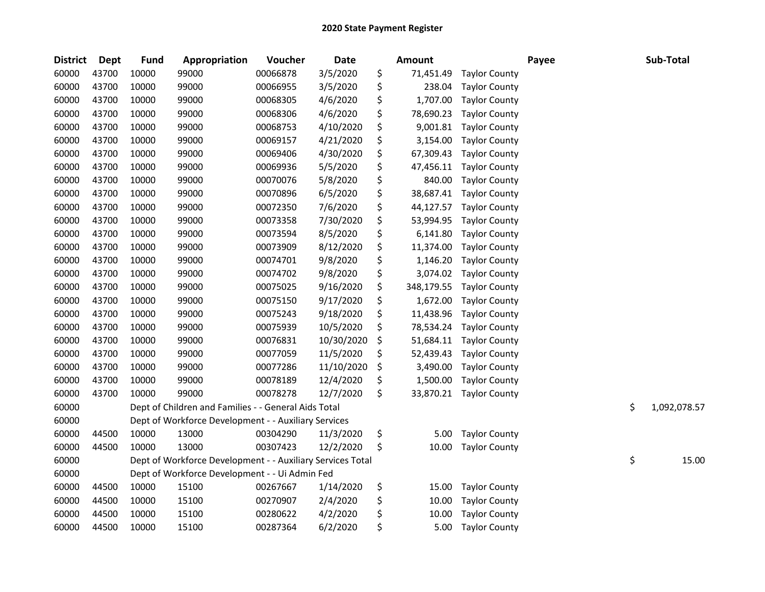| <b>District</b> | Dept  | <b>Fund</b> | Appropriation                                              | Voucher  | Date       | <b>Amount</b>    |                      | Payee | Sub-Total          |
|-----------------|-------|-------------|------------------------------------------------------------|----------|------------|------------------|----------------------|-------|--------------------|
| 60000           | 43700 | 10000       | 99000                                                      | 00066878 | 3/5/2020   | \$<br>71,451.49  | <b>Taylor County</b> |       |                    |
| 60000           | 43700 | 10000       | 99000                                                      | 00066955 | 3/5/2020   | \$<br>238.04     | <b>Taylor County</b> |       |                    |
| 60000           | 43700 | 10000       | 99000                                                      | 00068305 | 4/6/2020   | \$<br>1,707.00   | <b>Taylor County</b> |       |                    |
| 60000           | 43700 | 10000       | 99000                                                      | 00068306 | 4/6/2020   | \$<br>78,690.23  | <b>Taylor County</b> |       |                    |
| 60000           | 43700 | 10000       | 99000                                                      | 00068753 | 4/10/2020  | \$<br>9,001.81   | <b>Taylor County</b> |       |                    |
| 60000           | 43700 | 10000       | 99000                                                      | 00069157 | 4/21/2020  | \$<br>3,154.00   | <b>Taylor County</b> |       |                    |
| 60000           | 43700 | 10000       | 99000                                                      | 00069406 | 4/30/2020  | \$<br>67,309.43  | <b>Taylor County</b> |       |                    |
| 60000           | 43700 | 10000       | 99000                                                      | 00069936 | 5/5/2020   | \$<br>47,456.11  | <b>Taylor County</b> |       |                    |
| 60000           | 43700 | 10000       | 99000                                                      | 00070076 | 5/8/2020   | \$<br>840.00     | <b>Taylor County</b> |       |                    |
| 60000           | 43700 | 10000       | 99000                                                      | 00070896 | 6/5/2020   | \$<br>38,687.41  | <b>Taylor County</b> |       |                    |
| 60000           | 43700 | 10000       | 99000                                                      | 00072350 | 7/6/2020   | \$<br>44,127.57  | <b>Taylor County</b> |       |                    |
| 60000           | 43700 | 10000       | 99000                                                      | 00073358 | 7/30/2020  | \$<br>53,994.95  | <b>Taylor County</b> |       |                    |
| 60000           | 43700 | 10000       | 99000                                                      | 00073594 | 8/5/2020   | \$<br>6,141.80   | <b>Taylor County</b> |       |                    |
| 60000           | 43700 | 10000       | 99000                                                      | 00073909 | 8/12/2020  | \$<br>11,374.00  | <b>Taylor County</b> |       |                    |
| 60000           | 43700 | 10000       | 99000                                                      | 00074701 | 9/8/2020   | \$<br>1,146.20   | <b>Taylor County</b> |       |                    |
| 60000           | 43700 | 10000       | 99000                                                      | 00074702 | 9/8/2020   | \$<br>3,074.02   | <b>Taylor County</b> |       |                    |
| 60000           | 43700 | 10000       | 99000                                                      | 00075025 | 9/16/2020  | \$<br>348,179.55 | <b>Taylor County</b> |       |                    |
| 60000           | 43700 | 10000       | 99000                                                      | 00075150 | 9/17/2020  | \$<br>1,672.00   | <b>Taylor County</b> |       |                    |
| 60000           | 43700 | 10000       | 99000                                                      | 00075243 | 9/18/2020  | \$<br>11,438.96  | <b>Taylor County</b> |       |                    |
| 60000           | 43700 | 10000       | 99000                                                      | 00075939 | 10/5/2020  | \$<br>78,534.24  | <b>Taylor County</b> |       |                    |
| 60000           | 43700 | 10000       | 99000                                                      | 00076831 | 10/30/2020 | \$<br>51,684.11  | <b>Taylor County</b> |       |                    |
| 60000           | 43700 | 10000       | 99000                                                      | 00077059 | 11/5/2020  | \$<br>52,439.43  | <b>Taylor County</b> |       |                    |
| 60000           | 43700 | 10000       | 99000                                                      | 00077286 | 11/10/2020 | \$<br>3,490.00   | <b>Taylor County</b> |       |                    |
| 60000           | 43700 | 10000       | 99000                                                      | 00078189 | 12/4/2020  | \$<br>1,500.00   | <b>Taylor County</b> |       |                    |
| 60000           | 43700 | 10000       | 99000                                                      | 00078278 | 12/7/2020  | \$<br>33,870.21  | <b>Taylor County</b> |       |                    |
| 60000           |       |             | Dept of Children and Families - - General Aids Total       |          |            |                  |                      |       | \$<br>1,092,078.57 |
| 60000           |       |             | Dept of Workforce Development - - Auxiliary Services       |          |            |                  |                      |       |                    |
| 60000           | 44500 | 10000       | 13000                                                      | 00304290 | 11/3/2020  | \$<br>5.00       | <b>Taylor County</b> |       |                    |
| 60000           | 44500 | 10000       | 13000                                                      | 00307423 | 12/2/2020  | \$<br>10.00      | <b>Taylor County</b> |       |                    |
| 60000           |       |             | Dept of Workforce Development - - Auxiliary Services Total |          |            |                  |                      |       | \$<br>15.00        |
| 60000           |       |             | Dept of Workforce Development - - Ui Admin Fed             |          |            |                  |                      |       |                    |
| 60000           | 44500 | 10000       | 15100                                                      | 00267667 | 1/14/2020  | \$<br>15.00      | <b>Taylor County</b> |       |                    |
| 60000           | 44500 | 10000       | 15100                                                      | 00270907 | 2/4/2020   | \$<br>10.00      | <b>Taylor County</b> |       |                    |
| 60000           | 44500 | 10000       | 15100                                                      | 00280622 | 4/2/2020   | \$<br>10.00      | <b>Taylor County</b> |       |                    |
| 60000           | 44500 | 10000       | 15100                                                      | 00287364 | 6/2/2020   | \$<br>5.00       | <b>Taylor County</b> |       |                    |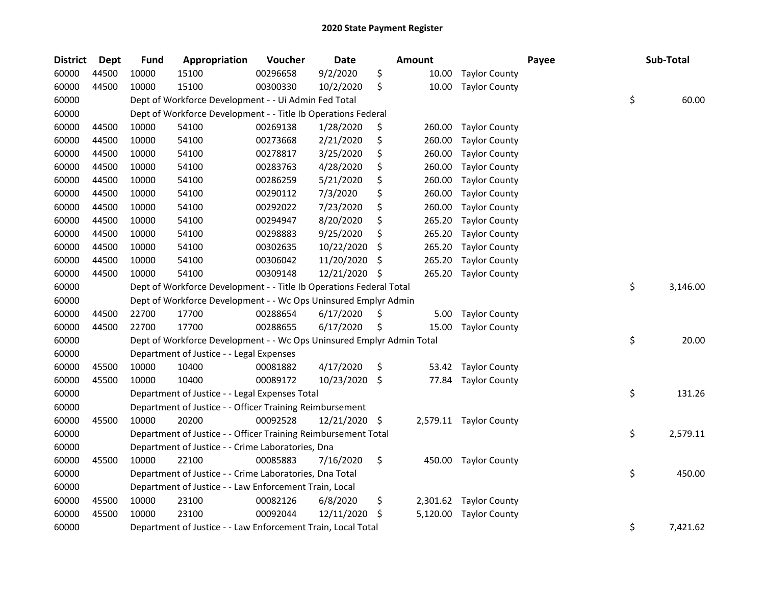| <b>District</b> | Dept  | <b>Fund</b> | Appropriation                                                         | Voucher  | Date          |     | <b>Amount</b> |                        | Payee | Sub-Total      |
|-----------------|-------|-------------|-----------------------------------------------------------------------|----------|---------------|-----|---------------|------------------------|-------|----------------|
| 60000           | 44500 | 10000       | 15100                                                                 | 00296658 | 9/2/2020      | \$  | 10.00         | <b>Taylor County</b>   |       |                |
| 60000           | 44500 | 10000       | 15100                                                                 | 00300330 | 10/2/2020     | \$  | 10.00         | <b>Taylor County</b>   |       |                |
| 60000           |       |             | Dept of Workforce Development - - Ui Admin Fed Total                  |          |               |     |               |                        |       | \$<br>60.00    |
| 60000           |       |             | Dept of Workforce Development - - Title Ib Operations Federal         |          |               |     |               |                        |       |                |
| 60000           | 44500 | 10000       | 54100                                                                 | 00269138 | 1/28/2020     | \$  | 260.00        | <b>Taylor County</b>   |       |                |
| 60000           | 44500 | 10000       | 54100                                                                 | 00273668 | 2/21/2020     | \$  | 260.00        | <b>Taylor County</b>   |       |                |
| 60000           | 44500 | 10000       | 54100                                                                 | 00278817 | 3/25/2020     | \$  | 260.00        | <b>Taylor County</b>   |       |                |
| 60000           | 44500 | 10000       | 54100                                                                 | 00283763 | 4/28/2020     | \$  | 260.00        | <b>Taylor County</b>   |       |                |
| 60000           | 44500 | 10000       | 54100                                                                 | 00286259 | 5/21/2020     | \$  | 260.00        | <b>Taylor County</b>   |       |                |
| 60000           | 44500 | 10000       | 54100                                                                 | 00290112 | 7/3/2020      | \$  | 260.00        | <b>Taylor County</b>   |       |                |
| 60000           | 44500 | 10000       | 54100                                                                 | 00292022 | 7/23/2020     | \$  | 260.00        | <b>Taylor County</b>   |       |                |
| 60000           | 44500 | 10000       | 54100                                                                 | 00294947 | 8/20/2020     | \$  | 265.20        | <b>Taylor County</b>   |       |                |
| 60000           | 44500 | 10000       | 54100                                                                 | 00298883 | 9/25/2020     | \$  | 265.20        | <b>Taylor County</b>   |       |                |
| 60000           | 44500 | 10000       | 54100                                                                 | 00302635 | 10/22/2020    | Ś   | 265.20        | <b>Taylor County</b>   |       |                |
| 60000           | 44500 | 10000       | 54100                                                                 | 00306042 | 11/20/2020    | S   | 265.20        | <b>Taylor County</b>   |       |                |
| 60000           | 44500 | 10000       | 54100                                                                 | 00309148 | 12/21/2020    | \$  | 265.20        | <b>Taylor County</b>   |       |                |
| 60000           |       |             | Dept of Workforce Development - - Title Ib Operations Federal Total   |          |               |     |               |                        |       | \$<br>3,146.00 |
| 60000           |       |             | Dept of Workforce Development - - Wc Ops Uninsured Emplyr Admin       |          |               |     |               |                        |       |                |
| 60000           | 44500 | 22700       | 17700                                                                 | 00288654 | 6/17/2020     | \$  | 5.00          | <b>Taylor County</b>   |       |                |
| 60000           | 44500 | 22700       | 17700                                                                 | 00288655 | 6/17/2020     | \$. | 15.00         | <b>Taylor County</b>   |       |                |
| 60000           |       |             | Dept of Workforce Development - - Wc Ops Uninsured Emplyr Admin Total |          |               |     |               |                        |       | \$<br>20.00    |
| 60000           |       |             | Department of Justice - - Legal Expenses                              |          |               |     |               |                        |       |                |
| 60000           | 45500 | 10000       | 10400                                                                 | 00081882 | 4/17/2020     | \$  | 53.42         | <b>Taylor County</b>   |       |                |
| 60000           | 45500 | 10000       | 10400                                                                 | 00089172 | 10/23/2020    | \$. | 77.84         | <b>Taylor County</b>   |       |                |
| 60000           |       |             | Department of Justice - - Legal Expenses Total                        |          |               |     |               |                        |       | \$<br>131.26   |
| 60000           |       |             | Department of Justice - - Officer Training Reimbursement              |          |               |     |               |                        |       |                |
| 60000           | 45500 | 10000       | 20200                                                                 | 00092528 | 12/21/2020 \$ |     |               | 2,579.11 Taylor County |       |                |
| 60000           |       |             | Department of Justice - - Officer Training Reimbursement Total        |          |               |     |               |                        |       | \$<br>2,579.11 |
| 60000           |       |             | Department of Justice - - Crime Laboratories, Dna                     |          |               |     |               |                        |       |                |
| 60000           | 45500 | 10000       | 22100                                                                 | 00085883 | 7/16/2020     | \$  | 450.00        | <b>Taylor County</b>   |       |                |
| 60000           |       |             | Department of Justice - - Crime Laboratories, Dna Total               |          |               |     |               |                        |       | \$<br>450.00   |
| 60000           |       |             | Department of Justice - - Law Enforcement Train, Local                |          |               |     |               |                        |       |                |
| 60000           | 45500 | 10000       | 23100                                                                 | 00082126 | 6/8/2020      | \$  | 2,301.62      | <b>Taylor County</b>   |       |                |
| 60000           | 45500 | 10000       | 23100                                                                 | 00092044 | 12/11/2020    | S   | 5,120.00      | <b>Taylor County</b>   |       |                |
| 60000           |       |             | Department of Justice - - Law Enforcement Train, Local Total          |          |               |     |               |                        |       | \$<br>7,421.62 |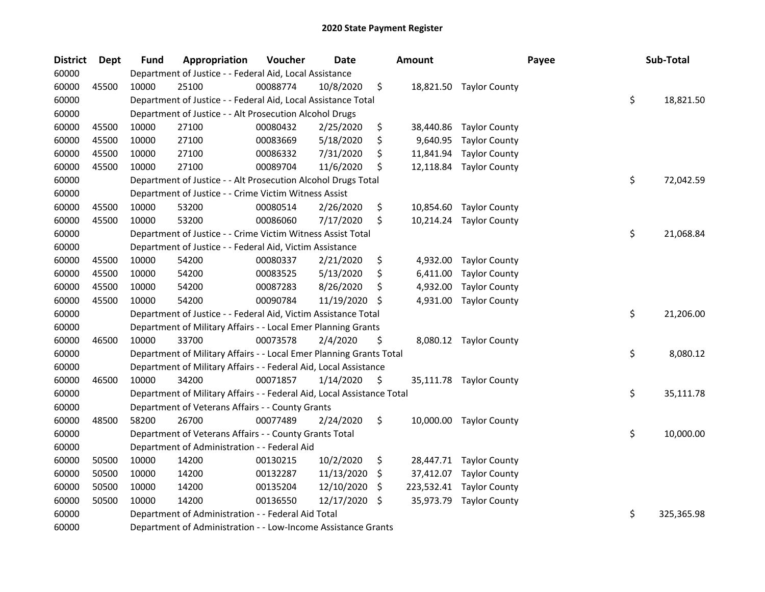| <b>District</b> | <b>Dept</b> | <b>Fund</b> | Appropriation                                                          | Voucher  | <b>Date</b> |    | <b>Amount</b> |                         | Payee | Sub-Total        |
|-----------------|-------------|-------------|------------------------------------------------------------------------|----------|-------------|----|---------------|-------------------------|-------|------------------|
| 60000           |             |             | Department of Justice - - Federal Aid, Local Assistance                |          |             |    |               |                         |       |                  |
| 60000           | 45500       | 10000       | 25100                                                                  | 00088774 | 10/8/2020   | \$ |               | 18,821.50 Taylor County |       |                  |
| 60000           |             |             | Department of Justice - - Federal Aid, Local Assistance Total          |          |             |    |               |                         |       | \$<br>18,821.50  |
| 60000           |             |             | Department of Justice - - Alt Prosecution Alcohol Drugs                |          |             |    |               |                         |       |                  |
| 60000           | 45500       | 10000       | 27100                                                                  | 00080432 | 2/25/2020   | \$ | 38,440.86     | <b>Taylor County</b>    |       |                  |
| 60000           | 45500       | 10000       | 27100                                                                  | 00083669 | 5/18/2020   | \$ | 9,640.95      | <b>Taylor County</b>    |       |                  |
| 60000           | 45500       | 10000       | 27100                                                                  | 00086332 | 7/31/2020   | \$ | 11,841.94     | <b>Taylor County</b>    |       |                  |
| 60000           | 45500       | 10000       | 27100                                                                  | 00089704 | 11/6/2020   | \$ | 12,118.84     | <b>Taylor County</b>    |       |                  |
| 60000           |             |             | Department of Justice - - Alt Prosecution Alcohol Drugs Total          |          |             |    |               |                         |       | \$<br>72,042.59  |
| 60000           |             |             | Department of Justice - - Crime Victim Witness Assist                  |          |             |    |               |                         |       |                  |
| 60000           | 45500       | 10000       | 53200                                                                  | 00080514 | 2/26/2020   | \$ | 10,854.60     | <b>Taylor County</b>    |       |                  |
| 60000           | 45500       | 10000       | 53200                                                                  | 00086060 | 7/17/2020   | \$ |               | 10,214.24 Taylor County |       |                  |
| 60000           |             |             | Department of Justice - - Crime Victim Witness Assist Total            |          |             |    |               |                         |       | \$<br>21,068.84  |
| 60000           |             |             | Department of Justice - - Federal Aid, Victim Assistance               |          |             |    |               |                         |       |                  |
| 60000           | 45500       | 10000       | 54200                                                                  | 00080337 | 2/21/2020   | \$ | 4,932.00      | <b>Taylor County</b>    |       |                  |
| 60000           | 45500       | 10000       | 54200                                                                  | 00083525 | 5/13/2020   | S  | 6,411.00      | <b>Taylor County</b>    |       |                  |
| 60000           | 45500       | 10000       | 54200                                                                  | 00087283 | 8/26/2020   | \$ | 4,932.00      | <b>Taylor County</b>    |       |                  |
| 60000           | 45500       | 10000       | 54200                                                                  | 00090784 | 11/19/2020  | S  | 4,931.00      | <b>Taylor County</b>    |       |                  |
| 60000           |             |             | Department of Justice - - Federal Aid, Victim Assistance Total         |          |             |    |               |                         |       | \$<br>21,206.00  |
| 60000           |             |             | Department of Military Affairs - - Local Emer Planning Grants          |          |             |    |               |                         |       |                  |
| 60000           | 46500       | 10000       | 33700                                                                  | 00073578 | 2/4/2020    | \$ |               | 8,080.12 Taylor County  |       |                  |
| 60000           |             |             | Department of Military Affairs - - Local Emer Planning Grants Total    |          |             |    |               |                         |       | \$<br>8,080.12   |
| 60000           |             |             | Department of Military Affairs - - Federal Aid, Local Assistance       |          |             |    |               |                         |       |                  |
| 60000           | 46500       | 10000       | 34200                                                                  | 00071857 | 1/14/2020   | \$ |               | 35,111.78 Taylor County |       |                  |
| 60000           |             |             | Department of Military Affairs - - Federal Aid, Local Assistance Total |          |             |    |               |                         |       | \$<br>35,111.78  |
| 60000           |             |             | Department of Veterans Affairs - - County Grants                       |          |             |    |               |                         |       |                  |
| 60000           | 48500       | 58200       | 26700                                                                  | 00077489 | 2/24/2020   | \$ |               | 10,000.00 Taylor County |       |                  |
| 60000           |             |             | Department of Veterans Affairs - - County Grants Total                 |          |             |    |               |                         |       | \$<br>10,000.00  |
| 60000           |             |             | Department of Administration - - Federal Aid                           |          |             |    |               |                         |       |                  |
| 60000           | 50500       | 10000       | 14200                                                                  | 00130215 | 10/2/2020   | \$ | 28,447.71     | <b>Taylor County</b>    |       |                  |
| 60000           | 50500       | 10000       | 14200                                                                  | 00132287 | 11/13/2020  | \$ | 37,412.07     | <b>Taylor County</b>    |       |                  |
| 60000           | 50500       | 10000       | 14200                                                                  | 00135204 | 12/10/2020  | \$ | 223,532.41    | <b>Taylor County</b>    |       |                  |
| 60000           | 50500       | 10000       | 14200                                                                  | 00136550 | 12/17/2020  | \$ | 35,973.79     | <b>Taylor County</b>    |       |                  |
| 60000           |             |             | Department of Administration - - Federal Aid Total                     |          |             |    |               |                         |       | \$<br>325,365.98 |
| 60000           |             |             | Department of Administration - - Low-Income Assistance Grants          |          |             |    |               |                         |       |                  |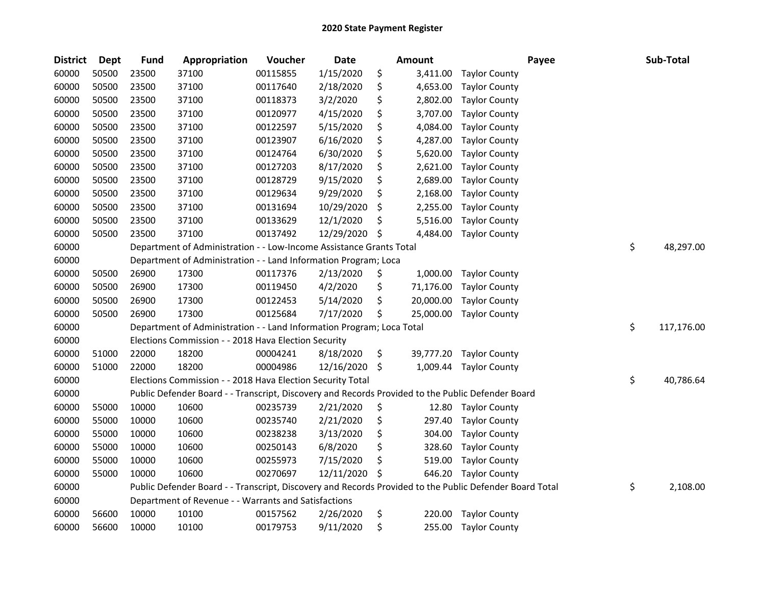| <b>District</b> | <b>Dept</b> | <b>Fund</b> | Appropriation                                                                                           | Voucher  | <b>Date</b> |     | <b>Amount</b> |                      | Payee | Sub-Total        |
|-----------------|-------------|-------------|---------------------------------------------------------------------------------------------------------|----------|-------------|-----|---------------|----------------------|-------|------------------|
| 60000           | 50500       | 23500       | 37100                                                                                                   | 00115855 | 1/15/2020   | \$  | 3,411.00      | <b>Taylor County</b> |       |                  |
| 60000           | 50500       | 23500       | 37100                                                                                                   | 00117640 | 2/18/2020   | \$  | 4,653.00      | <b>Taylor County</b> |       |                  |
| 60000           | 50500       | 23500       | 37100                                                                                                   | 00118373 | 3/2/2020    | \$  | 2,802.00      | <b>Taylor County</b> |       |                  |
| 60000           | 50500       | 23500       | 37100                                                                                                   | 00120977 | 4/15/2020   | \$  | 3,707.00      | <b>Taylor County</b> |       |                  |
| 60000           | 50500       | 23500       | 37100                                                                                                   | 00122597 | 5/15/2020   | \$  | 4,084.00      | <b>Taylor County</b> |       |                  |
| 60000           | 50500       | 23500       | 37100                                                                                                   | 00123907 | 6/16/2020   | \$  | 4,287.00      | <b>Taylor County</b> |       |                  |
| 60000           | 50500       | 23500       | 37100                                                                                                   | 00124764 | 6/30/2020   | \$  | 5,620.00      | <b>Taylor County</b> |       |                  |
| 60000           | 50500       | 23500       | 37100                                                                                                   | 00127203 | 8/17/2020   | \$  | 2,621.00      | <b>Taylor County</b> |       |                  |
| 60000           | 50500       | 23500       | 37100                                                                                                   | 00128729 | 9/15/2020   | \$  | 2,689.00      | <b>Taylor County</b> |       |                  |
| 60000           | 50500       | 23500       | 37100                                                                                                   | 00129634 | 9/29/2020   | \$  | 2,168.00      | <b>Taylor County</b> |       |                  |
| 60000           | 50500       | 23500       | 37100                                                                                                   | 00131694 | 10/29/2020  | \$  | 2,255.00      | <b>Taylor County</b> |       |                  |
| 60000           | 50500       | 23500       | 37100                                                                                                   | 00133629 | 12/1/2020   | \$  | 5,516.00      | <b>Taylor County</b> |       |                  |
| 60000           | 50500       | 23500       | 37100                                                                                                   | 00137492 | 12/29/2020  | \$  | 4,484.00      | <b>Taylor County</b> |       |                  |
| 60000           |             |             | Department of Administration - - Low-Income Assistance Grants Total                                     |          |             |     |               |                      |       | \$<br>48,297.00  |
| 60000           |             |             | Department of Administration - - Land Information Program; Loca                                         |          |             |     |               |                      |       |                  |
| 60000           | 50500       | 26900       | 17300                                                                                                   | 00117376 | 2/13/2020   | \$  | 1,000.00      | <b>Taylor County</b> |       |                  |
| 60000           | 50500       | 26900       | 17300                                                                                                   | 00119450 | 4/2/2020    | \$  | 71,176.00     | <b>Taylor County</b> |       |                  |
| 60000           | 50500       | 26900       | 17300                                                                                                   | 00122453 | 5/14/2020   | \$  | 20,000.00     | <b>Taylor County</b> |       |                  |
| 60000           | 50500       | 26900       | 17300                                                                                                   | 00125684 | 7/17/2020   | \$  | 25,000.00     | <b>Taylor County</b> |       |                  |
| 60000           |             |             | Department of Administration - - Land Information Program; Loca Total                                   |          |             |     |               |                      |       | \$<br>117,176.00 |
| 60000           |             |             | Elections Commission - - 2018 Hava Election Security                                                    |          |             |     |               |                      |       |                  |
| 60000           | 51000       | 22000       | 18200                                                                                                   | 00004241 | 8/18/2020   | \$  | 39,777.20     | <b>Taylor County</b> |       |                  |
| 60000           | 51000       | 22000       | 18200                                                                                                   | 00004986 | 12/16/2020  | \$. | 1,009.44      | <b>Taylor County</b> |       |                  |
| 60000           |             |             | Elections Commission - - 2018 Hava Election Security Total                                              |          |             |     |               |                      |       | \$<br>40,786.64  |
| 60000           |             |             | Public Defender Board - - Transcript, Discovery and Records Provided to the Public Defender Board       |          |             |     |               |                      |       |                  |
| 60000           | 55000       | 10000       | 10600                                                                                                   | 00235739 | 2/21/2020   | \$  | 12.80         | <b>Taylor County</b> |       |                  |
| 60000           | 55000       | 10000       | 10600                                                                                                   | 00235740 | 2/21/2020   | \$  | 297.40        | <b>Taylor County</b> |       |                  |
| 60000           | 55000       | 10000       | 10600                                                                                                   | 00238238 | 3/13/2020   | \$  | 304.00        | <b>Taylor County</b> |       |                  |
| 60000           | 55000       | 10000       | 10600                                                                                                   | 00250143 | 6/8/2020    | \$  | 328.60        | <b>Taylor County</b> |       |                  |
| 60000           | 55000       | 10000       | 10600                                                                                                   | 00255973 | 7/15/2020   | \$  | 519.00        | <b>Taylor County</b> |       |                  |
| 60000           | 55000       | 10000       | 10600                                                                                                   | 00270697 | 12/11/2020  | \$  | 646.20        | <b>Taylor County</b> |       |                  |
| 60000           |             |             | Public Defender Board - - Transcript, Discovery and Records Provided to the Public Defender Board Total |          |             |     |               |                      |       | \$<br>2,108.00   |
| 60000           |             |             | Department of Revenue - - Warrants and Satisfactions                                                    |          |             |     |               |                      |       |                  |
| 60000           | 56600       | 10000       | 10100                                                                                                   | 00157562 | 2/26/2020   | \$  | 220.00        | <b>Taylor County</b> |       |                  |
| 60000           | 56600       | 10000       | 10100                                                                                                   | 00179753 | 9/11/2020   | \$  | 255.00        | <b>Taylor County</b> |       |                  |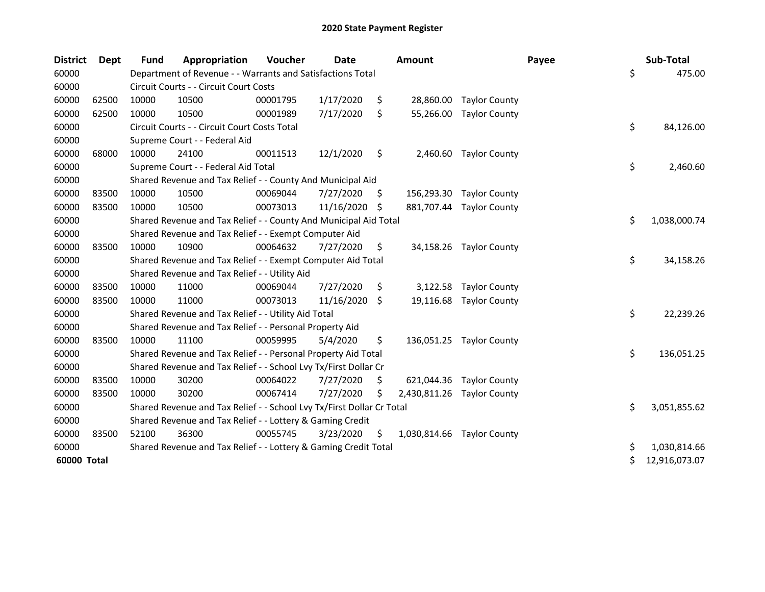| <b>District</b> | Dept  | <b>Fund</b> | Appropriation                                                         | Voucher  | Date       |     | <b>Amount</b> |                            | Payee | Sub-Total     |
|-----------------|-------|-------------|-----------------------------------------------------------------------|----------|------------|-----|---------------|----------------------------|-------|---------------|
| 60000           |       |             | Department of Revenue - - Warrants and Satisfactions Total            |          |            |     |               |                            | \$    | 475.00        |
| 60000           |       |             | Circuit Courts - - Circuit Court Costs                                |          |            |     |               |                            |       |               |
| 60000           | 62500 | 10000       | 10500                                                                 | 00001795 | 1/17/2020  | \$  | 28,860.00     | <b>Taylor County</b>       |       |               |
| 60000           | 62500 | 10000       | 10500                                                                 | 00001989 | 7/17/2020  | \$  | 55,266.00     | <b>Taylor County</b>       |       |               |
| 60000           |       |             | Circuit Courts - - Circuit Court Costs Total                          |          |            |     |               |                            | \$    | 84,126.00     |
| 60000           |       |             | Supreme Court - - Federal Aid                                         |          |            |     |               |                            |       |               |
| 60000           | 68000 | 10000       | 24100                                                                 | 00011513 | 12/1/2020  | \$  | 2,460.60      | <b>Taylor County</b>       |       |               |
| 60000           |       |             | Supreme Court - - Federal Aid Total                                   |          |            |     |               |                            | \$    | 2,460.60      |
| 60000           |       |             | Shared Revenue and Tax Relief - - County And Municipal Aid            |          |            |     |               |                            |       |               |
| 60000           | 83500 | 10000       | 10500                                                                 | 00069044 | 7/27/2020  | \$. |               | 156,293.30 Taylor County   |       |               |
| 60000           | 83500 | 10000       | 10500                                                                 | 00073013 | 11/16/2020 | -S  |               | 881,707.44 Taylor County   |       |               |
| 60000           |       |             | Shared Revenue and Tax Relief - - County And Municipal Aid Total      |          |            |     |               |                            | \$    | 1,038,000.74  |
| 60000           |       |             | Shared Revenue and Tax Relief - - Exempt Computer Aid                 |          |            |     |               |                            |       |               |
| 60000           | 83500 | 10000       | 10900                                                                 | 00064632 | 7/27/2020  | \$  |               | 34,158.26 Taylor County    |       |               |
| 60000           |       |             | Shared Revenue and Tax Relief - - Exempt Computer Aid Total           |          |            |     |               |                            | \$    | 34,158.26     |
| 60000           |       |             | Shared Revenue and Tax Relief - - Utility Aid                         |          |            |     |               |                            |       |               |
| 60000           | 83500 | 10000       | 11000                                                                 | 00069044 | 7/27/2020  | \$  | 3,122.58      | <b>Taylor County</b>       |       |               |
| 60000           | 83500 | 10000       | 11000                                                                 | 00073013 | 11/16/2020 | -\$ | 19,116.68     | <b>Taylor County</b>       |       |               |
| 60000           |       |             | Shared Revenue and Tax Relief - - Utility Aid Total                   |          |            |     |               |                            | \$    | 22,239.26     |
| 60000           |       |             | Shared Revenue and Tax Relief - - Personal Property Aid               |          |            |     |               |                            |       |               |
| 60000           | 83500 | 10000       | 11100                                                                 | 00059995 | 5/4/2020   | \$  |               | 136,051.25 Taylor County   |       |               |
| 60000           |       |             | Shared Revenue and Tax Relief - - Personal Property Aid Total         |          |            |     |               |                            | \$    | 136,051.25    |
| 60000           |       |             | Shared Revenue and Tax Relief - - School Lvy Tx/First Dollar Cr       |          |            |     |               |                            |       |               |
| 60000           | 83500 | 10000       | 30200                                                                 | 00064022 | 7/27/2020  | S   | 621,044.36    | <b>Taylor County</b>       |       |               |
| 60000           | 83500 | 10000       | 30200                                                                 | 00067414 | 7/27/2020  | \$  | 2,430,811.26  | <b>Taylor County</b>       |       |               |
| 60000           |       |             | Shared Revenue and Tax Relief - - School Lvy Tx/First Dollar Cr Total |          |            |     |               |                            | \$    | 3,051,855.62  |
| 60000           |       |             | Shared Revenue and Tax Relief - - Lottery & Gaming Credit             |          |            |     |               |                            |       |               |
| 60000           | 83500 | 52100       | 36300                                                                 | 00055745 | 3/23/2020  | \$  |               | 1,030,814.66 Taylor County |       |               |
| 60000           |       |             | Shared Revenue and Tax Relief - - Lottery & Gaming Credit Total       |          |            |     |               |                            | \$    | 1,030,814.66  |
| 60000 Total     |       |             |                                                                       |          |            |     |               |                            | \$    | 12,916,073.07 |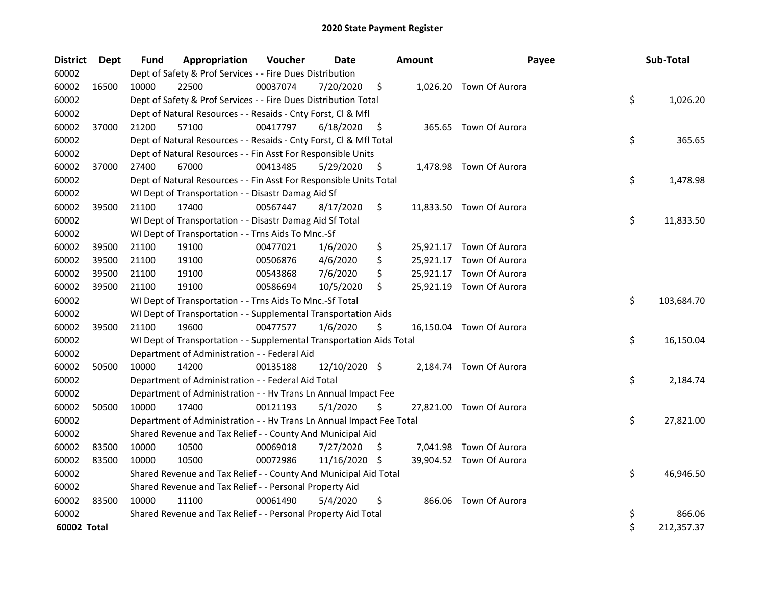| <b>District</b> | Dept  | <b>Fund</b> | Appropriation                                                        | Voucher  | Date          |     | <b>Amount</b> | Payee                    | Sub-Total        |
|-----------------|-------|-------------|----------------------------------------------------------------------|----------|---------------|-----|---------------|--------------------------|------------------|
| 60002           |       |             | Dept of Safety & Prof Services - - Fire Dues Distribution            |          |               |     |               |                          |                  |
| 60002           | 16500 | 10000       | 22500                                                                | 00037074 | 7/20/2020     | \$  |               | 1,026.20 Town Of Aurora  |                  |
| 60002           |       |             | Dept of Safety & Prof Services - - Fire Dues Distribution Total      |          |               |     |               |                          | \$<br>1,026.20   |
| 60002           |       |             | Dept of Natural Resources - - Resaids - Cnty Forst, Cl & Mfl         |          |               |     |               |                          |                  |
| 60002           | 37000 | 21200       | 57100                                                                | 00417797 | 6/18/2020     | \$  |               | 365.65 Town Of Aurora    |                  |
| 60002           |       |             | Dept of Natural Resources - - Resaids - Cnty Forst, Cl & Mfl Total   |          |               |     |               |                          | \$<br>365.65     |
| 60002           |       |             | Dept of Natural Resources - - Fin Asst For Responsible Units         |          |               |     |               |                          |                  |
| 60002           | 37000 | 27400       | 67000                                                                | 00413485 | 5/29/2020     | \$  |               | 1,478.98 Town Of Aurora  |                  |
| 60002           |       |             | Dept of Natural Resources - - Fin Asst For Responsible Units Total   |          |               |     |               |                          | \$<br>1,478.98   |
| 60002           |       |             | WI Dept of Transportation - - Disastr Damag Aid Sf                   |          |               |     |               |                          |                  |
| 60002           | 39500 | 21100       | 17400                                                                | 00567447 | 8/17/2020     | \$  |               | 11,833.50 Town Of Aurora |                  |
| 60002           |       |             | WI Dept of Transportation - - Disastr Damag Aid Sf Total             |          |               |     |               |                          | \$<br>11,833.50  |
| 60002           |       |             | WI Dept of Transportation - - Trns Aids To Mnc.-Sf                   |          |               |     |               |                          |                  |
| 60002           | 39500 | 21100       | 19100                                                                | 00477021 | 1/6/2020      | \$  |               | 25,921.17 Town Of Aurora |                  |
| 60002           | 39500 | 21100       | 19100                                                                | 00506876 | 4/6/2020      | \$  |               | 25,921.17 Town Of Aurora |                  |
| 60002           | 39500 | 21100       | 19100                                                                | 00543868 | 7/6/2020      | \$  |               | 25,921.17 Town Of Aurora |                  |
| 60002           | 39500 | 21100       | 19100                                                                | 00586694 | 10/5/2020     | \$  |               | 25,921.19 Town Of Aurora |                  |
| 60002           |       |             | WI Dept of Transportation - - Trns Aids To Mnc.-Sf Total             |          |               |     |               |                          | \$<br>103,684.70 |
| 60002           |       |             | WI Dept of Transportation - - Supplemental Transportation Aids       |          |               |     |               |                          |                  |
| 60002           | 39500 | 21100       | 19600                                                                | 00477577 | 1/6/2020      | \$  |               | 16,150.04 Town Of Aurora |                  |
| 60002           |       |             | WI Dept of Transportation - - Supplemental Transportation Aids Total |          |               |     |               |                          | \$<br>16,150.04  |
| 60002           |       |             | Department of Administration - - Federal Aid                         |          |               |     |               |                          |                  |
| 60002           | 50500 | 10000       | 14200                                                                | 00135188 | 12/10/2020 \$ |     |               | 2,184.74 Town Of Aurora  |                  |
| 60002           |       |             | Department of Administration - - Federal Aid Total                   |          |               |     |               |                          | \$<br>2,184.74   |
| 60002           |       |             | Department of Administration - - Hv Trans Ln Annual Impact Fee       |          |               |     |               |                          |                  |
| 60002           | 50500 | 10000       | 17400                                                                | 00121193 | 5/1/2020      | \$  |               | 27,821.00 Town Of Aurora |                  |
| 60002           |       |             | Department of Administration - - Hv Trans Ln Annual Impact Fee Total |          |               |     |               |                          | \$<br>27,821.00  |
| 60002           |       |             | Shared Revenue and Tax Relief - - County And Municipal Aid           |          |               |     |               |                          |                  |
| 60002           | 83500 | 10000       | 10500                                                                | 00069018 | 7/27/2020     | \$  |               | 7,041.98 Town Of Aurora  |                  |
| 60002           | 83500 | 10000       | 10500                                                                | 00072986 | 11/16/2020    | -\$ |               | 39,904.52 Town Of Aurora |                  |
| 60002           |       |             | Shared Revenue and Tax Relief - - County And Municipal Aid Total     |          |               |     |               |                          | \$<br>46,946.50  |
| 60002           |       |             | Shared Revenue and Tax Relief - - Personal Property Aid              |          |               |     |               |                          |                  |
| 60002           | 83500 | 10000       | 11100                                                                | 00061490 | 5/4/2020      | \$  |               | 866.06 Town Of Aurora    |                  |
| 60002           |       |             | Shared Revenue and Tax Relief - - Personal Property Aid Total        |          |               |     |               |                          | \$<br>866.06     |
| 60002 Total     |       |             |                                                                      |          |               |     |               |                          | \$<br>212,357.37 |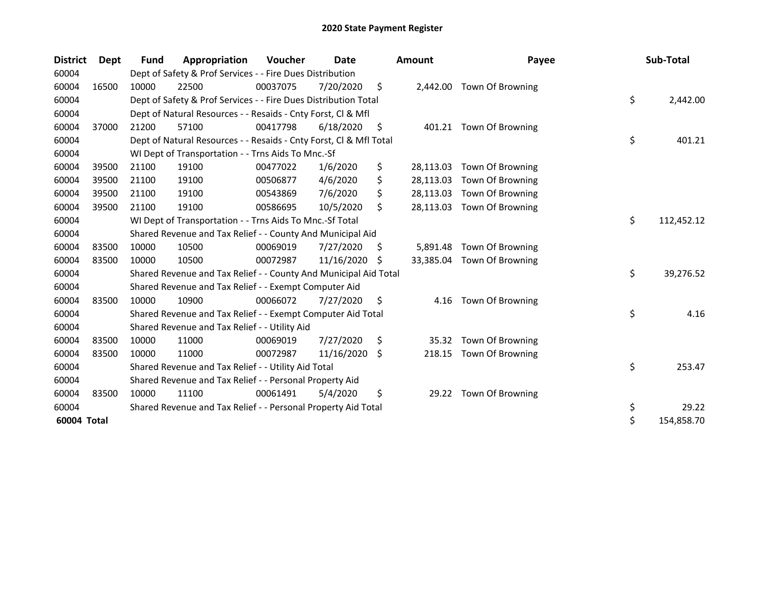| <b>District</b> | Dept  | Fund  | Appropriation                                                      | Voucher  | Date       |    | <b>Amount</b> | Payee                   | Sub-Total        |
|-----------------|-------|-------|--------------------------------------------------------------------|----------|------------|----|---------------|-------------------------|------------------|
| 60004           |       |       | Dept of Safety & Prof Services - - Fire Dues Distribution          |          |            |    |               |                         |                  |
| 60004           | 16500 | 10000 | 22500                                                              | 00037075 | 7/20/2020  | \$ | 2,442.00      | Town Of Browning        |                  |
| 60004           |       |       | Dept of Safety & Prof Services - - Fire Dues Distribution Total    |          |            |    |               |                         | \$<br>2,442.00   |
| 60004           |       |       | Dept of Natural Resources - - Resaids - Cnty Forst, Cl & Mfl       |          |            |    |               |                         |                  |
| 60004           | 37000 | 21200 | 57100                                                              | 00417798 | 6/18/2020  | \$ |               | 401.21 Town Of Browning |                  |
| 60004           |       |       | Dept of Natural Resources - - Resaids - Cnty Forst, CI & Mfl Total |          |            |    |               |                         | \$<br>401.21     |
| 60004           |       |       | WI Dept of Transportation - - Trns Aids To Mnc.-Sf                 |          |            |    |               |                         |                  |
| 60004           | 39500 | 21100 | 19100                                                              | 00477022 | 1/6/2020   | \$ | 28,113.03     | Town Of Browning        |                  |
| 60004           | 39500 | 21100 | 19100                                                              | 00506877 | 4/6/2020   | \$ | 28,113.03     | Town Of Browning        |                  |
| 60004           | 39500 | 21100 | 19100                                                              | 00543869 | 7/6/2020   | \$ | 28,113.03     | Town Of Browning        |                  |
| 60004           | 39500 | 21100 | 19100                                                              | 00586695 | 10/5/2020  | \$ | 28,113.03     | Town Of Browning        |                  |
| 60004           |       |       | WI Dept of Transportation - - Trns Aids To Mnc.-Sf Total           |          |            |    |               |                         | \$<br>112,452.12 |
| 60004           |       |       | Shared Revenue and Tax Relief - - County And Municipal Aid         |          |            |    |               |                         |                  |
| 60004           | 83500 | 10000 | 10500                                                              | 00069019 | 7/27/2020  | \$ | 5,891.48      | Town Of Browning        |                  |
| 60004           | 83500 | 10000 | 10500                                                              | 00072987 | 11/16/2020 | S  | 33,385.04     | Town Of Browning        |                  |
| 60004           |       |       | Shared Revenue and Tax Relief - - County And Municipal Aid Total   |          |            |    |               |                         | \$<br>39,276.52  |
| 60004           |       |       | Shared Revenue and Tax Relief - - Exempt Computer Aid              |          |            |    |               |                         |                  |
| 60004           | 83500 | 10000 | 10900                                                              | 00066072 | 7/27/2020  | S  | 4.16          | <b>Town Of Browning</b> |                  |
| 60004           |       |       | Shared Revenue and Tax Relief - - Exempt Computer Aid Total        |          |            |    |               |                         | \$<br>4.16       |
| 60004           |       |       | Shared Revenue and Tax Relief - - Utility Aid                      |          |            |    |               |                         |                  |
| 60004           | 83500 | 10000 | 11000                                                              | 00069019 | 7/27/2020  | \$ | 35.32         | Town Of Browning        |                  |
| 60004           | 83500 | 10000 | 11000                                                              | 00072987 | 11/16/2020 | Ŝ. | 218.15        | Town Of Browning        |                  |
| 60004           |       |       | Shared Revenue and Tax Relief - - Utility Aid Total                |          |            |    |               |                         | \$<br>253.47     |
| 60004           |       |       | Shared Revenue and Tax Relief - - Personal Property Aid            |          |            |    |               |                         |                  |
| 60004           | 83500 | 10000 | 11100                                                              | 00061491 | 5/4/2020   | \$ | 29.22         | Town Of Browning        |                  |
| 60004           |       |       | Shared Revenue and Tax Relief - - Personal Property Aid Total      |          |            |    |               |                         | \$<br>29.22      |
| 60004 Total     |       |       |                                                                    |          |            |    |               |                         | \$<br>154,858.70 |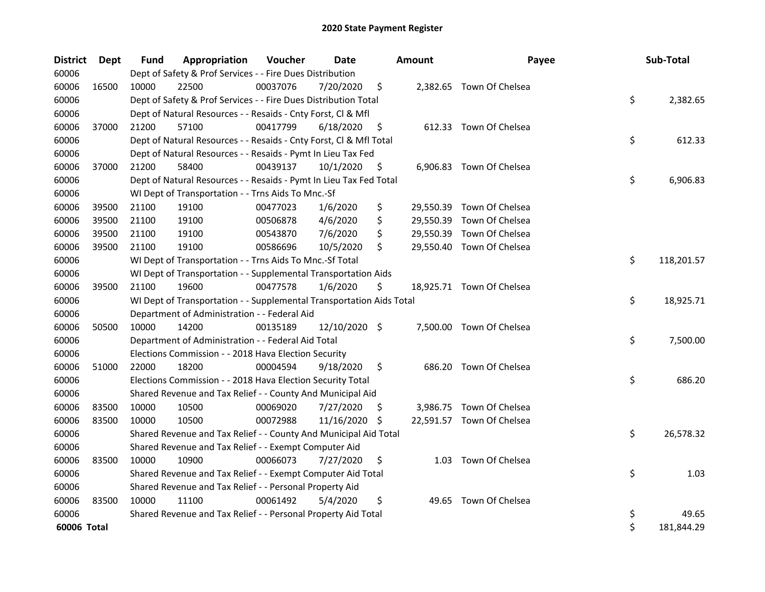| <b>District</b> | Dept  | Fund  | Appropriation                                                        | Voucher  | Date          |     | <b>Amount</b> | Payee                     | Sub-Total        |
|-----------------|-------|-------|----------------------------------------------------------------------|----------|---------------|-----|---------------|---------------------------|------------------|
| 60006           |       |       | Dept of Safety & Prof Services - - Fire Dues Distribution            |          |               |     |               |                           |                  |
| 60006           | 16500 | 10000 | 22500                                                                | 00037076 | 7/20/2020     | \$  |               | 2,382.65 Town Of Chelsea  |                  |
| 60006           |       |       | Dept of Safety & Prof Services - - Fire Dues Distribution Total      |          |               |     |               |                           | \$<br>2,382.65   |
| 60006           |       |       | Dept of Natural Resources - - Resaids - Cnty Forst, Cl & Mfl         |          |               |     |               |                           |                  |
| 60006           | 37000 | 21200 | 57100                                                                | 00417799 | 6/18/2020     | \$  |               | 612.33 Town Of Chelsea    |                  |
| 60006           |       |       | Dept of Natural Resources - - Resaids - Cnty Forst, Cl & Mfl Total   |          |               |     |               |                           | \$<br>612.33     |
| 60006           |       |       | Dept of Natural Resources - - Resaids - Pymt In Lieu Tax Fed         |          |               |     |               |                           |                  |
| 60006           | 37000 | 21200 | 58400                                                                | 00439137 | 10/1/2020     | \$  |               | 6,906.83 Town Of Chelsea  |                  |
| 60006           |       |       | Dept of Natural Resources - - Resaids - Pymt In Lieu Tax Fed Total   |          |               |     |               |                           | \$<br>6,906.83   |
| 60006           |       |       | WI Dept of Transportation - - Trns Aids To Mnc.-Sf                   |          |               |     |               |                           |                  |
| 60006           | 39500 | 21100 | 19100                                                                | 00477023 | 1/6/2020      | \$  |               | 29,550.39 Town Of Chelsea |                  |
| 60006           | 39500 | 21100 | 19100                                                                | 00506878 | 4/6/2020      | \$  |               | 29,550.39 Town Of Chelsea |                  |
| 60006           | 39500 | 21100 | 19100                                                                | 00543870 | 7/6/2020      | \$  |               | 29,550.39 Town Of Chelsea |                  |
| 60006           | 39500 | 21100 | 19100                                                                | 00586696 | 10/5/2020     | \$  |               | 29,550.40 Town Of Chelsea |                  |
| 60006           |       |       | WI Dept of Transportation - - Trns Aids To Mnc.-Sf Total             |          |               |     |               |                           | \$<br>118,201.57 |
| 60006           |       |       | WI Dept of Transportation - - Supplemental Transportation Aids       |          |               |     |               |                           |                  |
| 60006           | 39500 | 21100 | 19600                                                                | 00477578 | 1/6/2020      | \$  |               | 18,925.71 Town Of Chelsea |                  |
| 60006           |       |       | WI Dept of Transportation - - Supplemental Transportation Aids Total |          |               |     |               |                           | \$<br>18,925.71  |
| 60006           |       |       | Department of Administration - - Federal Aid                         |          |               |     |               |                           |                  |
| 60006           | 50500 | 10000 | 14200                                                                | 00135189 | 12/10/2020 \$ |     |               | 7,500.00 Town Of Chelsea  |                  |
| 60006           |       |       | Department of Administration - - Federal Aid Total                   |          |               |     |               |                           | \$<br>7,500.00   |
| 60006           |       |       | Elections Commission - - 2018 Hava Election Security                 |          |               |     |               |                           |                  |
| 60006           | 51000 | 22000 | 18200                                                                | 00004594 | 9/18/2020     | \$  |               | 686.20 Town Of Chelsea    |                  |
| 60006           |       |       | Elections Commission - - 2018 Hava Election Security Total           |          |               |     |               |                           | \$<br>686.20     |
| 60006           |       |       | Shared Revenue and Tax Relief - - County And Municipal Aid           |          |               |     |               |                           |                  |
| 60006           | 83500 | 10000 | 10500                                                                | 00069020 | 7/27/2020     | \$. |               | 3,986.75 Town Of Chelsea  |                  |
| 60006           | 83500 | 10000 | 10500                                                                | 00072988 | 11/16/2020    | -\$ |               | 22,591.57 Town Of Chelsea |                  |
| 60006           |       |       | Shared Revenue and Tax Relief - - County And Municipal Aid Total     |          |               |     |               |                           | \$<br>26,578.32  |
| 60006           |       |       | Shared Revenue and Tax Relief - - Exempt Computer Aid                |          |               |     |               |                           |                  |
| 60006           | 83500 | 10000 | 10900                                                                | 00066073 | 7/27/2020     | \$  | 1.03          | Town Of Chelsea           |                  |
| 60006           |       |       | Shared Revenue and Tax Relief - - Exempt Computer Aid Total          |          |               |     |               |                           | \$<br>1.03       |
| 60006           |       |       | Shared Revenue and Tax Relief - - Personal Property Aid              |          |               |     |               |                           |                  |
| 60006           | 83500 | 10000 | 11100                                                                | 00061492 | 5/4/2020      | \$  | 49.65         | Town Of Chelsea           |                  |
| 60006           |       |       | Shared Revenue and Tax Relief - - Personal Property Aid Total        |          |               |     |               |                           | \$<br>49.65      |
| 60006 Total     |       |       |                                                                      |          |               |     |               |                           | \$<br>181,844.29 |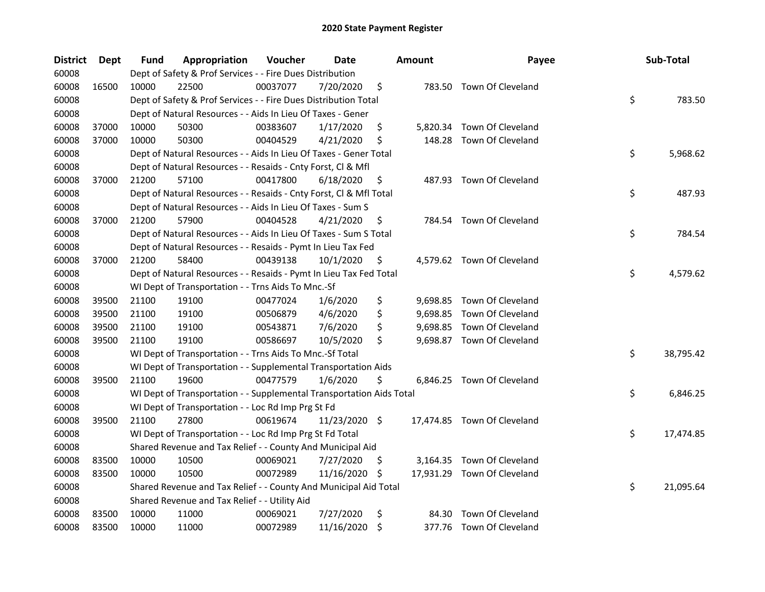| District | <b>Dept</b> | Fund  | Appropriation                                                        | Voucher  | <b>Date</b>   |     | <b>Amount</b> | Payee                       | Sub-Total       |
|----------|-------------|-------|----------------------------------------------------------------------|----------|---------------|-----|---------------|-----------------------------|-----------------|
| 60008    |             |       | Dept of Safety & Prof Services - - Fire Dues Distribution            |          |               |     |               |                             |                 |
| 60008    | 16500       | 10000 | 22500                                                                | 00037077 | 7/20/2020     | \$  |               | 783.50 Town Of Cleveland    |                 |
| 60008    |             |       | Dept of Safety & Prof Services - - Fire Dues Distribution Total      |          |               |     |               |                             | \$<br>783.50    |
| 60008    |             |       | Dept of Natural Resources - - Aids In Lieu Of Taxes - Gener          |          |               |     |               |                             |                 |
| 60008    | 37000       | 10000 | 50300                                                                | 00383607 | 1/17/2020     | \$  |               | 5,820.34 Town Of Cleveland  |                 |
| 60008    | 37000       | 10000 | 50300                                                                | 00404529 | 4/21/2020     | \$  | 148.28        | Town Of Cleveland           |                 |
| 60008    |             |       | Dept of Natural Resources - - Aids In Lieu Of Taxes - Gener Total    |          |               |     |               |                             | \$<br>5,968.62  |
| 60008    |             |       | Dept of Natural Resources - - Resaids - Cnty Forst, Cl & Mfl         |          |               |     |               |                             |                 |
| 60008    | 37000       | 21200 | 57100                                                                | 00417800 | 6/18/2020     | \$  |               | 487.93 Town Of Cleveland    |                 |
| 60008    |             |       | Dept of Natural Resources - - Resaids - Cnty Forst, Cl & Mfl Total   |          |               |     |               |                             | \$<br>487.93    |
| 60008    |             |       | Dept of Natural Resources - - Aids In Lieu Of Taxes - Sum S          |          |               |     |               |                             |                 |
| 60008    | 37000       | 21200 | 57900                                                                | 00404528 | 4/21/2020     | \$. |               | 784.54 Town Of Cleveland    |                 |
| 60008    |             |       | Dept of Natural Resources - - Aids In Lieu Of Taxes - Sum S Total    |          |               |     |               |                             | \$<br>784.54    |
| 60008    |             |       | Dept of Natural Resources - - Resaids - Pymt In Lieu Tax Fed         |          |               |     |               |                             |                 |
| 60008    | 37000       | 21200 | 58400                                                                | 00439138 | 10/1/2020     | \$  |               | 4,579.62 Town Of Cleveland  |                 |
| 60008    |             |       | Dept of Natural Resources - - Resaids - Pymt In Lieu Tax Fed Total   |          |               |     |               |                             | \$<br>4,579.62  |
| 60008    |             |       | WI Dept of Transportation - - Trns Aids To Mnc.-Sf                   |          |               |     |               |                             |                 |
| 60008    | 39500       | 21100 | 19100                                                                | 00477024 | 1/6/2020      | \$  |               | 9,698.85 Town Of Cleveland  |                 |
| 60008    | 39500       | 21100 | 19100                                                                | 00506879 | 4/6/2020      | \$  |               | 9,698.85 Town Of Cleveland  |                 |
| 60008    | 39500       | 21100 | 19100                                                                | 00543871 | 7/6/2020      | \$  |               | 9,698.85 Town Of Cleveland  |                 |
| 60008    | 39500       | 21100 | 19100                                                                | 00586697 | 10/5/2020     | \$  |               | 9,698.87 Town Of Cleveland  |                 |
| 60008    |             |       | WI Dept of Transportation - - Trns Aids To Mnc.-Sf Total             |          |               |     |               |                             | \$<br>38,795.42 |
| 60008    |             |       | WI Dept of Transportation - - Supplemental Transportation Aids       |          |               |     |               |                             |                 |
| 60008    | 39500       | 21100 | 19600                                                                | 00477579 | 1/6/2020      | \$  |               | 6,846.25 Town Of Cleveland  |                 |
| 60008    |             |       | WI Dept of Transportation - - Supplemental Transportation Aids Total |          |               |     |               |                             | \$<br>6,846.25  |
| 60008    |             |       | WI Dept of Transportation - - Loc Rd Imp Prg St Fd                   |          |               |     |               |                             |                 |
| 60008    | 39500       | 21100 | 27800                                                                | 00619674 | 11/23/2020 \$ |     |               | 17,474.85 Town Of Cleveland |                 |
| 60008    |             |       | WI Dept of Transportation - - Loc Rd Imp Prg St Fd Total             |          |               |     |               |                             | \$<br>17,474.85 |
| 60008    |             |       | Shared Revenue and Tax Relief - - County And Municipal Aid           |          |               |     |               |                             |                 |
| 60008    | 83500       | 10000 | 10500                                                                | 00069021 | 7/27/2020     | \$. |               | 3,164.35 Town Of Cleveland  |                 |
| 60008    | 83500       | 10000 | 10500                                                                | 00072989 | 11/16/2020 \$ |     |               | 17,931.29 Town Of Cleveland |                 |
| 60008    |             |       | Shared Revenue and Tax Relief - - County And Municipal Aid Total     |          |               |     |               |                             | \$<br>21,095.64 |
| 60008    |             |       | Shared Revenue and Tax Relief - - Utility Aid                        |          |               |     |               |                             |                 |
| 60008    | 83500       | 10000 | 11000                                                                | 00069021 | 7/27/2020     | \$  | 84.30         | Town Of Cleveland           |                 |
| 60008    | 83500       | 10000 | 11000                                                                | 00072989 | 11/16/2020    | \$  |               | 377.76 Town Of Cleveland    |                 |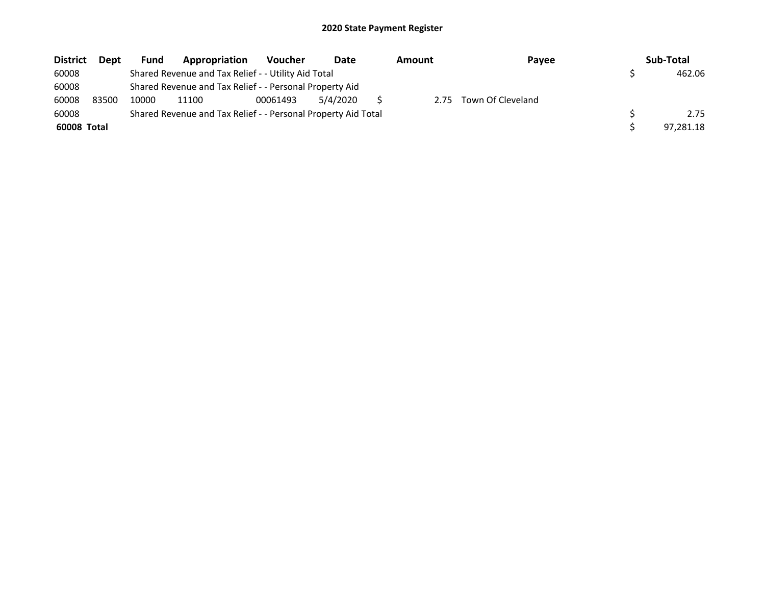| <b>District</b> | <b>Dept</b> | Fund  | Appropriation                                                 | <b>Voucher</b> | Date     | Amount | Payee             | Sub-Total |
|-----------------|-------------|-------|---------------------------------------------------------------|----------------|----------|--------|-------------------|-----------|
| 60008           |             |       | Shared Revenue and Tax Relief - - Utility Aid Total           |                |          |        |                   | 462.06    |
| 60008           |             |       | Shared Revenue and Tax Relief - - Personal Property Aid       |                |          |        |                   |           |
| 60008           | 83500       | 10000 | 11100                                                         | 00061493       | 5/4/2020 | 2.75   | Town Of Cleveland |           |
| 60008           |             |       | Shared Revenue and Tax Relief - - Personal Property Aid Total |                |          |        |                   | 2.75      |
| 60008 Total     |             |       |                                                               |                |          |        |                   | 97.281.18 |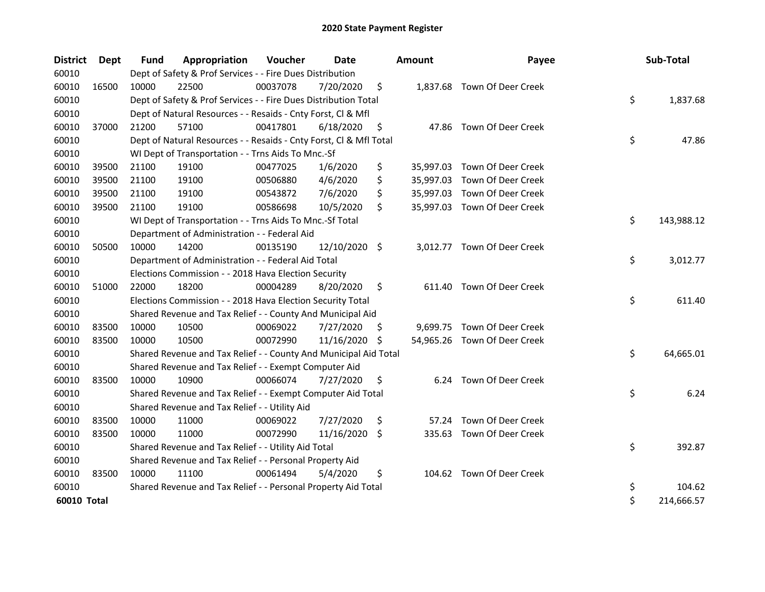| <b>District</b>    | Dept  | <b>Fund</b> | Appropriation                                                      | Voucher  | <b>Date</b>   |     | <b>Amount</b> | Payee                        | Sub-Total        |
|--------------------|-------|-------------|--------------------------------------------------------------------|----------|---------------|-----|---------------|------------------------------|------------------|
| 60010              |       |             | Dept of Safety & Prof Services - - Fire Dues Distribution          |          |               |     |               |                              |                  |
| 60010              | 16500 | 10000       | 22500                                                              | 00037078 | 7/20/2020     | \$  |               | 1,837.68 Town Of Deer Creek  |                  |
| 60010              |       |             | Dept of Safety & Prof Services - - Fire Dues Distribution Total    |          |               |     |               |                              | \$<br>1,837.68   |
| 60010              |       |             | Dept of Natural Resources - - Resaids - Cnty Forst, CI & Mfl       |          |               |     |               |                              |                  |
| 60010              | 37000 | 21200       | 57100                                                              | 00417801 | 6/18/2020     | \$  |               | 47.86 Town Of Deer Creek     |                  |
| 60010              |       |             | Dept of Natural Resources - - Resaids - Cnty Forst, Cl & Mfl Total |          |               |     |               |                              | \$<br>47.86      |
| 60010              |       |             | WI Dept of Transportation - - Trns Aids To Mnc.-Sf                 |          |               |     |               |                              |                  |
| 60010              | 39500 | 21100       | 19100                                                              | 00477025 | 1/6/2020      | \$  |               | 35,997.03 Town Of Deer Creek |                  |
| 60010              | 39500 | 21100       | 19100                                                              | 00506880 | 4/6/2020      | \$  |               | 35,997.03 Town Of Deer Creek |                  |
| 60010              | 39500 | 21100       | 19100                                                              | 00543872 | 7/6/2020      | \$  |               | 35,997.03 Town Of Deer Creek |                  |
| 60010              | 39500 | 21100       | 19100                                                              | 00586698 | 10/5/2020     | \$  |               | 35,997.03 Town Of Deer Creek |                  |
| 60010              |       |             | WI Dept of Transportation - - Trns Aids To Mnc.-Sf Total           |          |               |     |               |                              | \$<br>143,988.12 |
| 60010              |       |             | Department of Administration - - Federal Aid                       |          |               |     |               |                              |                  |
| 60010              | 50500 | 10000       | 14200                                                              | 00135190 | 12/10/2020 \$ |     |               | 3,012.77 Town Of Deer Creek  |                  |
| 60010              |       |             | Department of Administration - - Federal Aid Total                 |          |               |     |               |                              | \$<br>3,012.77   |
| 60010              |       |             | Elections Commission - - 2018 Hava Election Security               |          |               |     |               |                              |                  |
| 60010              | 51000 | 22000       | 18200                                                              | 00004289 | 8/20/2020     | \$  | 611.40        | Town Of Deer Creek           |                  |
| 60010              |       |             | Elections Commission - - 2018 Hava Election Security Total         |          |               |     |               |                              | \$<br>611.40     |
| 60010              |       |             | Shared Revenue and Tax Relief - - County And Municipal Aid         |          |               |     |               |                              |                  |
| 60010              | 83500 | 10000       | 10500                                                              | 00069022 | 7/27/2020     | \$. |               | 9,699.75 Town Of Deer Creek  |                  |
| 60010              | 83500 | 10000       | 10500                                                              | 00072990 | 11/16/2020    | S   |               | 54,965.26 Town Of Deer Creek |                  |
| 60010              |       |             | Shared Revenue and Tax Relief - - County And Municipal Aid Total   |          |               |     |               |                              | \$<br>64,665.01  |
| 60010              |       |             | Shared Revenue and Tax Relief - - Exempt Computer Aid              |          |               |     |               |                              |                  |
| 60010              | 83500 | 10000       | 10900                                                              | 00066074 | 7/27/2020     | \$  |               | 6.24 Town Of Deer Creek      |                  |
| 60010              |       |             | Shared Revenue and Tax Relief - - Exempt Computer Aid Total        |          |               |     |               |                              | \$<br>6.24       |
| 60010              |       |             | Shared Revenue and Tax Relief - - Utility Aid                      |          |               |     |               |                              |                  |
| 60010              | 83500 | 10000       | 11000                                                              | 00069022 | 7/27/2020     | \$  | 57.24         | Town Of Deer Creek           |                  |
| 60010              | 83500 | 10000       | 11000                                                              | 00072990 | 11/16/2020 \$ |     |               | 335.63 Town Of Deer Creek    |                  |
| 60010              |       |             | Shared Revenue and Tax Relief - - Utility Aid Total                |          |               |     |               |                              | \$<br>392.87     |
| 60010              |       |             | Shared Revenue and Tax Relief - - Personal Property Aid            |          |               |     |               |                              |                  |
| 60010              | 83500 | 10000       | 11100                                                              | 00061494 | 5/4/2020      | \$  |               | 104.62 Town Of Deer Creek    |                  |
| 60010              |       |             | Shared Revenue and Tax Relief - - Personal Property Aid Total      |          |               |     |               |                              | \$<br>104.62     |
| <b>60010 Total</b> |       |             |                                                                    |          |               |     |               |                              | \$<br>214,666.57 |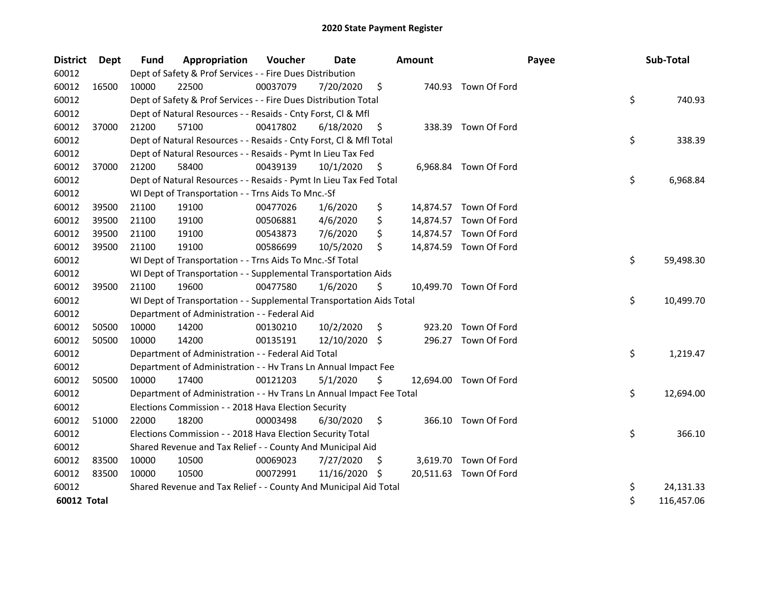| <b>District</b> | Dept  | <b>Fund</b> | Appropriation                                                        | Voucher  | Date          |    | <b>Amount</b> |                        | Payee | Sub-Total        |
|-----------------|-------|-------------|----------------------------------------------------------------------|----------|---------------|----|---------------|------------------------|-------|------------------|
| 60012           |       |             | Dept of Safety & Prof Services - - Fire Dues Distribution            |          |               |    |               |                        |       |                  |
| 60012           | 16500 | 10000       | 22500                                                                | 00037079 | 7/20/2020     | \$ |               | 740.93 Town Of Ford    |       |                  |
| 60012           |       |             | Dept of Safety & Prof Services - - Fire Dues Distribution Total      |          |               |    |               |                        |       | \$<br>740.93     |
| 60012           |       |             | Dept of Natural Resources - - Resaids - Cnty Forst, Cl & Mfl         |          |               |    |               |                        |       |                  |
| 60012           | 37000 | 21200       | 57100                                                                | 00417802 | 6/18/2020     | \$ |               | 338.39 Town Of Ford    |       |                  |
| 60012           |       |             | Dept of Natural Resources - - Resaids - Cnty Forst, Cl & Mfl Total   |          |               |    |               |                        |       | \$<br>338.39     |
| 60012           |       |             | Dept of Natural Resources - - Resaids - Pymt In Lieu Tax Fed         |          |               |    |               |                        |       |                  |
| 60012           | 37000 | 21200       | 58400                                                                | 00439139 | 10/1/2020     | \$ |               | 6,968.84 Town Of Ford  |       |                  |
| 60012           |       |             | Dept of Natural Resources - - Resaids - Pymt In Lieu Tax Fed Total   |          |               |    |               |                        |       | \$<br>6,968.84   |
| 60012           |       |             | WI Dept of Transportation - - Trns Aids To Mnc.-Sf                   |          |               |    |               |                        |       |                  |
| 60012           | 39500 | 21100       | 19100                                                                | 00477026 | 1/6/2020      | \$ |               | 14,874.57 Town Of Ford |       |                  |
| 60012           | 39500 | 21100       | 19100                                                                | 00506881 | 4/6/2020      | \$ |               | 14,874.57 Town Of Ford |       |                  |
| 60012           | 39500 | 21100       | 19100                                                                | 00543873 | 7/6/2020      | \$ |               | 14,874.57 Town Of Ford |       |                  |
| 60012           | 39500 | 21100       | 19100                                                                | 00586699 | 10/5/2020     | \$ |               | 14,874.59 Town Of Ford |       |                  |
| 60012           |       |             | WI Dept of Transportation - - Trns Aids To Mnc.-Sf Total             |          |               |    |               |                        |       | \$<br>59,498.30  |
| 60012           |       |             | WI Dept of Transportation - - Supplemental Transportation Aids       |          |               |    |               |                        |       |                  |
| 60012           | 39500 | 21100       | 19600                                                                | 00477580 | 1/6/2020      | \$ |               | 10,499.70 Town Of Ford |       |                  |
| 60012           |       |             | WI Dept of Transportation - - Supplemental Transportation Aids Total |          |               |    |               |                        |       | \$<br>10,499.70  |
| 60012           |       |             | Department of Administration - - Federal Aid                         |          |               |    |               |                        |       |                  |
| 60012           | 50500 | 10000       | 14200                                                                | 00130210 | 10/2/2020     | \$ | 923.20        | Town Of Ford           |       |                  |
| 60012           | 50500 | 10000       | 14200                                                                | 00135191 | 12/10/2020 \$ |    |               | 296.27 Town Of Ford    |       |                  |
| 60012           |       |             | Department of Administration - - Federal Aid Total                   |          |               |    |               |                        |       | \$<br>1,219.47   |
| 60012           |       |             | Department of Administration - - Hv Trans Ln Annual Impact Fee       |          |               |    |               |                        |       |                  |
| 60012           | 50500 | 10000       | 17400                                                                | 00121203 | 5/1/2020      | \$ |               | 12,694.00 Town Of Ford |       |                  |
| 60012           |       |             | Department of Administration - - Hv Trans Ln Annual Impact Fee Total |          |               |    |               |                        |       | \$<br>12,694.00  |
| 60012           |       |             | Elections Commission - - 2018 Hava Election Security                 |          |               |    |               |                        |       |                  |
| 60012           | 51000 | 22000       | 18200                                                                | 00003498 | 6/30/2020     | \$ |               | 366.10 Town Of Ford    |       |                  |
| 60012           |       |             | Elections Commission - - 2018 Hava Election Security Total           |          |               |    |               |                        |       | \$<br>366.10     |
| 60012           |       |             | Shared Revenue and Tax Relief - - County And Municipal Aid           |          |               |    |               |                        |       |                  |
| 60012           | 83500 | 10000       | 10500                                                                | 00069023 | 7/27/2020     | Ş. |               | 3,619.70 Town Of Ford  |       |                  |
| 60012           | 83500 | 10000       | 10500                                                                | 00072991 | 11/16/2020 \$ |    |               | 20,511.63 Town Of Ford |       |                  |
| 60012           |       |             | Shared Revenue and Tax Relief - - County And Municipal Aid Total     |          |               |    |               |                        |       | \$<br>24,131.33  |
| 60012 Total     |       |             |                                                                      |          |               |    |               |                        |       | \$<br>116,457.06 |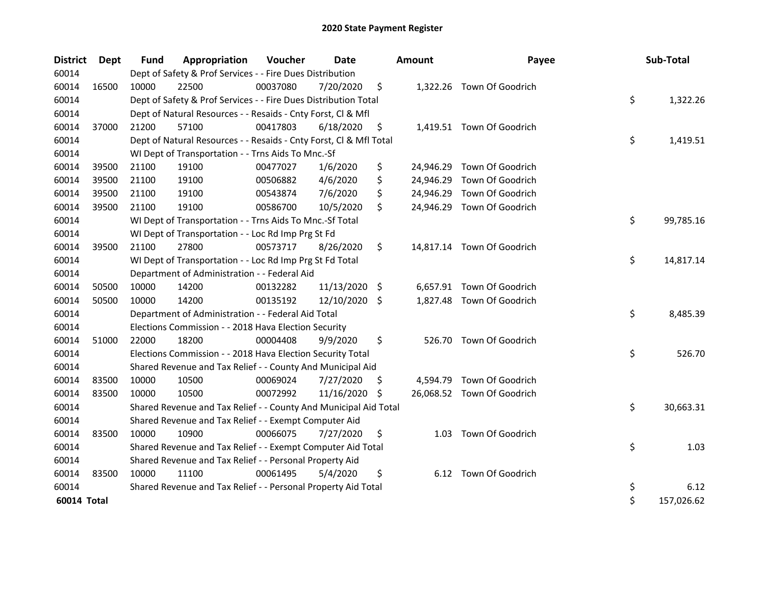| <b>District</b> | <b>Dept</b> | <b>Fund</b> | Appropriation                                                      | Voucher  | <b>Date</b>   |     | <b>Amount</b> | Payee                      | Sub-Total        |
|-----------------|-------------|-------------|--------------------------------------------------------------------|----------|---------------|-----|---------------|----------------------------|------------------|
| 60014           |             |             | Dept of Safety & Prof Services - - Fire Dues Distribution          |          |               |     |               |                            |                  |
| 60014           | 16500       | 10000       | 22500                                                              | 00037080 | 7/20/2020     | \$  |               | 1,322.26 Town Of Goodrich  |                  |
| 60014           |             |             | Dept of Safety & Prof Services - - Fire Dues Distribution Total    |          |               |     |               |                            | \$<br>1,322.26   |
| 60014           |             |             | Dept of Natural Resources - - Resaids - Cnty Forst, Cl & Mfl       |          |               |     |               |                            |                  |
| 60014           | 37000       | 21200       | 57100                                                              | 00417803 | 6/18/2020     | \$  |               | 1,419.51 Town Of Goodrich  |                  |
| 60014           |             |             | Dept of Natural Resources - - Resaids - Cnty Forst, Cl & Mfl Total |          |               |     |               |                            | \$<br>1,419.51   |
| 60014           |             |             | WI Dept of Transportation - - Trns Aids To Mnc.-Sf                 |          |               |     |               |                            |                  |
| 60014           | 39500       | 21100       | 19100                                                              | 00477027 | 1/6/2020      | \$  | 24,946.29     | Town Of Goodrich           |                  |
| 60014           | 39500       | 21100       | 19100                                                              | 00506882 | 4/6/2020      | \$  | 24,946.29     | Town Of Goodrich           |                  |
| 60014           | 39500       | 21100       | 19100                                                              | 00543874 | 7/6/2020      | \$  | 24,946.29     | Town Of Goodrich           |                  |
| 60014           | 39500       | 21100       | 19100                                                              | 00586700 | 10/5/2020     | \$  |               | 24,946.29 Town Of Goodrich |                  |
| 60014           |             |             | WI Dept of Transportation - - Trns Aids To Mnc.-Sf Total           |          |               |     |               |                            | \$<br>99,785.16  |
| 60014           |             |             | WI Dept of Transportation - - Loc Rd Imp Prg St Fd                 |          |               |     |               |                            |                  |
| 60014           | 39500       | 21100       | 27800                                                              | 00573717 | 8/26/2020     | \$  |               | 14,817.14 Town Of Goodrich |                  |
| 60014           |             |             | WI Dept of Transportation - - Loc Rd Imp Prg St Fd Total           |          |               |     |               |                            | \$<br>14,817.14  |
| 60014           |             |             | Department of Administration - - Federal Aid                       |          |               |     |               |                            |                  |
| 60014           | 50500       | 10000       | 14200                                                              | 00132282 | 11/13/2020    | \$  |               | 6,657.91 Town Of Goodrich  |                  |
| 60014           | 50500       | 10000       | 14200                                                              | 00135192 | 12/10/2020 \$ |     |               | 1,827.48 Town Of Goodrich  |                  |
| 60014           |             |             | Department of Administration - - Federal Aid Total                 |          |               |     |               |                            | \$<br>8,485.39   |
| 60014           |             |             | Elections Commission - - 2018 Hava Election Security               |          |               |     |               |                            |                  |
| 60014           | 51000       | 22000       | 18200                                                              | 00004408 | 9/9/2020      | \$  |               | 526.70 Town Of Goodrich    |                  |
| 60014           |             |             | Elections Commission - - 2018 Hava Election Security Total         |          |               |     |               |                            | \$<br>526.70     |
| 60014           |             |             | Shared Revenue and Tax Relief - - County And Municipal Aid         |          |               |     |               |                            |                  |
| 60014           | 83500       | 10000       | 10500                                                              | 00069024 | 7/27/2020     | \$. | 4,594.79      | Town Of Goodrich           |                  |
| 60014           | 83500       | 10000       | 10500                                                              | 00072992 | 11/16/2020    | \$  |               | 26,068.52 Town Of Goodrich |                  |
| 60014           |             |             | Shared Revenue and Tax Relief - - County And Municipal Aid Total   |          |               |     |               |                            | \$<br>30,663.31  |
| 60014           |             |             | Shared Revenue and Tax Relief - - Exempt Computer Aid              |          |               |     |               |                            |                  |
| 60014           | 83500       | 10000       | 10900                                                              | 00066075 | 7/27/2020     | \$  | 1.03          | Town Of Goodrich           |                  |
| 60014           |             |             | Shared Revenue and Tax Relief - - Exempt Computer Aid Total        |          |               |     |               |                            | \$<br>1.03       |
| 60014           |             |             | Shared Revenue and Tax Relief - - Personal Property Aid            |          |               |     |               |                            |                  |
| 60014           | 83500       | 10000       | 11100                                                              | 00061495 | 5/4/2020      | \$  |               | 6.12 Town Of Goodrich      |                  |
| 60014           |             |             | Shared Revenue and Tax Relief - - Personal Property Aid Total      |          |               |     |               |                            | \$<br>6.12       |
| 60014 Total     |             |             |                                                                    |          |               |     |               |                            | \$<br>157,026.62 |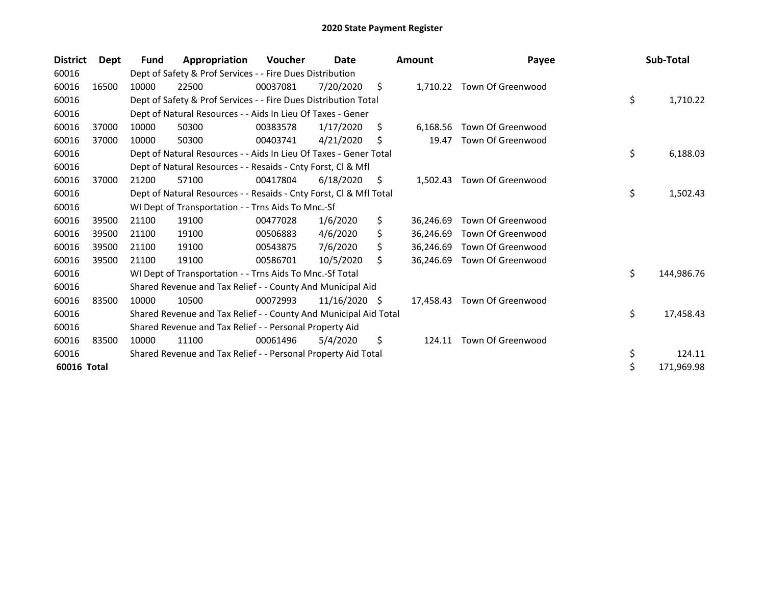| <b>District</b> | <b>Dept</b> | Fund  | Appropriation                                                      | Voucher  | Date            |    | <b>Amount</b> | Payee                       | Sub-Total        |
|-----------------|-------------|-------|--------------------------------------------------------------------|----------|-----------------|----|---------------|-----------------------------|------------------|
| 60016           |             |       | Dept of Safety & Prof Services - - Fire Dues Distribution          |          |                 |    |               |                             |                  |
| 60016           | 16500       | 10000 | 22500                                                              | 00037081 | 7/20/2020       | \$ | 1,710.22      | Town Of Greenwood           |                  |
| 60016           |             |       | Dept of Safety & Prof Services - - Fire Dues Distribution Total    |          |                 |    |               |                             | \$<br>1,710.22   |
| 60016           |             |       | Dept of Natural Resources - - Aids In Lieu Of Taxes - Gener        |          |                 |    |               |                             |                  |
| 60016           | 37000       | 10000 | 50300                                                              | 00383578 | 1/17/2020       | S. | 6,168.56      | Town Of Greenwood           |                  |
| 60016           | 37000       | 10000 | 50300                                                              | 00403741 | 4/21/2020       | S. | 19.47         | Town Of Greenwood           |                  |
| 60016           |             |       | Dept of Natural Resources - - Aids In Lieu Of Taxes - Gener Total  |          |                 |    |               |                             | \$<br>6,188.03   |
| 60016           |             |       | Dept of Natural Resources - - Resaids - Cnty Forst, CI & Mfl       |          |                 |    |               |                             |                  |
| 60016           | 37000       | 21200 | 57100                                                              | 00417804 | 6/18/2020       | \$ | 1,502.43      | Town Of Greenwood           |                  |
| 60016           |             |       | Dept of Natural Resources - - Resaids - Cnty Forst, CI & Mfl Total |          |                 |    |               |                             | \$<br>1,502.43   |
| 60016           |             |       | WI Dept of Transportation - - Trns Aids To Mnc.-Sf                 |          |                 |    |               |                             |                  |
| 60016           | 39500       | 21100 | 19100                                                              | 00477028 | 1/6/2020        | \$ | 36,246.69     | Town Of Greenwood           |                  |
| 60016           | 39500       | 21100 | 19100                                                              | 00506883 | 4/6/2020        | \$ | 36.246.69     | Town Of Greenwood           |                  |
| 60016           | 39500       | 21100 | 19100                                                              | 00543875 | 7/6/2020        | Ś. | 36,246.69     | Town Of Greenwood           |                  |
| 60016           | 39500       | 21100 | 19100                                                              | 00586701 | 10/5/2020       | Ŝ. | 36,246.69     | Town Of Greenwood           |                  |
| 60016           |             |       | WI Dept of Transportation - - Trns Aids To Mnc.-Sf Total           |          |                 |    |               |                             | \$<br>144,986.76 |
| 60016           |             |       | Shared Revenue and Tax Relief - - County And Municipal Aid         |          |                 |    |               |                             |                  |
| 60016           | 83500       | 10000 | 10500                                                              | 00072993 | $11/16/2020$ \$ |    |               | 17,458.43 Town Of Greenwood |                  |
| 60016           |             |       | Shared Revenue and Tax Relief - - County And Municipal Aid Total   |          |                 |    |               |                             | \$<br>17,458.43  |
| 60016           |             |       | Shared Revenue and Tax Relief - - Personal Property Aid            |          |                 |    |               |                             |                  |
| 60016           | 83500       | 10000 | 11100                                                              | 00061496 | 5/4/2020        | \$ | 124.11        | Town Of Greenwood           |                  |
| 60016           |             |       | Shared Revenue and Tax Relief - - Personal Property Aid Total      |          |                 |    |               |                             | \$<br>124.11     |
| 60016 Total     |             |       |                                                                    |          |                 |    |               |                             | \$<br>171,969.98 |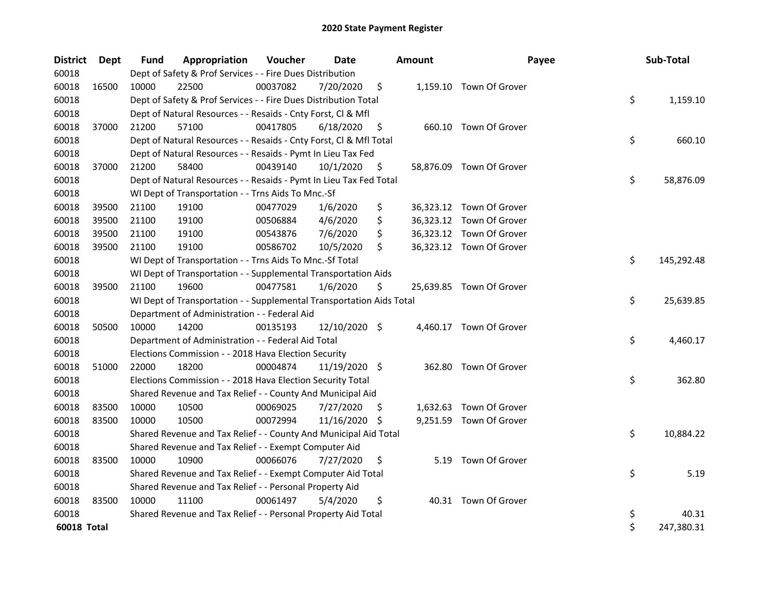| <b>District</b> | Dept  | Fund  | Appropriation                                                        | Voucher  | Date          |    | <b>Amount</b> | Payee                    | Sub-Total        |
|-----------------|-------|-------|----------------------------------------------------------------------|----------|---------------|----|---------------|--------------------------|------------------|
| 60018           |       |       | Dept of Safety & Prof Services - - Fire Dues Distribution            |          |               |    |               |                          |                  |
| 60018           | 16500 | 10000 | 22500                                                                | 00037082 | 7/20/2020     | \$ |               | 1,159.10 Town Of Grover  |                  |
| 60018           |       |       | Dept of Safety & Prof Services - - Fire Dues Distribution Total      |          |               |    |               |                          | \$<br>1,159.10   |
| 60018           |       |       | Dept of Natural Resources - - Resaids - Cnty Forst, CI & Mfl         |          |               |    |               |                          |                  |
| 60018           | 37000 | 21200 | 57100                                                                | 00417805 | 6/18/2020     | \$ |               | 660.10 Town Of Grover    |                  |
| 60018           |       |       | Dept of Natural Resources - - Resaids - Cnty Forst, Cl & Mfl Total   |          |               |    |               |                          | \$<br>660.10     |
| 60018           |       |       | Dept of Natural Resources - - Resaids - Pymt In Lieu Tax Fed         |          |               |    |               |                          |                  |
| 60018           | 37000 | 21200 | 58400                                                                | 00439140 | 10/1/2020     | \$ |               | 58,876.09 Town Of Grover |                  |
| 60018           |       |       | Dept of Natural Resources - - Resaids - Pymt In Lieu Tax Fed Total   |          |               |    |               |                          | \$<br>58,876.09  |
| 60018           |       |       | WI Dept of Transportation - - Trns Aids To Mnc.-Sf                   |          |               |    |               |                          |                  |
| 60018           | 39500 | 21100 | 19100                                                                | 00477029 | 1/6/2020      | \$ |               | 36,323.12 Town Of Grover |                  |
| 60018           | 39500 | 21100 | 19100                                                                | 00506884 | 4/6/2020      | \$ |               | 36,323.12 Town Of Grover |                  |
| 60018           | 39500 | 21100 | 19100                                                                | 00543876 | 7/6/2020      | \$ |               | 36,323.12 Town Of Grover |                  |
| 60018           | 39500 | 21100 | 19100                                                                | 00586702 | 10/5/2020     | \$ |               | 36,323.12 Town Of Grover |                  |
| 60018           |       |       | WI Dept of Transportation - - Trns Aids To Mnc.-Sf Total             |          |               |    |               |                          | \$<br>145,292.48 |
| 60018           |       |       | WI Dept of Transportation - - Supplemental Transportation Aids       |          |               |    |               |                          |                  |
| 60018           | 39500 | 21100 | 19600                                                                | 00477581 | 1/6/2020      | \$ |               | 25,639.85 Town Of Grover |                  |
| 60018           |       |       | WI Dept of Transportation - - Supplemental Transportation Aids Total |          |               |    |               |                          | \$<br>25,639.85  |
| 60018           |       |       | Department of Administration - - Federal Aid                         |          |               |    |               |                          |                  |
| 60018           | 50500 | 10000 | 14200                                                                | 00135193 | 12/10/2020 \$ |    |               | 4,460.17 Town Of Grover  |                  |
| 60018           |       |       | Department of Administration - - Federal Aid Total                   |          |               |    |               |                          | \$<br>4,460.17   |
| 60018           |       |       | Elections Commission - - 2018 Hava Election Security                 |          |               |    |               |                          |                  |
| 60018           | 51000 | 22000 | 18200                                                                | 00004874 | 11/19/2020 \$ |    |               | 362.80 Town Of Grover    |                  |
| 60018           |       |       | Elections Commission - - 2018 Hava Election Security Total           |          |               |    |               |                          | \$<br>362.80     |
| 60018           |       |       | Shared Revenue and Tax Relief - - County And Municipal Aid           |          |               |    |               |                          |                  |
| 60018           | 83500 | 10000 | 10500                                                                | 00069025 | 7/27/2020     | S. |               | 1,632.63 Town Of Grover  |                  |
| 60018           | 83500 | 10000 | 10500                                                                | 00072994 | 11/16/2020 \$ |    |               | 9,251.59 Town Of Grover  |                  |
| 60018           |       |       | Shared Revenue and Tax Relief - - County And Municipal Aid Total     |          |               |    |               |                          | \$<br>10,884.22  |
| 60018           |       |       | Shared Revenue and Tax Relief - - Exempt Computer Aid                |          |               |    |               |                          |                  |
| 60018           | 83500 | 10000 | 10900                                                                | 00066076 | 7/27/2020     | \$ |               | 5.19 Town Of Grover      |                  |
| 60018           |       |       | Shared Revenue and Tax Relief - - Exempt Computer Aid Total          |          |               |    |               |                          | \$<br>5.19       |
| 60018           |       |       | Shared Revenue and Tax Relief - - Personal Property Aid              |          |               |    |               |                          |                  |
| 60018           | 83500 | 10000 | 11100                                                                | 00061497 | 5/4/2020      | \$ |               | 40.31 Town Of Grover     |                  |
| 60018           |       |       | Shared Revenue and Tax Relief - - Personal Property Aid Total        |          |               |    |               |                          | \$<br>40.31      |
| 60018 Total     |       |       |                                                                      |          |               |    |               |                          | \$<br>247,380.31 |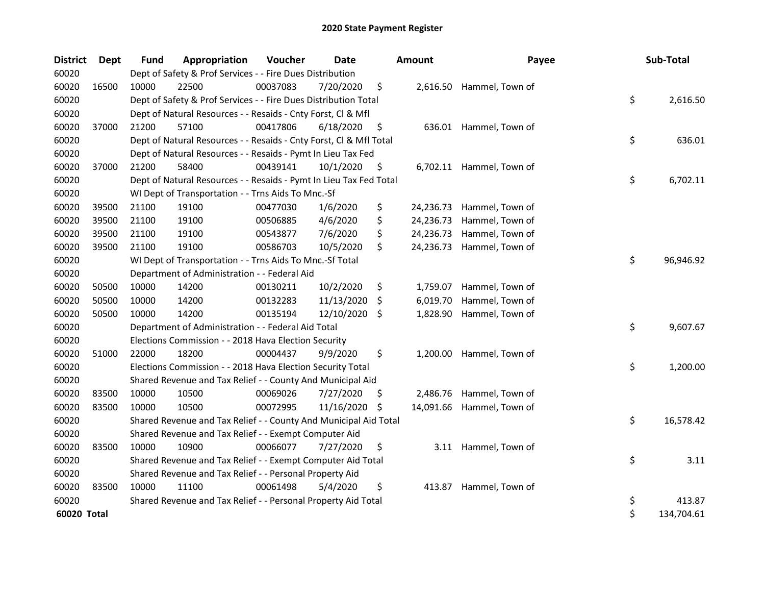| <b>District</b> | Dept  | <b>Fund</b> | Appropriation                                                      | Voucher  | <b>Date</b> |     | <b>Amount</b> | Payee                     | Sub-Total        |
|-----------------|-------|-------------|--------------------------------------------------------------------|----------|-------------|-----|---------------|---------------------------|------------------|
| 60020           |       |             | Dept of Safety & Prof Services - - Fire Dues Distribution          |          |             |     |               |                           |                  |
| 60020           | 16500 | 10000       | 22500                                                              | 00037083 | 7/20/2020   | \$  |               | 2,616.50 Hammel, Town of  |                  |
| 60020           |       |             | Dept of Safety & Prof Services - - Fire Dues Distribution Total    |          |             |     |               |                           | \$<br>2,616.50   |
| 60020           |       |             | Dept of Natural Resources - - Resaids - Cnty Forst, Cl & Mfl       |          |             |     |               |                           |                  |
| 60020           | 37000 | 21200       | 57100                                                              | 00417806 | 6/18/2020   | \$  |               | 636.01 Hammel, Town of    |                  |
| 60020           |       |             | Dept of Natural Resources - - Resaids - Cnty Forst, Cl & Mfl Total |          |             |     |               |                           | \$<br>636.01     |
| 60020           |       |             | Dept of Natural Resources - - Resaids - Pymt In Lieu Tax Fed       |          |             |     |               |                           |                  |
| 60020           | 37000 | 21200       | 58400                                                              | 00439141 | 10/1/2020   | \$, |               | 6,702.11 Hammel, Town of  |                  |
| 60020           |       |             | Dept of Natural Resources - - Resaids - Pymt In Lieu Tax Fed Total |          |             |     |               |                           | \$<br>6,702.11   |
| 60020           |       |             | WI Dept of Transportation - - Trns Aids To Mnc.-Sf                 |          |             |     |               |                           |                  |
| 60020           | 39500 | 21100       | 19100                                                              | 00477030 | 1/6/2020    | \$  | 24,236.73     | Hammel, Town of           |                  |
| 60020           | 39500 | 21100       | 19100                                                              | 00506885 | 4/6/2020    | \$  | 24,236.73     | Hammel, Town of           |                  |
| 60020           | 39500 | 21100       | 19100                                                              | 00543877 | 7/6/2020    | \$  | 24,236.73     | Hammel, Town of           |                  |
| 60020           | 39500 | 21100       | 19100                                                              | 00586703 | 10/5/2020   | \$  | 24,236.73     | Hammel, Town of           |                  |
| 60020           |       |             | WI Dept of Transportation - - Trns Aids To Mnc.-Sf Total           |          |             |     |               |                           | \$<br>96,946.92  |
| 60020           |       |             | Department of Administration - - Federal Aid                       |          |             |     |               |                           |                  |
| 60020           | 50500 | 10000       | 14200                                                              | 00130211 | 10/2/2020   | \$  | 1,759.07      | Hammel, Town of           |                  |
| 60020           | 50500 | 10000       | 14200                                                              | 00132283 | 11/13/2020  | \$  | 6,019.70      | Hammel, Town of           |                  |
| 60020           | 50500 | 10000       | 14200                                                              | 00135194 | 12/10/2020  | S.  | 1,828.90      | Hammel, Town of           |                  |
| 60020           |       |             | Department of Administration - - Federal Aid Total                 |          |             |     |               |                           | \$<br>9,607.67   |
| 60020           |       |             | Elections Commission - - 2018 Hava Election Security               |          |             |     |               |                           |                  |
| 60020           | 51000 | 22000       | 18200                                                              | 00004437 | 9/9/2020    | \$  | 1,200.00      | Hammel, Town of           |                  |
| 60020           |       |             | Elections Commission - - 2018 Hava Election Security Total         |          |             |     |               |                           | \$<br>1,200.00   |
| 60020           |       |             | Shared Revenue and Tax Relief - - County And Municipal Aid         |          |             |     |               |                           |                  |
| 60020           | 83500 | 10000       | 10500                                                              | 00069026 | 7/27/2020   | \$. | 2,486.76      | Hammel, Town of           |                  |
| 60020           | 83500 | 10000       | 10500                                                              | 00072995 | 11/16/2020  | -\$ |               | 14,091.66 Hammel, Town of |                  |
| 60020           |       |             | Shared Revenue and Tax Relief - - County And Municipal Aid Total   |          |             |     |               |                           | \$<br>16,578.42  |
| 60020           |       |             | Shared Revenue and Tax Relief - - Exempt Computer Aid              |          |             |     |               |                           |                  |
| 60020           | 83500 | 10000       | 10900                                                              | 00066077 | 7/27/2020   | \$  |               | 3.11 Hammel, Town of      |                  |
| 60020           |       |             | Shared Revenue and Tax Relief - - Exempt Computer Aid Total        |          |             |     |               |                           | \$<br>3.11       |
| 60020           |       |             | Shared Revenue and Tax Relief - - Personal Property Aid            |          |             |     |               |                           |                  |
| 60020           | 83500 | 10000       | 11100                                                              | 00061498 | 5/4/2020    | \$  | 413.87        | Hammel, Town of           |                  |
| 60020           |       |             | Shared Revenue and Tax Relief - - Personal Property Aid Total      |          |             |     |               |                           | \$<br>413.87     |
| 60020 Total     |       |             |                                                                    |          |             |     |               |                           | \$<br>134,704.61 |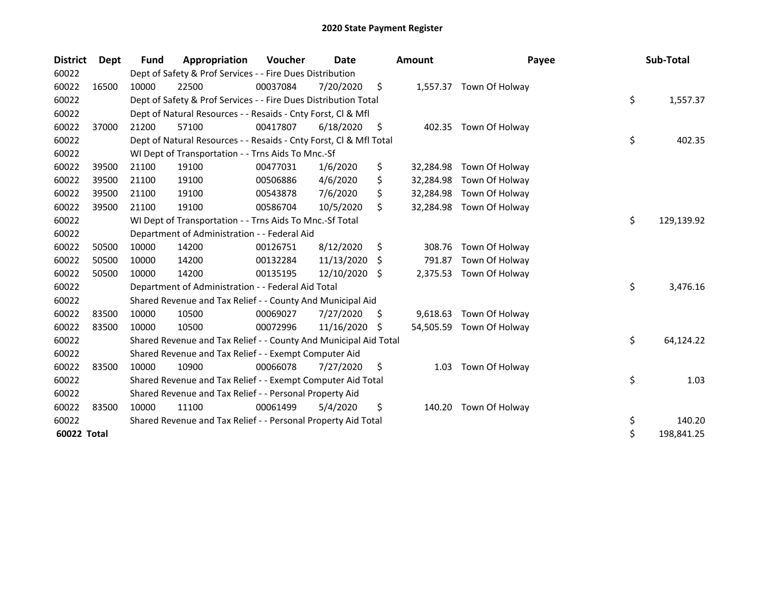| <b>District</b> | <b>Dept</b> | <b>Fund</b> | Appropriation                                                      | Voucher  | Date       |    | <b>Amount</b> | Payee                    | Sub-Total        |
|-----------------|-------------|-------------|--------------------------------------------------------------------|----------|------------|----|---------------|--------------------------|------------------|
| 60022           |             |             | Dept of Safety & Prof Services - - Fire Dues Distribution          |          |            |    |               |                          |                  |
| 60022           | 16500       | 10000       | 22500                                                              | 00037084 | 7/20/2020  | \$ |               | 1,557.37 Town Of Holway  |                  |
| 60022           |             |             | Dept of Safety & Prof Services - - Fire Dues Distribution Total    |          |            |    |               |                          | \$<br>1,557.37   |
| 60022           |             |             | Dept of Natural Resources - - Resaids - Cnty Forst, Cl & Mfl       |          |            |    |               |                          |                  |
| 60022           | 37000       | 21200       | 57100                                                              | 00417807 | 6/18/2020  | \$ | 402.35        | Town Of Holway           |                  |
| 60022           |             |             | Dept of Natural Resources - - Resaids - Cnty Forst, Cl & Mfl Total |          |            |    |               |                          | \$<br>402.35     |
| 60022           |             |             | WI Dept of Transportation - - Trns Aids To Mnc.-Sf                 |          |            |    |               |                          |                  |
| 60022           | 39500       | 21100       | 19100                                                              | 00477031 | 1/6/2020   | \$ | 32,284.98     | Town Of Holway           |                  |
| 60022           | 39500       | 21100       | 19100                                                              | 00506886 | 4/6/2020   | \$ | 32,284.98     | Town Of Holway           |                  |
| 60022           | 39500       | 21100       | 19100                                                              | 00543878 | 7/6/2020   | \$ | 32,284.98     | Town Of Holway           |                  |
| 60022           | 39500       | 21100       | 19100                                                              | 00586704 | 10/5/2020  | \$ | 32,284.98     | Town Of Holway           |                  |
| 60022           |             |             | WI Dept of Transportation - - Trns Aids To Mnc.-Sf Total           |          |            |    |               |                          | \$<br>129,139.92 |
| 60022           |             |             | Department of Administration - - Federal Aid                       |          |            |    |               |                          |                  |
| 60022           | 50500       | 10000       | 14200                                                              | 00126751 | 8/12/2020  | \$ | 308.76        | Town Of Holway           |                  |
| 60022           | 50500       | 10000       | 14200                                                              | 00132284 | 11/13/2020 | S. | 791.87        | Town Of Holway           |                  |
| 60022           | 50500       | 10000       | 14200                                                              | 00135195 | 12/10/2020 | S. | 2,375.53      | Town Of Holway           |                  |
| 60022           |             |             | Department of Administration - - Federal Aid Total                 |          |            |    |               |                          | \$<br>3,476.16   |
| 60022           |             |             | Shared Revenue and Tax Relief - - County And Municipal Aid         |          |            |    |               |                          |                  |
| 60022           | 83500       | 10000       | 10500                                                              | 00069027 | 7/27/2020  | \$ | 9,618.63      | Town Of Holway           |                  |
| 60022           | 83500       | 10000       | 10500                                                              | 00072996 | 11/16/2020 | S  |               | 54,505.59 Town Of Holway |                  |
| 60022           |             |             | Shared Revenue and Tax Relief - - County And Municipal Aid Total   |          |            |    |               |                          | \$<br>64,124.22  |
| 60022           |             |             | Shared Revenue and Tax Relief - - Exempt Computer Aid              |          |            |    |               |                          |                  |
| 60022           | 83500       | 10000       | 10900                                                              | 00066078 | 7/27/2020  | \$ | 1.03          | Town Of Holway           |                  |
| 60022           |             |             | Shared Revenue and Tax Relief - - Exempt Computer Aid Total        |          |            |    |               |                          | \$<br>1.03       |
| 60022           |             |             | Shared Revenue and Tax Relief - - Personal Property Aid            |          |            |    |               |                          |                  |
| 60022           | 83500       | 10000       | 11100                                                              | 00061499 | 5/4/2020   | \$ | 140.20        | Town Of Holway           |                  |
| 60022           |             |             | Shared Revenue and Tax Relief - - Personal Property Aid Total      |          |            |    |               |                          | \$<br>140.20     |
| 60022 Total     |             |             |                                                                    |          |            |    |               |                          | \$<br>198,841.25 |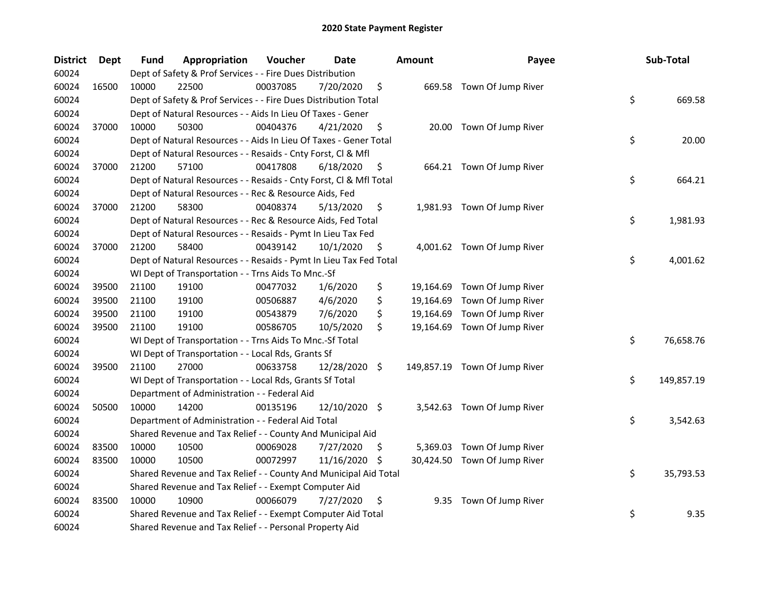| <b>District</b> | <b>Dept</b> | Fund  | Appropriation                                                      | Voucher  | <b>Date</b>   |     | <b>Amount</b> | Payee                         | Sub-Total        |
|-----------------|-------------|-------|--------------------------------------------------------------------|----------|---------------|-----|---------------|-------------------------------|------------------|
| 60024           |             |       | Dept of Safety & Prof Services - - Fire Dues Distribution          |          |               |     |               |                               |                  |
| 60024           | 16500       | 10000 | 22500                                                              | 00037085 | 7/20/2020     | \$  |               | 669.58 Town Of Jump River     |                  |
| 60024           |             |       | Dept of Safety & Prof Services - - Fire Dues Distribution Total    |          |               |     |               |                               | \$<br>669.58     |
| 60024           |             |       | Dept of Natural Resources - - Aids In Lieu Of Taxes - Gener        |          |               |     |               |                               |                  |
| 60024           | 37000       | 10000 | 50300                                                              | 00404376 | 4/21/2020     | \$  |               | 20.00 Town Of Jump River      |                  |
| 60024           |             |       | Dept of Natural Resources - - Aids In Lieu Of Taxes - Gener Total  |          |               |     |               |                               | \$<br>20.00      |
| 60024           |             |       | Dept of Natural Resources - - Resaids - Cnty Forst, Cl & Mfl       |          |               |     |               |                               |                  |
| 60024           | 37000       | 21200 | 57100                                                              | 00417808 | 6/18/2020     | \$  |               | 664.21 Town Of Jump River     |                  |
| 60024           |             |       | Dept of Natural Resources - - Resaids - Cnty Forst, CI & Mfl Total |          |               |     |               |                               | \$<br>664.21     |
| 60024           |             |       | Dept of Natural Resources - - Rec & Resource Aids, Fed             |          |               |     |               |                               |                  |
| 60024           | 37000       | 21200 | 58300                                                              | 00408374 | 5/13/2020     | \$  |               | 1,981.93 Town Of Jump River   |                  |
| 60024           |             |       | Dept of Natural Resources - - Rec & Resource Aids, Fed Total       |          |               |     |               |                               | \$<br>1,981.93   |
| 60024           |             |       | Dept of Natural Resources - - Resaids - Pymt In Lieu Tax Fed       |          |               |     |               |                               |                  |
| 60024           | 37000       | 21200 | 58400                                                              | 00439142 | 10/1/2020     | \$. |               | 4,001.62 Town Of Jump River   |                  |
| 60024           |             |       | Dept of Natural Resources - - Resaids - Pymt In Lieu Tax Fed Total |          |               |     |               |                               | \$<br>4,001.62   |
| 60024           |             |       | WI Dept of Transportation - - Trns Aids To Mnc.-Sf                 |          |               |     |               |                               |                  |
| 60024           | 39500       | 21100 | 19100                                                              | 00477032 | 1/6/2020      | \$  | 19,164.69     | Town Of Jump River            |                  |
| 60024           | 39500       | 21100 | 19100                                                              | 00506887 | 4/6/2020      | \$  | 19,164.69     | Town Of Jump River            |                  |
| 60024           | 39500       | 21100 | 19100                                                              | 00543879 | 7/6/2020      | \$  | 19,164.69     | Town Of Jump River            |                  |
| 60024           | 39500       | 21100 | 19100                                                              | 00586705 | 10/5/2020     | \$  | 19,164.69     | Town Of Jump River            |                  |
| 60024           |             |       | WI Dept of Transportation - - Trns Aids To Mnc.-Sf Total           |          |               |     |               |                               | \$<br>76,658.76  |
| 60024           |             |       | WI Dept of Transportation - - Local Rds, Grants Sf                 |          |               |     |               |                               |                  |
| 60024           | 39500       | 21100 | 27000                                                              | 00633758 | 12/28/2020 \$ |     |               | 149,857.19 Town Of Jump River |                  |
| 60024           |             |       | WI Dept of Transportation - - Local Rds, Grants Sf Total           |          |               |     |               |                               | \$<br>149,857.19 |
| 60024           |             |       | Department of Administration - - Federal Aid                       |          |               |     |               |                               |                  |
| 60024           | 50500       | 10000 | 14200                                                              | 00135196 | 12/10/2020 \$ |     |               | 3,542.63 Town Of Jump River   |                  |
| 60024           |             |       | Department of Administration - - Federal Aid Total                 |          |               |     |               |                               | \$<br>3,542.63   |
| 60024           |             |       | Shared Revenue and Tax Relief - - County And Municipal Aid         |          |               |     |               |                               |                  |
| 60024           | 83500       | 10000 | 10500                                                              | 00069028 | 7/27/2020     | S   | 5,369.03      | Town Of Jump River            |                  |
| 60024           | 83500       | 10000 | 10500                                                              | 00072997 | 11/16/2020    | \$. |               | 30,424.50 Town Of Jump River  |                  |
| 60024           |             |       | Shared Revenue and Tax Relief - - County And Municipal Aid Total   |          |               |     |               |                               | \$<br>35,793.53  |
| 60024           |             |       | Shared Revenue and Tax Relief - - Exempt Computer Aid              |          |               |     |               |                               |                  |
| 60024           | 83500       | 10000 | 10900                                                              | 00066079 | 7/27/2020     | \$  |               | 9.35 Town Of Jump River       |                  |
| 60024           |             |       | Shared Revenue and Tax Relief - - Exempt Computer Aid Total        |          |               |     |               |                               | \$<br>9.35       |
| 60024           |             |       | Shared Revenue and Tax Relief - - Personal Property Aid            |          |               |     |               |                               |                  |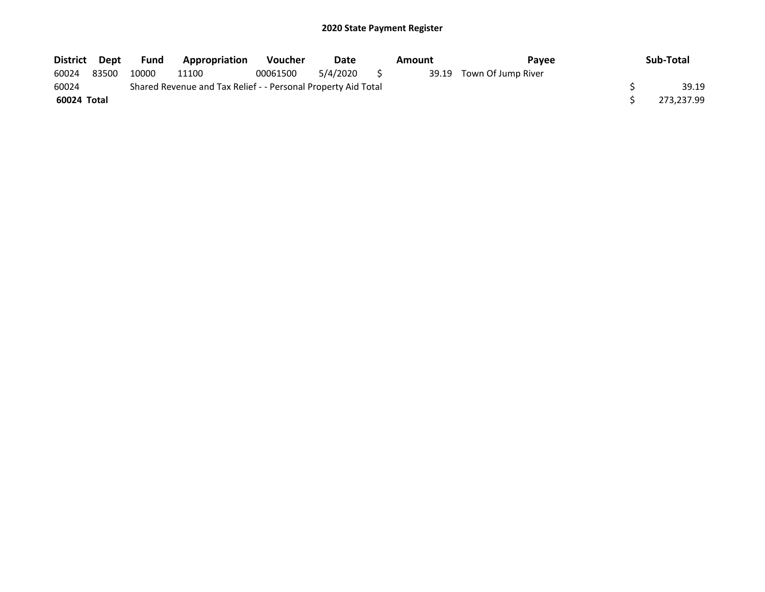| District Dept |       | <b>Fund</b> | <b>Appropriation</b>                                          | <b>Voucher</b> | Date     |     | Amount | <b>Pavee</b>             | Sub-Total  |
|---------------|-------|-------------|---------------------------------------------------------------|----------------|----------|-----|--------|--------------------------|------------|
| 60024         | 83500 | 10000       | 11100                                                         | 00061500       | 5/4/2020 | s s |        | 39.19 Town Of Jump River |            |
| 60024         |       |             | Shared Revenue and Tax Relief - - Personal Property Aid Total |                |          |     |        |                          | 39.19      |
| 60024 Total   |       |             |                                                               |                |          |     |        |                          | 273,237.99 |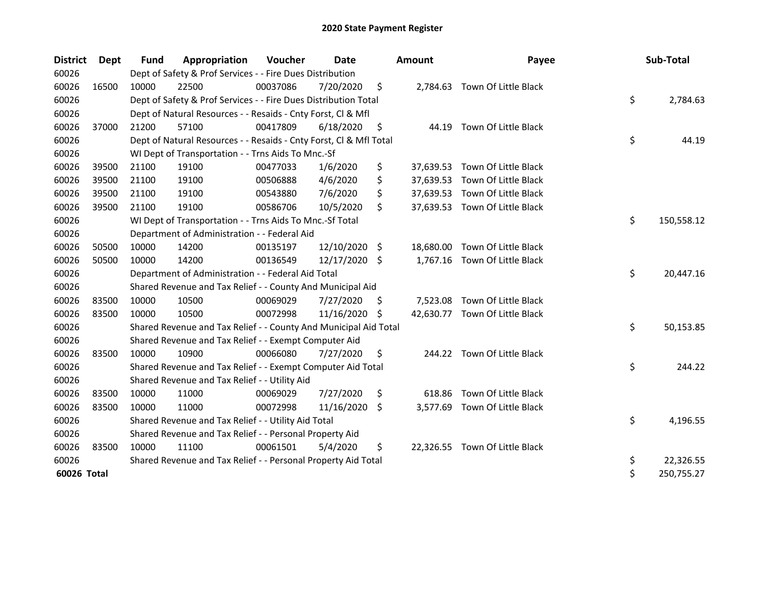| <b>District</b> | Dept  | <b>Fund</b> | Appropriation                                                      | Voucher  | <b>Date</b>   |    | <b>Amount</b> | Payee                          | Sub-Total        |
|-----------------|-------|-------------|--------------------------------------------------------------------|----------|---------------|----|---------------|--------------------------------|------------------|
| 60026           |       |             | Dept of Safety & Prof Services - - Fire Dues Distribution          |          |               |    |               |                                |                  |
| 60026           | 16500 | 10000       | 22500                                                              | 00037086 | 7/20/2020     | \$ |               | 2,784.63 Town Of Little Black  |                  |
| 60026           |       |             | Dept of Safety & Prof Services - - Fire Dues Distribution Total    |          |               |    |               |                                | \$<br>2,784.63   |
| 60026           |       |             | Dept of Natural Resources - - Resaids - Cnty Forst, Cl & Mfl       |          |               |    |               |                                |                  |
| 60026           | 37000 | 21200       | 57100                                                              | 00417809 | 6/18/2020     | \$ | 44.19         | Town Of Little Black           |                  |
| 60026           |       |             | Dept of Natural Resources - - Resaids - Cnty Forst, Cl & Mfl Total |          |               |    |               |                                | \$<br>44.19      |
| 60026           |       |             | WI Dept of Transportation - - Trns Aids To Mnc.-Sf                 |          |               |    |               |                                |                  |
| 60026           | 39500 | 21100       | 19100                                                              | 00477033 | 1/6/2020      | \$ |               | 37,639.53 Town Of Little Black |                  |
| 60026           | 39500 | 21100       | 19100                                                              | 00506888 | 4/6/2020      | \$ | 37,639.53     | Town Of Little Black           |                  |
| 60026           | 39500 | 21100       | 19100                                                              | 00543880 | 7/6/2020      | \$ |               | 37,639.53 Town Of Little Black |                  |
| 60026           | 39500 | 21100       | 19100                                                              | 00586706 | 10/5/2020     | \$ |               | 37,639.53 Town Of Little Black |                  |
| 60026           |       |             | WI Dept of Transportation - - Trns Aids To Mnc.-Sf Total           |          |               |    |               |                                | \$<br>150,558.12 |
| 60026           |       |             | Department of Administration - - Federal Aid                       |          |               |    |               |                                |                  |
| 60026           | 50500 | 10000       | 14200                                                              | 00135197 | 12/10/2020 \$ |    |               | 18,680.00 Town Of Little Black |                  |
| 60026           | 50500 | 10000       | 14200                                                              | 00136549 | 12/17/2020 \$ |    |               | 1,767.16 Town Of Little Black  |                  |
| 60026           |       |             | Department of Administration - - Federal Aid Total                 |          |               |    |               |                                | \$<br>20,447.16  |
| 60026           |       |             | Shared Revenue and Tax Relief - - County And Municipal Aid         |          |               |    |               |                                |                  |
| 60026           | 83500 | 10000       | 10500                                                              | 00069029 | 7/27/2020     | S. | 7,523.08      | Town Of Little Black           |                  |
| 60026           | 83500 | 10000       | 10500                                                              | 00072998 | 11/16/2020 \$ |    |               | 42,630.77 Town Of Little Black |                  |
| 60026           |       |             | Shared Revenue and Tax Relief - - County And Municipal Aid Total   |          |               |    |               |                                | \$<br>50,153.85  |
| 60026           |       |             | Shared Revenue and Tax Relief - - Exempt Computer Aid              |          |               |    |               |                                |                  |
| 60026           | 83500 | 10000       | 10900                                                              | 00066080 | 7/27/2020     | \$ |               | 244.22 Town Of Little Black    |                  |
| 60026           |       |             | Shared Revenue and Tax Relief - - Exempt Computer Aid Total        |          |               |    |               |                                | \$<br>244.22     |
| 60026           |       |             | Shared Revenue and Tax Relief - - Utility Aid                      |          |               |    |               |                                |                  |
| 60026           | 83500 | 10000       | 11000                                                              | 00069029 | 7/27/2020     | \$ | 618.86        | Town Of Little Black           |                  |
| 60026           | 83500 | 10000       | 11000                                                              | 00072998 | 11/16/2020    | \$ |               | 3,577.69 Town Of Little Black  |                  |
| 60026           |       |             | Shared Revenue and Tax Relief - - Utility Aid Total                |          |               |    |               |                                | \$<br>4,196.55   |
| 60026           |       |             | Shared Revenue and Tax Relief - - Personal Property Aid            |          |               |    |               |                                |                  |
| 60026           | 83500 | 10000       | 11100                                                              | 00061501 | 5/4/2020      | \$ |               | 22,326.55 Town Of Little Black |                  |
| 60026           |       |             | Shared Revenue and Tax Relief - - Personal Property Aid Total      |          |               |    |               |                                | \$<br>22,326.55  |
| 60026 Total     |       |             |                                                                    |          |               |    |               |                                | \$<br>250,755.27 |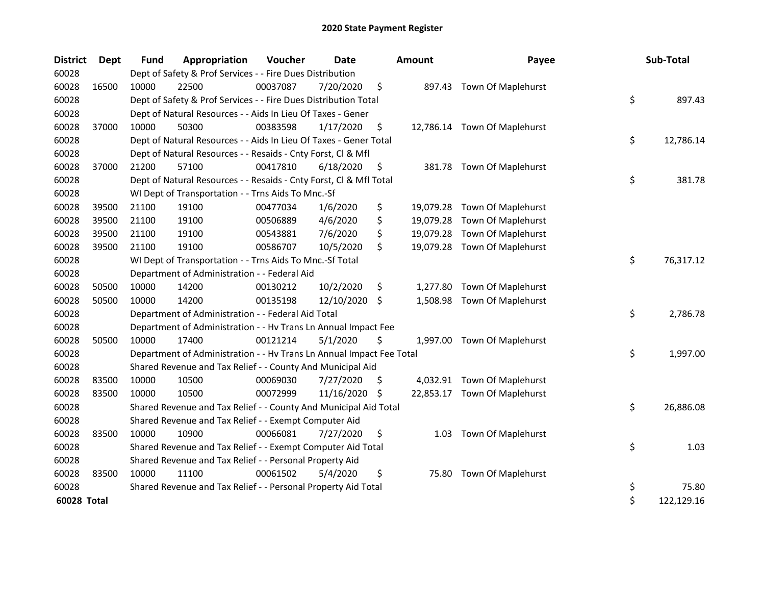| <b>District</b> | <b>Dept</b> | <b>Fund</b> | Appropriation                                                        | Voucher  | <b>Date</b> | <b>Amount</b>  | Payee                        | Sub-Total        |
|-----------------|-------------|-------------|----------------------------------------------------------------------|----------|-------------|----------------|------------------------------|------------------|
| 60028           |             |             | Dept of Safety & Prof Services - - Fire Dues Distribution            |          |             |                |                              |                  |
| 60028           | 16500       | 10000       | 22500                                                                | 00037087 | 7/20/2020   | \$             | 897.43 Town Of Maplehurst    |                  |
| 60028           |             |             | Dept of Safety & Prof Services - - Fire Dues Distribution Total      |          |             |                |                              | \$<br>897.43     |
| 60028           |             |             | Dept of Natural Resources - - Aids In Lieu Of Taxes - Gener          |          |             |                |                              |                  |
| 60028           | 37000       | 10000       | 50300                                                                | 00383598 | 1/17/2020   | \$             | 12,786.14 Town Of Maplehurst |                  |
| 60028           |             |             | Dept of Natural Resources - - Aids In Lieu Of Taxes - Gener Total    |          |             |                |                              | \$<br>12,786.14  |
| 60028           |             |             | Dept of Natural Resources - - Resaids - Cnty Forst, Cl & Mfl         |          |             |                |                              |                  |
| 60028           | 37000       | 21200       | 57100                                                                | 00417810 | 6/18/2020   | \$<br>381.78   | Town Of Maplehurst           |                  |
| 60028           |             |             | Dept of Natural Resources - - Resaids - Cnty Forst, Cl & Mfl Total   |          |             |                |                              | \$<br>381.78     |
| 60028           |             |             | WI Dept of Transportation - - Trns Aids To Mnc.-Sf                   |          |             |                |                              |                  |
| 60028           | 39500       | 21100       | 19100                                                                | 00477034 | 1/6/2020    | \$             | 19,079.28 Town Of Maplehurst |                  |
| 60028           | 39500       | 21100       | 19100                                                                | 00506889 | 4/6/2020    | \$             | 19,079.28 Town Of Maplehurst |                  |
| 60028           | 39500       | 21100       | 19100                                                                | 00543881 | 7/6/2020    | \$             | 19,079.28 Town Of Maplehurst |                  |
| 60028           | 39500       | 21100       | 19100                                                                | 00586707 | 10/5/2020   | \$             | 19,079.28 Town Of Maplehurst |                  |
| 60028           |             |             | WI Dept of Transportation - - Trns Aids To Mnc.-Sf Total             |          |             |                |                              | \$<br>76,317.12  |
| 60028           |             |             | Department of Administration - - Federal Aid                         |          |             |                |                              |                  |
| 60028           | 50500       | 10000       | 14200                                                                | 00130212 | 10/2/2020   | \$<br>1,277.80 | Town Of Maplehurst           |                  |
| 60028           | 50500       | 10000       | 14200                                                                | 00135198 | 12/10/2020  | \$<br>1,508.98 | Town Of Maplehurst           |                  |
| 60028           |             |             | Department of Administration - - Federal Aid Total                   |          |             |                |                              | \$<br>2,786.78   |
| 60028           |             |             | Department of Administration - - Hv Trans Ln Annual Impact Fee       |          |             |                |                              |                  |
| 60028           | 50500       | 10000       | 17400                                                                | 00121214 | 5/1/2020    | \$             | 1,997.00 Town Of Maplehurst  |                  |
| 60028           |             |             | Department of Administration - - Hv Trans Ln Annual Impact Fee Total |          |             |                |                              | \$<br>1,997.00   |
| 60028           |             |             | Shared Revenue and Tax Relief - - County And Municipal Aid           |          |             |                |                              |                  |
| 60028           | 83500       | 10000       | 10500                                                                | 00069030 | 7/27/2020   | \$             | 4,032.91 Town Of Maplehurst  |                  |
| 60028           | 83500       | 10000       | 10500                                                                | 00072999 | 11/16/2020  | \$             | 22,853.17 Town Of Maplehurst |                  |
| 60028           |             |             | Shared Revenue and Tax Relief - - County And Municipal Aid Total     |          |             |                |                              | \$<br>26,886.08  |
| 60028           |             |             | Shared Revenue and Tax Relief - - Exempt Computer Aid                |          |             |                |                              |                  |
| 60028           | 83500       | 10000       | 10900                                                                | 00066081 | 7/27/2020   | \$<br>1.03     | Town Of Maplehurst           |                  |
| 60028           |             |             | Shared Revenue and Tax Relief - - Exempt Computer Aid Total          |          |             |                |                              | \$<br>1.03       |
| 60028           |             |             | Shared Revenue and Tax Relief - - Personal Property Aid              |          |             |                |                              |                  |
| 60028           | 83500       | 10000       | 11100                                                                | 00061502 | 5/4/2020    | \$<br>75.80    | <b>Town Of Maplehurst</b>    |                  |
| 60028           |             |             | Shared Revenue and Tax Relief - - Personal Property Aid Total        |          |             |                |                              | \$<br>75.80      |
| 60028 Total     |             |             |                                                                      |          |             |                |                              | \$<br>122,129.16 |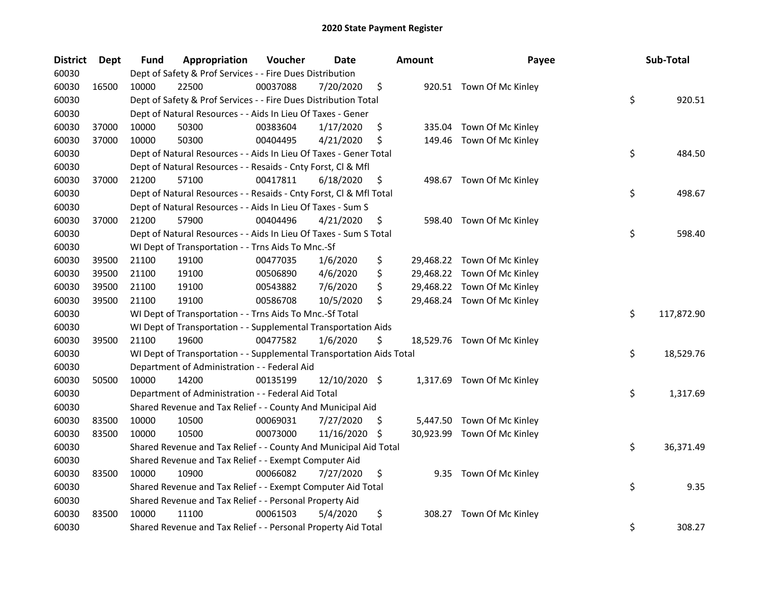| <b>District</b> | Dept  | Fund  | Appropriation                                                        | Voucher  | <b>Date</b>   |     | <b>Amount</b> | Payee                       | Sub-Total        |
|-----------------|-------|-------|----------------------------------------------------------------------|----------|---------------|-----|---------------|-----------------------------|------------------|
| 60030           |       |       | Dept of Safety & Prof Services - - Fire Dues Distribution            |          |               |     |               |                             |                  |
| 60030           | 16500 | 10000 | 22500                                                                | 00037088 | 7/20/2020     | \$  |               | 920.51 Town Of Mc Kinley    |                  |
| 60030           |       |       | Dept of Safety & Prof Services - - Fire Dues Distribution Total      |          |               |     |               |                             | \$<br>920.51     |
| 60030           |       |       | Dept of Natural Resources - - Aids In Lieu Of Taxes - Gener          |          |               |     |               |                             |                  |
| 60030           | 37000 | 10000 | 50300                                                                | 00383604 | 1/17/2020     | \$  | 335.04        | Town Of Mc Kinley           |                  |
| 60030           | 37000 | 10000 | 50300                                                                | 00404495 | 4/21/2020     | \$  | 149.46        | Town Of Mc Kinley           |                  |
| 60030           |       |       | Dept of Natural Resources - - Aids In Lieu Of Taxes - Gener Total    |          |               |     |               |                             | \$<br>484.50     |
| 60030           |       |       | Dept of Natural Resources - - Resaids - Cnty Forst, Cl & Mfl         |          |               |     |               |                             |                  |
| 60030           | 37000 | 21200 | 57100                                                                | 00417811 | 6/18/2020     | \$  |               | 498.67 Town Of Mc Kinley    |                  |
| 60030           |       |       | Dept of Natural Resources - - Resaids - Cnty Forst, Cl & Mfl Total   |          |               |     |               |                             | \$<br>498.67     |
| 60030           |       |       | Dept of Natural Resources - - Aids In Lieu Of Taxes - Sum S          |          |               |     |               |                             |                  |
| 60030           | 37000 | 21200 | 57900                                                                | 00404496 | 4/21/2020     | \$  |               | 598.40 Town Of Mc Kinley    |                  |
| 60030           |       |       | Dept of Natural Resources - - Aids In Lieu Of Taxes - Sum S Total    |          |               |     |               |                             | \$<br>598.40     |
| 60030           |       |       | WI Dept of Transportation - - Trns Aids To Mnc.-Sf                   |          |               |     |               |                             |                  |
| 60030           | 39500 | 21100 | 19100                                                                | 00477035 | 1/6/2020      | \$  |               | 29,468.22 Town Of Mc Kinley |                  |
| 60030           | 39500 | 21100 | 19100                                                                | 00506890 | 4/6/2020      | \$  |               | 29,468.22 Town Of Mc Kinley |                  |
| 60030           | 39500 | 21100 | 19100                                                                | 00543882 | 7/6/2020      | \$  |               | 29,468.22 Town Of Mc Kinley |                  |
| 60030           | 39500 | 21100 | 19100                                                                | 00586708 | 10/5/2020     | \$  |               | 29,468.24 Town Of Mc Kinley |                  |
| 60030           |       |       | WI Dept of Transportation - - Trns Aids To Mnc.-Sf Total             |          |               |     |               |                             | \$<br>117,872.90 |
| 60030           |       |       | WI Dept of Transportation - - Supplemental Transportation Aids       |          |               |     |               |                             |                  |
| 60030           | 39500 | 21100 | 19600                                                                | 00477582 | 1/6/2020      | \$  |               | 18,529.76 Town Of Mc Kinley |                  |
| 60030           |       |       | WI Dept of Transportation - - Supplemental Transportation Aids Total |          |               |     |               |                             | \$<br>18,529.76  |
| 60030           |       |       | Department of Administration - - Federal Aid                         |          |               |     |               |                             |                  |
| 60030           | 50500 | 10000 | 14200                                                                | 00135199 | 12/10/2020 \$ |     |               | 1,317.69 Town Of Mc Kinley  |                  |
| 60030           |       |       | Department of Administration - - Federal Aid Total                   |          |               |     |               |                             | \$<br>1,317.69   |
| 60030           |       |       | Shared Revenue and Tax Relief - - County And Municipal Aid           |          |               |     |               |                             |                  |
| 60030           | 83500 | 10000 | 10500                                                                | 00069031 | 7/27/2020     | \$. |               | 5,447.50 Town Of Mc Kinley  |                  |
| 60030           | 83500 | 10000 | 10500                                                                | 00073000 | 11/16/2020    | S.  |               | 30,923.99 Town Of Mc Kinley |                  |
| 60030           |       |       | Shared Revenue and Tax Relief - - County And Municipal Aid Total     |          |               |     |               |                             | \$<br>36,371.49  |
| 60030           |       |       | Shared Revenue and Tax Relief - - Exempt Computer Aid                |          |               |     |               |                             |                  |
| 60030           | 83500 | 10000 | 10900                                                                | 00066082 | 7/27/2020     | \$  |               | 9.35 Town Of Mc Kinley      |                  |
| 60030           |       |       | Shared Revenue and Tax Relief - - Exempt Computer Aid Total          |          |               |     |               |                             | \$<br>9.35       |
| 60030           |       |       | Shared Revenue and Tax Relief - - Personal Property Aid              |          |               |     |               |                             |                  |
| 60030           | 83500 | 10000 | 11100                                                                | 00061503 | 5/4/2020      | \$  |               | 308.27 Town Of Mc Kinley    |                  |
| 60030           |       |       | Shared Revenue and Tax Relief - - Personal Property Aid Total        |          |               |     |               |                             | \$<br>308.27     |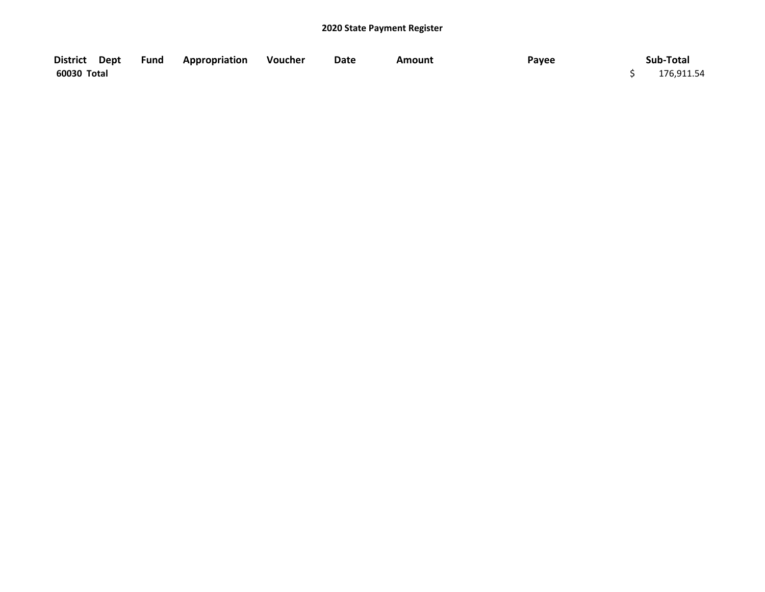| District Dept | <b>Fund Appropriation Voucher</b> | Date | Amount | Payee | Sub-Total  |
|---------------|-----------------------------------|------|--------|-------|------------|
| 60030 Total   |                                   |      |        |       | 176,911.54 |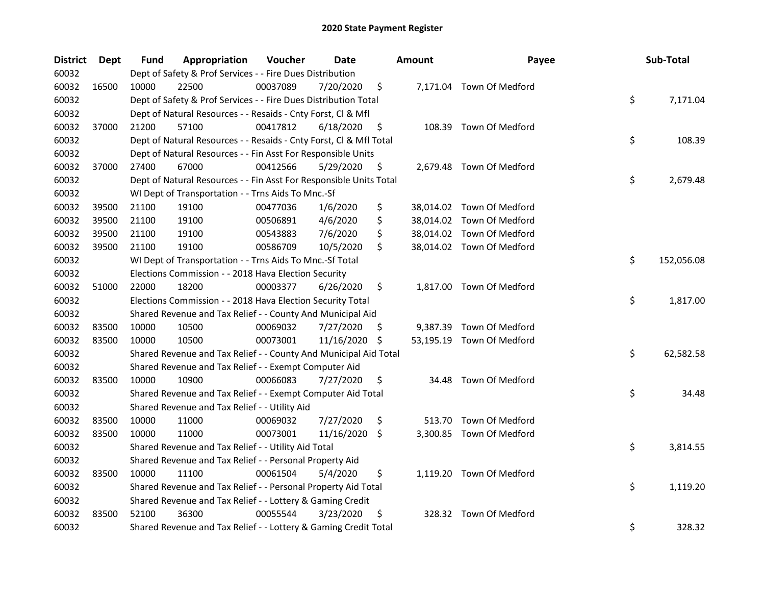| <b>District</b> | Dept  | Fund  | Appropriation                                                      | Voucher  | Date       |     | <b>Amount</b> | Payee                     | Sub-Total        |
|-----------------|-------|-------|--------------------------------------------------------------------|----------|------------|-----|---------------|---------------------------|------------------|
| 60032           |       |       | Dept of Safety & Prof Services - - Fire Dues Distribution          |          |            |     |               |                           |                  |
| 60032           | 16500 | 10000 | 22500                                                              | 00037089 | 7/20/2020  | \$  |               | 7,171.04 Town Of Medford  |                  |
| 60032           |       |       | Dept of Safety & Prof Services - - Fire Dues Distribution Total    |          |            |     |               |                           | \$<br>7,171.04   |
| 60032           |       |       | Dept of Natural Resources - - Resaids - Cnty Forst, Cl & Mfl       |          |            |     |               |                           |                  |
| 60032           | 37000 | 21200 | 57100                                                              | 00417812 | 6/18/2020  | \$  |               | 108.39 Town Of Medford    |                  |
| 60032           |       |       | Dept of Natural Resources - - Resaids - Cnty Forst, Cl & Mfl Total |          |            |     |               |                           | \$<br>108.39     |
| 60032           |       |       | Dept of Natural Resources - - Fin Asst For Responsible Units       |          |            |     |               |                           |                  |
| 60032           | 37000 | 27400 | 67000                                                              | 00412566 | 5/29/2020  | \$  |               | 2,679.48 Town Of Medford  |                  |
| 60032           |       |       | Dept of Natural Resources - - Fin Asst For Responsible Units Total |          |            |     |               |                           | \$<br>2,679.48   |
| 60032           |       |       | WI Dept of Transportation - - Trns Aids To Mnc.-Sf                 |          |            |     |               |                           |                  |
| 60032           | 39500 | 21100 | 19100                                                              | 00477036 | 1/6/2020   | \$  |               | 38,014.02 Town Of Medford |                  |
| 60032           | 39500 | 21100 | 19100                                                              | 00506891 | 4/6/2020   | \$  |               | 38,014.02 Town Of Medford |                  |
| 60032           | 39500 | 21100 | 19100                                                              | 00543883 | 7/6/2020   | \$  |               | 38,014.02 Town Of Medford |                  |
| 60032           | 39500 | 21100 | 19100                                                              | 00586709 | 10/5/2020  | \$  |               | 38,014.02 Town Of Medford |                  |
| 60032           |       |       | WI Dept of Transportation - - Trns Aids To Mnc.-Sf Total           |          |            |     |               |                           | \$<br>152,056.08 |
| 60032           |       |       | Elections Commission - - 2018 Hava Election Security               |          |            |     |               |                           |                  |
| 60032           | 51000 | 22000 | 18200                                                              | 00003377 | 6/26/2020  | \$  |               | 1,817.00 Town Of Medford  |                  |
| 60032           |       |       | Elections Commission - - 2018 Hava Election Security Total         |          |            |     |               |                           | \$<br>1,817.00   |
| 60032           |       |       | Shared Revenue and Tax Relief - - County And Municipal Aid         |          |            |     |               |                           |                  |
| 60032           | 83500 | 10000 | 10500                                                              | 00069032 | 7/27/2020  | \$  | 9,387.39      | Town Of Medford           |                  |
| 60032           | 83500 | 10000 | 10500                                                              | 00073001 | 11/16/2020 | -\$ |               | 53,195.19 Town Of Medford |                  |
| 60032           |       |       | Shared Revenue and Tax Relief - - County And Municipal Aid Total   |          |            |     |               |                           | \$<br>62,582.58  |
| 60032           |       |       | Shared Revenue and Tax Relief - - Exempt Computer Aid              |          |            |     |               |                           |                  |
| 60032           | 83500 | 10000 | 10900                                                              | 00066083 | 7/27/2020  | \$  |               | 34.48 Town Of Medford     |                  |
| 60032           |       |       | Shared Revenue and Tax Relief - - Exempt Computer Aid Total        |          |            |     |               |                           | \$<br>34.48      |
| 60032           |       |       | Shared Revenue and Tax Relief - - Utility Aid                      |          |            |     |               |                           |                  |
| 60032           | 83500 | 10000 | 11000                                                              | 00069032 | 7/27/2020  | \$  |               | 513.70 Town Of Medford    |                  |
| 60032           | 83500 | 10000 | 11000                                                              | 00073001 | 11/16/2020 | \$  |               | 3,300.85 Town Of Medford  |                  |
| 60032           |       |       | Shared Revenue and Tax Relief - - Utility Aid Total                |          |            |     |               |                           | \$<br>3,814.55   |
| 60032           |       |       | Shared Revenue and Tax Relief - - Personal Property Aid            |          |            |     |               |                           |                  |
| 60032           | 83500 | 10000 | 11100                                                              | 00061504 | 5/4/2020   | \$  |               | 1,119.20 Town Of Medford  |                  |
| 60032           |       |       | Shared Revenue and Tax Relief - - Personal Property Aid Total      |          |            |     |               |                           | \$<br>1,119.20   |
| 60032           |       |       | Shared Revenue and Tax Relief - - Lottery & Gaming Credit          |          |            |     |               |                           |                  |
| 60032           | 83500 | 52100 | 36300                                                              | 00055544 | 3/23/2020  | \$  |               | 328.32 Town Of Medford    |                  |
| 60032           |       |       | Shared Revenue and Tax Relief - - Lottery & Gaming Credit Total    |          |            |     |               |                           | \$<br>328.32     |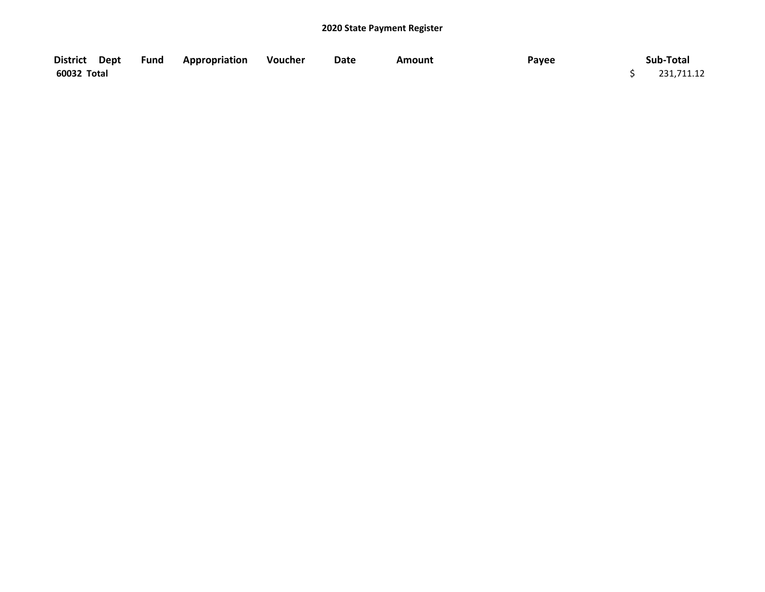| District Dept | <b>Fund Appropriation Voucher</b> | <b>Date</b> | <b>Amount</b> | Payee | Sub-Total  |
|---------------|-----------------------------------|-------------|---------------|-------|------------|
| 60032 Total   |                                   |             |               |       | 231,711.12 |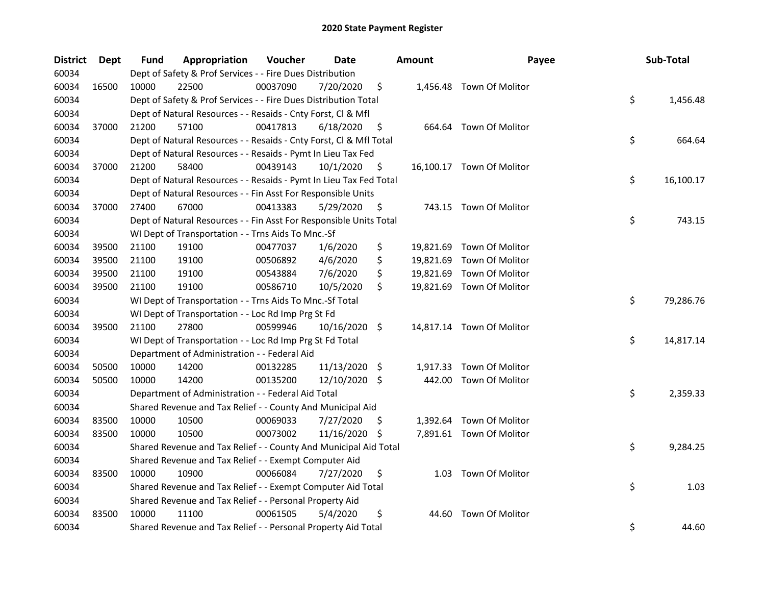| District | <b>Dept</b> | Fund  | Appropriation                                                      | Voucher  | Date          |     | <b>Amount</b> | Payee                     | Sub-Total       |
|----------|-------------|-------|--------------------------------------------------------------------|----------|---------------|-----|---------------|---------------------------|-----------------|
| 60034    |             |       | Dept of Safety & Prof Services - - Fire Dues Distribution          |          |               |     |               |                           |                 |
| 60034    | 16500       | 10000 | 22500                                                              | 00037090 | 7/20/2020     | \$  |               | 1,456.48 Town Of Molitor  |                 |
| 60034    |             |       | Dept of Safety & Prof Services - - Fire Dues Distribution Total    |          |               |     |               |                           | \$<br>1,456.48  |
| 60034    |             |       | Dept of Natural Resources - - Resaids - Cnty Forst, Cl & Mfl       |          |               |     |               |                           |                 |
| 60034    | 37000       | 21200 | 57100                                                              | 00417813 | 6/18/2020     | \$  |               | 664.64 Town Of Molitor    |                 |
| 60034    |             |       | Dept of Natural Resources - - Resaids - Cnty Forst, Cl & Mfl Total |          |               |     |               |                           | \$<br>664.64    |
| 60034    |             |       | Dept of Natural Resources - - Resaids - Pymt In Lieu Tax Fed       |          |               |     |               |                           |                 |
| 60034    | 37000       | 21200 | 58400                                                              | 00439143 | 10/1/2020     | \$  |               | 16,100.17 Town Of Molitor |                 |
| 60034    |             |       | Dept of Natural Resources - - Resaids - Pymt In Lieu Tax Fed Total |          |               |     |               |                           | \$<br>16,100.17 |
| 60034    |             |       | Dept of Natural Resources - - Fin Asst For Responsible Units       |          |               |     |               |                           |                 |
| 60034    | 37000       | 27400 | 67000                                                              | 00413383 | 5/29/2020     | \$  |               | 743.15 Town Of Molitor    |                 |
| 60034    |             |       | Dept of Natural Resources - - Fin Asst For Responsible Units Total |          |               |     |               |                           | \$<br>743.15    |
| 60034    |             |       | WI Dept of Transportation - - Trns Aids To Mnc.-Sf                 |          |               |     |               |                           |                 |
| 60034    | 39500       | 21100 | 19100                                                              | 00477037 | 1/6/2020      | \$  |               | 19,821.69 Town Of Molitor |                 |
| 60034    | 39500       | 21100 | 19100                                                              | 00506892 | 4/6/2020      | \$  |               | 19,821.69 Town Of Molitor |                 |
| 60034    | 39500       | 21100 | 19100                                                              | 00543884 | 7/6/2020      | \$  |               | 19,821.69 Town Of Molitor |                 |
| 60034    | 39500       | 21100 | 19100                                                              | 00586710 | 10/5/2020     | \$  |               | 19,821.69 Town Of Molitor |                 |
| 60034    |             |       | WI Dept of Transportation - - Trns Aids To Mnc.-Sf Total           |          |               |     |               |                           | \$<br>79,286.76 |
| 60034    |             |       | WI Dept of Transportation - - Loc Rd Imp Prg St Fd                 |          |               |     |               |                           |                 |
| 60034    | 39500       | 21100 | 27800                                                              | 00599946 | 10/16/2020 \$ |     |               | 14,817.14 Town Of Molitor |                 |
| 60034    |             |       | WI Dept of Transportation - - Loc Rd Imp Prg St Fd Total           |          |               |     |               |                           | \$<br>14,817.14 |
| 60034    |             |       | Department of Administration - - Federal Aid                       |          |               |     |               |                           |                 |
| 60034    | 50500       | 10000 | 14200                                                              | 00132285 | 11/13/2020 \$ |     |               | 1,917.33 Town Of Molitor  |                 |
| 60034    | 50500       | 10000 | 14200                                                              | 00135200 | 12/10/2020 \$ |     | 442.00        | Town Of Molitor           |                 |
| 60034    |             |       | Department of Administration - - Federal Aid Total                 |          |               |     |               |                           | \$<br>2,359.33  |
| 60034    |             |       | Shared Revenue and Tax Relief - - County And Municipal Aid         |          |               |     |               |                           |                 |
| 60034    | 83500       | 10000 | 10500                                                              | 00069033 | 7/27/2020     | \$. |               | 1,392.64 Town Of Molitor  |                 |
| 60034    | 83500       | 10000 | 10500                                                              | 00073002 | 11/16/2020 \$ |     |               | 7,891.61 Town Of Molitor  |                 |
| 60034    |             |       | Shared Revenue and Tax Relief - - County And Municipal Aid Total   |          |               |     |               |                           | \$<br>9,284.25  |
| 60034    |             |       | Shared Revenue and Tax Relief - - Exempt Computer Aid              |          |               |     |               |                           |                 |
| 60034    | 83500       | 10000 | 10900                                                              | 00066084 | 7/27/2020     | \$  |               | 1.03 Town Of Molitor      |                 |
| 60034    |             |       | Shared Revenue and Tax Relief - - Exempt Computer Aid Total        |          |               |     |               |                           | \$<br>1.03      |
| 60034    |             |       | Shared Revenue and Tax Relief - - Personal Property Aid            |          |               |     |               |                           |                 |
| 60034    | 83500       | 10000 | 11100                                                              | 00061505 | 5/4/2020      | \$  | 44.60         | Town Of Molitor           |                 |
| 60034    |             |       | Shared Revenue and Tax Relief - - Personal Property Aid Total      |          |               |     |               |                           | \$<br>44.60     |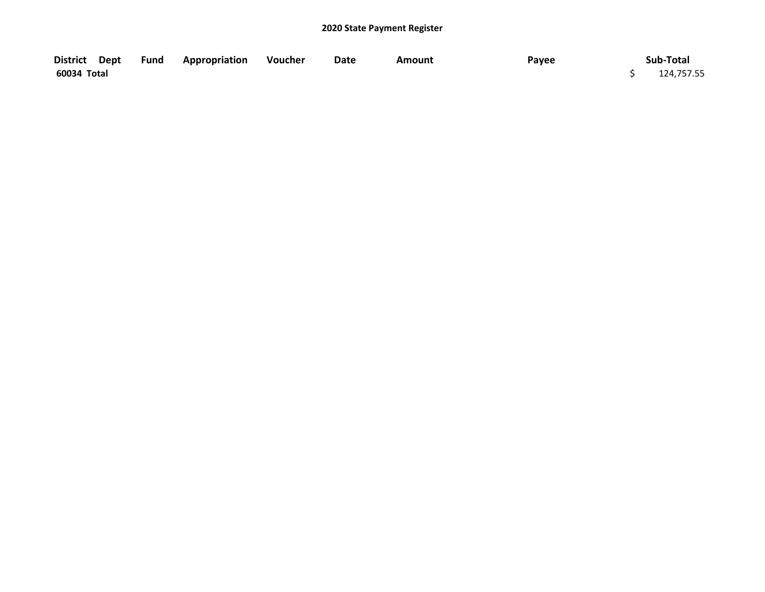| District Dept | Fund Appropriation Voucher | Date | <b>Amount</b> | Payee | Sub-Total  |
|---------------|----------------------------|------|---------------|-------|------------|
| 60034 Total   |                            |      |               |       | 124,757.55 |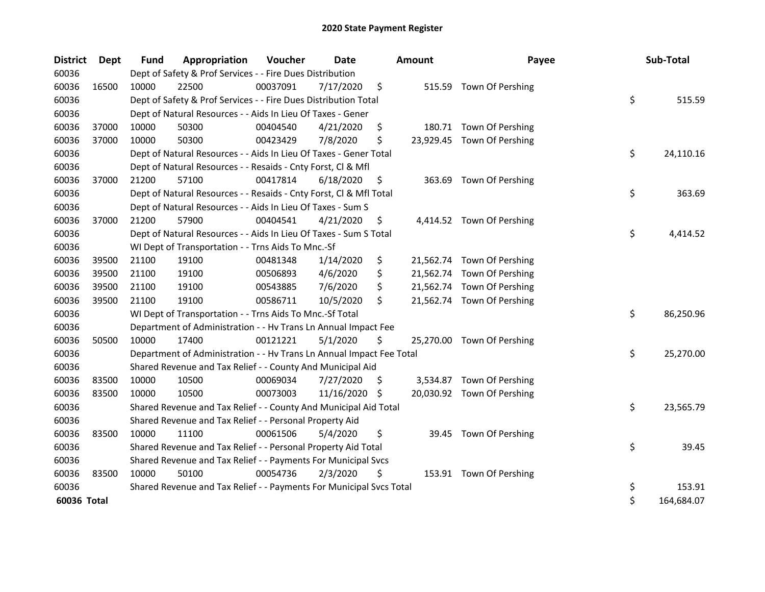| <b>District</b> | <b>Dept</b> | Fund  | Appropriation                                                        | Voucher  | Date          |     | <b>Amount</b> | Payee                      | Sub-Total        |
|-----------------|-------------|-------|----------------------------------------------------------------------|----------|---------------|-----|---------------|----------------------------|------------------|
| 60036           |             |       | Dept of Safety & Prof Services - - Fire Dues Distribution            |          |               |     |               |                            |                  |
| 60036           | 16500       | 10000 | 22500                                                                | 00037091 | 7/17/2020     | \$  |               | 515.59 Town Of Pershing    |                  |
| 60036           |             |       | Dept of Safety & Prof Services - - Fire Dues Distribution Total      |          |               |     |               |                            | \$<br>515.59     |
| 60036           |             |       | Dept of Natural Resources - - Aids In Lieu Of Taxes - Gener          |          |               |     |               |                            |                  |
| 60036           | 37000       | 10000 | 50300                                                                | 00404540 | 4/21/2020     | \$  |               | 180.71 Town Of Pershing    |                  |
| 60036           | 37000       | 10000 | 50300                                                                | 00423429 | 7/8/2020      | \$  |               | 23,929.45 Town Of Pershing |                  |
| 60036           |             |       | Dept of Natural Resources - - Aids In Lieu Of Taxes - Gener Total    |          |               |     |               |                            | \$<br>24,110.16  |
| 60036           |             |       | Dept of Natural Resources - - Resaids - Cnty Forst, Cl & Mfl         |          |               |     |               |                            |                  |
| 60036           | 37000       | 21200 | 57100                                                                | 00417814 | 6/18/2020     | \$  |               | 363.69 Town Of Pershing    |                  |
| 60036           |             |       | Dept of Natural Resources - - Resaids - Cnty Forst, Cl & Mfl Total   |          |               |     |               |                            | \$<br>363.69     |
| 60036           |             |       | Dept of Natural Resources - - Aids In Lieu Of Taxes - Sum S          |          |               |     |               |                            |                  |
| 60036           | 37000       | 21200 | 57900                                                                | 00404541 | 4/21/2020     | \$  |               | 4,414.52 Town Of Pershing  |                  |
| 60036           |             |       | Dept of Natural Resources - - Aids In Lieu Of Taxes - Sum S Total    |          |               |     |               |                            | \$<br>4,414.52   |
| 60036           |             |       | WI Dept of Transportation - - Trns Aids To Mnc.-Sf                   |          |               |     |               |                            |                  |
| 60036           | 39500       | 21100 | 19100                                                                | 00481348 | 1/14/2020     | \$  |               | 21,562.74 Town Of Pershing |                  |
| 60036           | 39500       | 21100 | 19100                                                                | 00506893 | 4/6/2020      | \$  |               | 21,562.74 Town Of Pershing |                  |
| 60036           | 39500       | 21100 | 19100                                                                | 00543885 | 7/6/2020      | \$  |               | 21,562.74 Town Of Pershing |                  |
| 60036           | 39500       | 21100 | 19100                                                                | 00586711 | 10/5/2020     | \$  |               | 21,562.74 Town Of Pershing |                  |
| 60036           |             |       | WI Dept of Transportation - - Trns Aids To Mnc.-Sf Total             |          |               |     |               |                            | \$<br>86,250.96  |
| 60036           |             |       | Department of Administration - - Hv Trans Ln Annual Impact Fee       |          |               |     |               |                            |                  |
| 60036           | 50500       | 10000 | 17400                                                                | 00121221 | 5/1/2020      | \$  |               | 25,270.00 Town Of Pershing |                  |
| 60036           |             |       | Department of Administration - - Hv Trans Ln Annual Impact Fee Total |          |               |     |               |                            | \$<br>25,270.00  |
| 60036           |             |       | Shared Revenue and Tax Relief - - County And Municipal Aid           |          |               |     |               |                            |                  |
| 60036           | 83500       | 10000 | 10500                                                                | 00069034 | 7/27/2020     | \$. |               | 3,534.87 Town Of Pershing  |                  |
| 60036           | 83500       | 10000 | 10500                                                                | 00073003 | 11/16/2020 \$ |     |               | 20,030.92 Town Of Pershing |                  |
| 60036           |             |       | Shared Revenue and Tax Relief - - County And Municipal Aid Total     |          |               |     |               |                            | \$<br>23,565.79  |
| 60036           |             |       | Shared Revenue and Tax Relief - - Personal Property Aid              |          |               |     |               |                            |                  |
| 60036           | 83500       | 10000 | 11100                                                                | 00061506 | 5/4/2020      | \$  |               | 39.45 Town Of Pershing     |                  |
| 60036           |             |       | Shared Revenue and Tax Relief - - Personal Property Aid Total        |          |               |     |               |                            | \$<br>39.45      |
| 60036           |             |       | Shared Revenue and Tax Relief - - Payments For Municipal Svcs        |          |               |     |               |                            |                  |
| 60036           | 83500       | 10000 | 50100                                                                | 00054736 | 2/3/2020      | \$  |               | 153.91 Town Of Pershing    |                  |
| 60036           |             |       | Shared Revenue and Tax Relief - - Payments For Municipal Svcs Total  |          |               |     |               |                            | \$<br>153.91     |
| 60036 Total     |             |       |                                                                      |          |               |     |               |                            | \$<br>164,684.07 |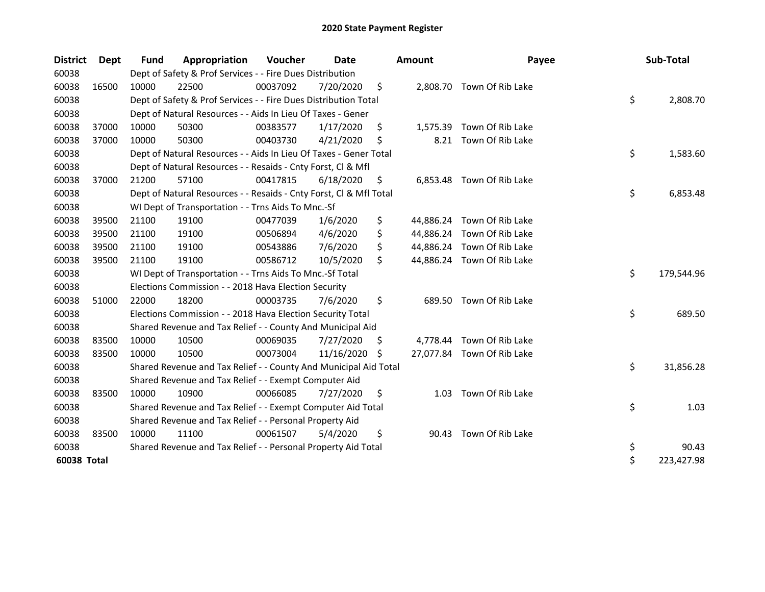| <b>District</b> | Dept  | <b>Fund</b> | Appropriation                                                      | Voucher  | Date       |     | Amount    | Payee                      | Sub-Total        |
|-----------------|-------|-------------|--------------------------------------------------------------------|----------|------------|-----|-----------|----------------------------|------------------|
| 60038           |       |             | Dept of Safety & Prof Services - - Fire Dues Distribution          |          |            |     |           |                            |                  |
| 60038           | 16500 | 10000       | 22500                                                              | 00037092 | 7/20/2020  | \$  |           | 2,808.70 Town Of Rib Lake  |                  |
| 60038           |       |             | Dept of Safety & Prof Services - - Fire Dues Distribution Total    |          |            |     |           |                            | \$<br>2,808.70   |
| 60038           |       |             | Dept of Natural Resources - - Aids In Lieu Of Taxes - Gener        |          |            |     |           |                            |                  |
| 60038           | 37000 | 10000       | 50300                                                              | 00383577 | 1/17/2020  | \$  | 1,575.39  | Town Of Rib Lake           |                  |
| 60038           | 37000 | 10000       | 50300                                                              | 00403730 | 4/21/2020  | \$  | 8.21      | Town Of Rib Lake           |                  |
| 60038           |       |             | Dept of Natural Resources - - Aids In Lieu Of Taxes - Gener Total  |          |            |     |           |                            | \$<br>1,583.60   |
| 60038           |       |             | Dept of Natural Resources - - Resaids - Cnty Forst, Cl & Mfl       |          |            |     |           |                            |                  |
| 60038           | 37000 | 21200       | 57100                                                              | 00417815 | 6/18/2020  | \$  |           | 6,853.48 Town Of Rib Lake  |                  |
| 60038           |       |             | Dept of Natural Resources - - Resaids - Cnty Forst, Cl & Mfl Total |          |            |     |           |                            | \$<br>6,853.48   |
| 60038           |       |             | WI Dept of Transportation - - Trns Aids To Mnc.-Sf                 |          |            |     |           |                            |                  |
| 60038           | 39500 | 21100       | 19100                                                              | 00477039 | 1/6/2020   | \$  | 44,886.24 | Town Of Rib Lake           |                  |
| 60038           | 39500 | 21100       | 19100                                                              | 00506894 | 4/6/2020   | \$  |           | 44,886.24 Town Of Rib Lake |                  |
| 60038           | 39500 | 21100       | 19100                                                              | 00543886 | 7/6/2020   | \$  |           | 44,886.24 Town Of Rib Lake |                  |
| 60038           | 39500 | 21100       | 19100                                                              | 00586712 | 10/5/2020  | \$  |           | 44,886.24 Town Of Rib Lake |                  |
| 60038           |       |             | WI Dept of Transportation - - Trns Aids To Mnc.-Sf Total           |          |            |     |           |                            | \$<br>179,544.96 |
| 60038           |       |             | Elections Commission - - 2018 Hava Election Security               |          |            |     |           |                            |                  |
| 60038           | 51000 | 22000       | 18200                                                              | 00003735 | 7/6/2020   | \$  | 689.50    | Town Of Rib Lake           |                  |
| 60038           |       |             | Elections Commission - - 2018 Hava Election Security Total         |          |            |     |           |                            | \$<br>689.50     |
| 60038           |       |             | Shared Revenue and Tax Relief - - County And Municipal Aid         |          |            |     |           |                            |                  |
| 60038           | 83500 | 10000       | 10500                                                              | 00069035 | 7/27/2020  | \$. |           | 4,778.44 Town Of Rib Lake  |                  |
| 60038           | 83500 | 10000       | 10500                                                              | 00073004 | 11/16/2020 | S   |           | 27,077.84 Town Of Rib Lake |                  |
| 60038           |       |             | Shared Revenue and Tax Relief - - County And Municipal Aid Total   |          |            |     |           |                            | \$<br>31,856.28  |
| 60038           |       |             | Shared Revenue and Tax Relief - - Exempt Computer Aid              |          |            |     |           |                            |                  |
| 60038           | 83500 | 10000       | 10900                                                              | 00066085 | 7/27/2020  | \$  | 1.03      | Town Of Rib Lake           |                  |
| 60038           |       |             | Shared Revenue and Tax Relief - - Exempt Computer Aid Total        |          |            |     |           |                            | \$<br>1.03       |
| 60038           |       |             | Shared Revenue and Tax Relief - - Personal Property Aid            |          |            |     |           |                            |                  |
| 60038           | 83500 | 10000       | 11100                                                              | 00061507 | 5/4/2020   | \$  | 90.43     | Town Of Rib Lake           |                  |
| 60038           |       |             | Shared Revenue and Tax Relief - - Personal Property Aid Total      |          |            |     |           |                            | \$<br>90.43      |
| 60038 Total     |       |             |                                                                    |          |            |     |           |                            | \$<br>223,427.98 |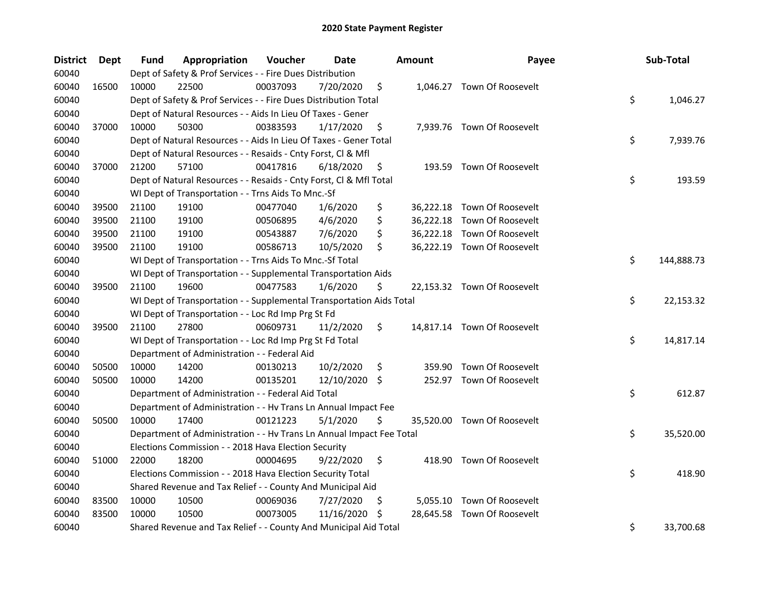| <b>District</b> | Dept  | Fund  | Appropriation                                                        | Voucher  | <b>Date</b>   |     | <b>Amount</b> | Payee                       | Sub-Total        |
|-----------------|-------|-------|----------------------------------------------------------------------|----------|---------------|-----|---------------|-----------------------------|------------------|
| 60040           |       |       | Dept of Safety & Prof Services - - Fire Dues Distribution            |          |               |     |               |                             |                  |
| 60040           | 16500 | 10000 | 22500                                                                | 00037093 | 7/20/2020     | \$  |               | 1,046.27 Town Of Roosevelt  |                  |
| 60040           |       |       | Dept of Safety & Prof Services - - Fire Dues Distribution Total      |          |               |     |               |                             | \$<br>1,046.27   |
| 60040           |       |       | Dept of Natural Resources - - Aids In Lieu Of Taxes - Gener          |          |               |     |               |                             |                  |
| 60040           | 37000 | 10000 | 50300                                                                | 00383593 | 1/17/2020     | \$  |               | 7,939.76 Town Of Roosevelt  |                  |
| 60040           |       |       | Dept of Natural Resources - - Aids In Lieu Of Taxes - Gener Total    |          |               |     |               |                             | \$<br>7,939.76   |
| 60040           |       |       | Dept of Natural Resources - - Resaids - Cnty Forst, Cl & Mfl         |          |               |     |               |                             |                  |
| 60040           | 37000 | 21200 | 57100                                                                | 00417816 | 6/18/2020     | \$  |               | 193.59 Town Of Roosevelt    |                  |
| 60040           |       |       | Dept of Natural Resources - - Resaids - Cnty Forst, Cl & Mfl Total   |          |               |     |               |                             | \$<br>193.59     |
| 60040           |       |       | WI Dept of Transportation - - Trns Aids To Mnc.-Sf                   |          |               |     |               |                             |                  |
| 60040           | 39500 | 21100 | 19100                                                                | 00477040 | 1/6/2020      | \$  |               | 36,222.18 Town Of Roosevelt |                  |
| 60040           | 39500 | 21100 | 19100                                                                | 00506895 | 4/6/2020      | \$  |               | 36,222.18 Town Of Roosevelt |                  |
| 60040           | 39500 | 21100 | 19100                                                                | 00543887 | 7/6/2020      | \$  |               | 36,222.18 Town Of Roosevelt |                  |
| 60040           | 39500 | 21100 | 19100                                                                | 00586713 | 10/5/2020     | \$  |               | 36,222.19 Town Of Roosevelt |                  |
| 60040           |       |       | WI Dept of Transportation - - Trns Aids To Mnc.-Sf Total             |          |               |     |               |                             | \$<br>144,888.73 |
| 60040           |       |       | WI Dept of Transportation - - Supplemental Transportation Aids       |          |               |     |               |                             |                  |
| 60040           | 39500 | 21100 | 19600                                                                | 00477583 | 1/6/2020      | \$  |               | 22,153.32 Town Of Roosevelt |                  |
| 60040           |       |       | WI Dept of Transportation - - Supplemental Transportation Aids Total |          |               |     |               |                             | \$<br>22,153.32  |
| 60040           |       |       | WI Dept of Transportation - - Loc Rd Imp Prg St Fd                   |          |               |     |               |                             |                  |
| 60040           | 39500 | 21100 | 27800                                                                | 00609731 | 11/2/2020     | \$  |               | 14,817.14 Town Of Roosevelt |                  |
| 60040           |       |       | WI Dept of Transportation - - Loc Rd Imp Prg St Fd Total             |          |               |     |               |                             | \$<br>14,817.14  |
| 60040           |       |       | Department of Administration - - Federal Aid                         |          |               |     |               |                             |                  |
| 60040           | 50500 | 10000 | 14200                                                                | 00130213 | 10/2/2020     | \$  |               | 359.90 Town Of Roosevelt    |                  |
| 60040           | 50500 | 10000 | 14200                                                                | 00135201 | 12/10/2020 \$ |     |               | 252.97 Town Of Roosevelt    |                  |
| 60040           |       |       | Department of Administration - - Federal Aid Total                   |          |               |     |               |                             | \$<br>612.87     |
| 60040           |       |       | Department of Administration - - Hv Trans Ln Annual Impact Fee       |          |               |     |               |                             |                  |
| 60040           | 50500 | 10000 | 17400                                                                | 00121223 | 5/1/2020      | \$  |               | 35,520.00 Town Of Roosevelt |                  |
| 60040           |       |       | Department of Administration - - Hv Trans Ln Annual Impact Fee Total |          |               |     |               |                             | \$<br>35,520.00  |
| 60040           |       |       | Elections Commission - - 2018 Hava Election Security                 |          |               |     |               |                             |                  |
| 60040           | 51000 | 22000 | 18200                                                                | 00004695 | 9/22/2020     | \$  |               | 418.90 Town Of Roosevelt    |                  |
| 60040           |       |       | Elections Commission - - 2018 Hava Election Security Total           |          |               |     |               |                             | \$<br>418.90     |
| 60040           |       |       | Shared Revenue and Tax Relief - - County And Municipal Aid           |          |               |     |               |                             |                  |
| 60040           | 83500 | 10000 | 10500                                                                | 00069036 | 7/27/2020     | \$, |               | 5,055.10 Town Of Roosevelt  |                  |
| 60040           | 83500 | 10000 | 10500                                                                | 00073005 | 11/16/2020    | S   |               | 28,645.58 Town Of Roosevelt |                  |
| 60040           |       |       | Shared Revenue and Tax Relief - - County And Municipal Aid Total     |          |               |     |               |                             | \$<br>33,700.68  |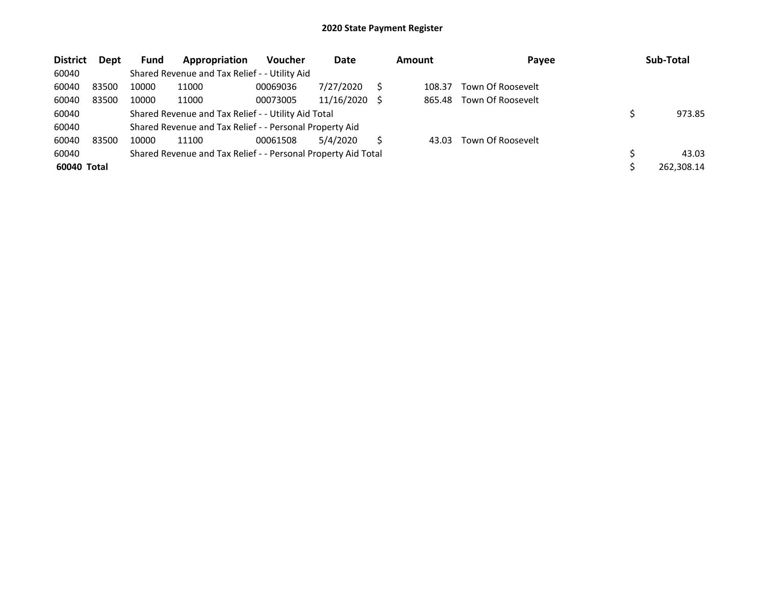| <b>District</b> | <b>Dept</b> | <b>Fund</b> | Appropriation                                                 | <b>Voucher</b> | Date       |     | <b>Amount</b> | Payee             | Sub-Total  |
|-----------------|-------------|-------------|---------------------------------------------------------------|----------------|------------|-----|---------------|-------------------|------------|
| 60040           |             |             | Shared Revenue and Tax Relief - - Utility Aid                 |                |            |     |               |                   |            |
| 60040           | 83500       | 10000       | 11000                                                         | 00069036       | 7/27/2020  |     | 108.37        | Town Of Roosevelt |            |
| 60040           | 83500       | 10000       | 11000                                                         | 00073005       | 11/16/2020 | - S | 865.48        | Town Of Roosevelt |            |
| 60040           |             |             | Shared Revenue and Tax Relief - - Utility Aid Total           |                |            |     |               |                   | 973.85     |
| 60040           |             |             | Shared Revenue and Tax Relief - - Personal Property Aid       |                |            |     |               |                   |            |
| 60040           | 83500       | 10000       | 11100                                                         | 00061508       | 5/4/2020   | S   | 43.03         | Town Of Roosevelt |            |
| 60040           |             |             | Shared Revenue and Tax Relief - - Personal Property Aid Total |                |            |     |               |                   | 43.03      |
| 60040 Total     |             |             |                                                               |                |            |     |               |                   | 262,308.14 |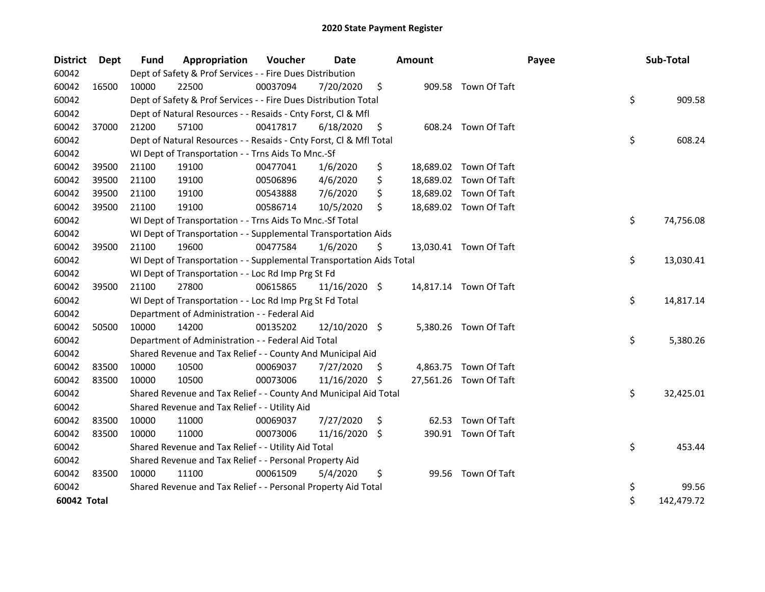| <b>District</b> | <b>Dept</b> | Fund  | Appropriation                                                        | Voucher  | <b>Date</b>     |     | <b>Amount</b> |                        | Payee | Sub-Total        |
|-----------------|-------------|-------|----------------------------------------------------------------------|----------|-----------------|-----|---------------|------------------------|-------|------------------|
| 60042           |             |       | Dept of Safety & Prof Services - - Fire Dues Distribution            |          |                 |     |               |                        |       |                  |
| 60042           | 16500       | 10000 | 22500                                                                | 00037094 | 7/20/2020       | \$  |               | 909.58 Town Of Taft    |       |                  |
| 60042           |             |       | Dept of Safety & Prof Services - - Fire Dues Distribution Total      |          |                 |     |               |                        |       | \$<br>909.58     |
| 60042           |             |       | Dept of Natural Resources - - Resaids - Cnty Forst, Cl & Mfl         |          |                 |     |               |                        |       |                  |
| 60042           | 37000       | 21200 | 57100                                                                | 00417817 | 6/18/2020       | \$  |               | 608.24 Town Of Taft    |       |                  |
| 60042           |             |       | Dept of Natural Resources - - Resaids - Cnty Forst, CI & Mfl Total   |          |                 |     |               |                        |       | \$<br>608.24     |
| 60042           |             |       | WI Dept of Transportation - - Trns Aids To Mnc.-Sf                   |          |                 |     |               |                        |       |                  |
| 60042           | 39500       | 21100 | 19100                                                                | 00477041 | 1/6/2020        | \$  |               | 18,689.02 Town Of Taft |       |                  |
| 60042           | 39500       | 21100 | 19100                                                                | 00506896 | 4/6/2020        | \$  |               | 18,689.02 Town Of Taft |       |                  |
| 60042           | 39500       | 21100 | 19100                                                                | 00543888 | 7/6/2020        | \$  |               | 18,689.02 Town Of Taft |       |                  |
| 60042           | 39500       | 21100 | 19100                                                                | 00586714 | 10/5/2020       | \$  |               | 18,689.02 Town Of Taft |       |                  |
| 60042           |             |       | WI Dept of Transportation - - Trns Aids To Mnc.-Sf Total             |          |                 |     |               |                        |       | \$<br>74,756.08  |
| 60042           |             |       | WI Dept of Transportation - - Supplemental Transportation Aids       |          |                 |     |               |                        |       |                  |
| 60042           | 39500       | 21100 | 19600                                                                | 00477584 | 1/6/2020        | \$  |               | 13,030.41 Town Of Taft |       |                  |
| 60042           |             |       | WI Dept of Transportation - - Supplemental Transportation Aids Total |          |                 |     |               |                        |       | \$<br>13,030.41  |
| 60042           |             |       | WI Dept of Transportation - - Loc Rd Imp Prg St Fd                   |          |                 |     |               |                        |       |                  |
| 60042           | 39500       | 21100 | 27800                                                                | 00615865 | $11/16/2020$ \$ |     |               | 14,817.14 Town Of Taft |       |                  |
| 60042           |             |       | WI Dept of Transportation - - Loc Rd Imp Prg St Fd Total             |          |                 |     |               |                        |       | \$<br>14,817.14  |
| 60042           |             |       | Department of Administration - - Federal Aid                         |          |                 |     |               |                        |       |                  |
| 60042           | 50500       | 10000 | 14200                                                                | 00135202 | 12/10/2020 \$   |     |               | 5,380.26 Town Of Taft  |       |                  |
| 60042           |             |       | Department of Administration - - Federal Aid Total                   |          |                 |     |               |                        |       | \$<br>5,380.26   |
| 60042           |             |       | Shared Revenue and Tax Relief - - County And Municipal Aid           |          |                 |     |               |                        |       |                  |
| 60042           | 83500       | 10000 | 10500                                                                | 00069037 | 7/27/2020       | \$. |               | 4,863.75 Town Of Taft  |       |                  |
| 60042           | 83500       | 10000 | 10500                                                                | 00073006 | 11/16/2020      | \$. |               | 27,561.26 Town Of Taft |       |                  |
| 60042           |             |       | Shared Revenue and Tax Relief - - County And Municipal Aid Total     |          |                 |     |               |                        |       | \$<br>32,425.01  |
| 60042           |             |       | Shared Revenue and Tax Relief - - Utility Aid                        |          |                 |     |               |                        |       |                  |
| 60042           | 83500       | 10000 | 11000                                                                | 00069037 | 7/27/2020       | \$  |               | 62.53 Town Of Taft     |       |                  |
| 60042           | 83500       | 10000 | 11000                                                                | 00073006 | 11/16/2020 \$   |     |               | 390.91 Town Of Taft    |       |                  |
| 60042           |             |       | Shared Revenue and Tax Relief - - Utility Aid Total                  |          |                 |     |               |                        |       | \$<br>453.44     |
| 60042           |             |       | Shared Revenue and Tax Relief - - Personal Property Aid              |          |                 |     |               |                        |       |                  |
| 60042           | 83500       | 10000 | 11100                                                                | 00061509 | 5/4/2020        | \$  |               | 99.56 Town Of Taft     |       |                  |
| 60042           |             |       | Shared Revenue and Tax Relief - - Personal Property Aid Total        |          |                 |     |               |                        |       | \$<br>99.56      |
| 60042 Total     |             |       |                                                                      |          |                 |     |               |                        |       | \$<br>142,479.72 |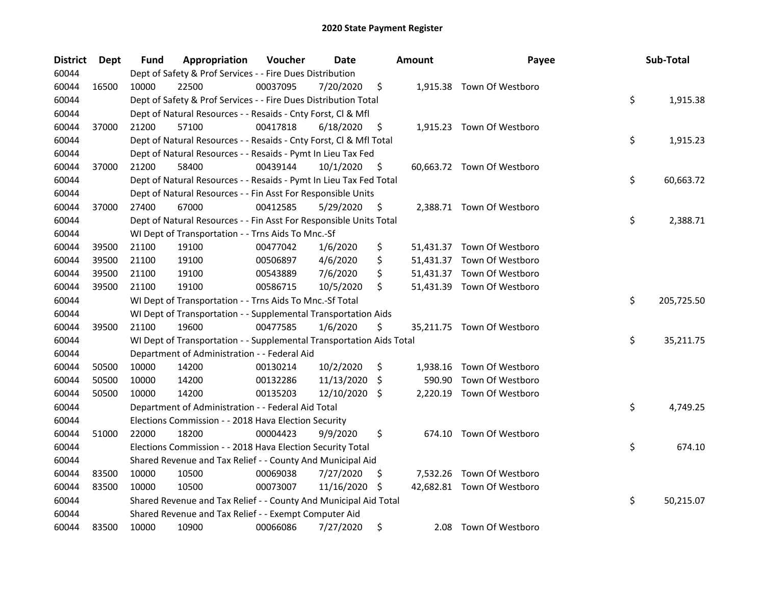| <b>District</b> | <b>Dept</b> | Fund  | Appropriation                                                        | Voucher  | Date          |    | <b>Amount</b> | Payee                      | Sub-Total        |
|-----------------|-------------|-------|----------------------------------------------------------------------|----------|---------------|----|---------------|----------------------------|------------------|
| 60044           |             |       | Dept of Safety & Prof Services - - Fire Dues Distribution            |          |               |    |               |                            |                  |
| 60044           | 16500       | 10000 | 22500                                                                | 00037095 | 7/20/2020     | \$ |               | 1,915.38 Town Of Westboro  |                  |
| 60044           |             |       | Dept of Safety & Prof Services - - Fire Dues Distribution Total      |          |               |    |               |                            | \$<br>1,915.38   |
| 60044           |             |       | Dept of Natural Resources - - Resaids - Cnty Forst, Cl & Mfl         |          |               |    |               |                            |                  |
| 60044           | 37000       | 21200 | 57100                                                                | 00417818 | 6/18/2020     | \$ |               | 1,915.23 Town Of Westboro  |                  |
| 60044           |             |       | Dept of Natural Resources - - Resaids - Cnty Forst, Cl & Mfl Total   |          |               |    |               |                            | \$<br>1,915.23   |
| 60044           |             |       | Dept of Natural Resources - - Resaids - Pymt In Lieu Tax Fed         |          |               |    |               |                            |                  |
| 60044           | 37000       | 21200 | 58400                                                                | 00439144 | 10/1/2020     | \$ |               | 60,663.72 Town Of Westboro |                  |
| 60044           |             |       | Dept of Natural Resources - - Resaids - Pymt In Lieu Tax Fed Total   |          |               |    |               |                            | \$<br>60,663.72  |
| 60044           |             |       | Dept of Natural Resources - - Fin Asst For Responsible Units         |          |               |    |               |                            |                  |
| 60044           | 37000       | 27400 | 67000                                                                | 00412585 | 5/29/2020     | \$ |               | 2,388.71 Town Of Westboro  |                  |
| 60044           |             |       | Dept of Natural Resources - - Fin Asst For Responsible Units Total   |          |               |    |               |                            | \$<br>2,388.71   |
| 60044           |             |       | WI Dept of Transportation - - Trns Aids To Mnc.-Sf                   |          |               |    |               |                            |                  |
| 60044           | 39500       | 21100 | 19100                                                                | 00477042 | 1/6/2020      | \$ |               | 51,431.37 Town Of Westboro |                  |
| 60044           | 39500       | 21100 | 19100                                                                | 00506897 | 4/6/2020      | \$ |               | 51,431.37 Town Of Westboro |                  |
| 60044           | 39500       | 21100 | 19100                                                                | 00543889 | 7/6/2020      | \$ |               | 51,431.37 Town Of Westboro |                  |
| 60044           | 39500       | 21100 | 19100                                                                | 00586715 | 10/5/2020     | Ś  |               | 51,431.39 Town Of Westboro |                  |
| 60044           |             |       | WI Dept of Transportation - - Trns Aids To Mnc.-Sf Total             |          |               |    |               |                            | \$<br>205,725.50 |
| 60044           |             |       | WI Dept of Transportation - - Supplemental Transportation Aids       |          |               |    |               |                            |                  |
| 60044           | 39500       | 21100 | 19600                                                                | 00477585 | 1/6/2020      | \$ |               | 35,211.75 Town Of Westboro |                  |
| 60044           |             |       | WI Dept of Transportation - - Supplemental Transportation Aids Total |          |               |    |               |                            | \$<br>35,211.75  |
| 60044           |             |       | Department of Administration - - Federal Aid                         |          |               |    |               |                            |                  |
| 60044           | 50500       | 10000 | 14200                                                                | 00130214 | 10/2/2020     | \$ |               | 1,938.16 Town Of Westboro  |                  |
| 60044           | 50500       | 10000 | 14200                                                                | 00132286 | 11/13/2020    | \$ | 590.90        | Town Of Westboro           |                  |
| 60044           | 50500       | 10000 | 14200                                                                | 00135203 | 12/10/2020 \$ |    |               | 2,220.19 Town Of Westboro  |                  |
| 60044           |             |       | Department of Administration - - Federal Aid Total                   |          |               |    |               |                            | \$<br>4,749.25   |
| 60044           |             |       | Elections Commission - - 2018 Hava Election Security                 |          |               |    |               |                            |                  |
| 60044           | 51000       | 22000 | 18200                                                                | 00004423 | 9/9/2020      | \$ |               | 674.10 Town Of Westboro    |                  |
| 60044           |             |       | Elections Commission - - 2018 Hava Election Security Total           |          |               |    |               |                            | \$<br>674.10     |
| 60044           |             |       | Shared Revenue and Tax Relief - - County And Municipal Aid           |          |               |    |               |                            |                  |
| 60044           | 83500       | 10000 | 10500                                                                | 00069038 | 7/27/2020     | \$ |               | 7,532.26 Town Of Westboro  |                  |
| 60044           | 83500       | 10000 | 10500                                                                | 00073007 | 11/16/2020    | -S |               | 42,682.81 Town Of Westboro |                  |
| 60044           |             |       | Shared Revenue and Tax Relief - - County And Municipal Aid Total     |          |               |    |               |                            | \$<br>50,215.07  |
| 60044           |             |       | Shared Revenue and Tax Relief - - Exempt Computer Aid                |          |               |    |               |                            |                  |
| 60044           | 83500       | 10000 | 10900                                                                | 00066086 | 7/27/2020     | \$ | 2.08          | Town Of Westboro           |                  |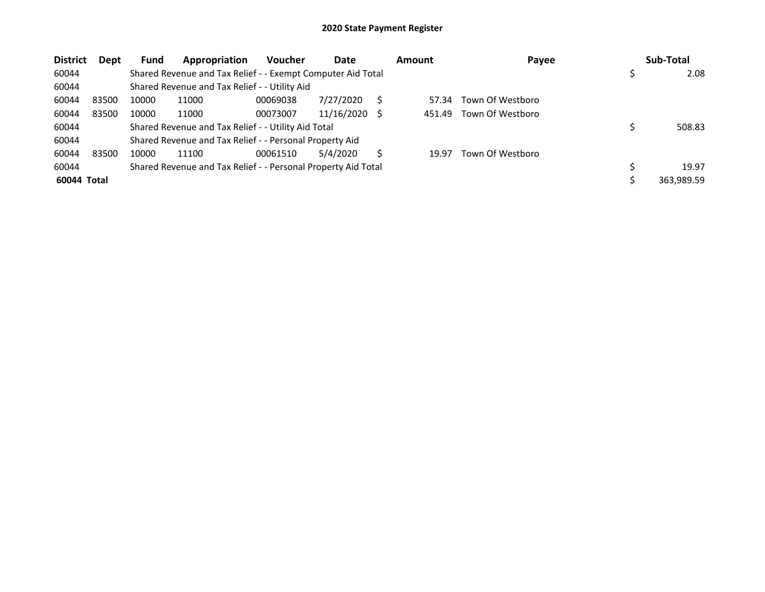| <b>District</b> | Dept  | Fund  | Appropriation                                                 | Voucher  | Date       | <b>Amount</b> | Payee            | Sub-Total  |
|-----------------|-------|-------|---------------------------------------------------------------|----------|------------|---------------|------------------|------------|
| 60044           |       |       | Shared Revenue and Tax Relief - - Exempt Computer Aid Total   |          |            |               |                  | 2.08       |
| 60044           |       |       | Shared Revenue and Tax Relief - - Utility Aid                 |          |            |               |                  |            |
| 60044           | 83500 | 10000 | 11000                                                         | 00069038 | 7/27/2020  | 57.34         | Town Of Westboro |            |
| 60044           | 83500 | 10000 | 11000                                                         | 00073007 | 11/16/2020 | 451.49        | Town Of Westboro |            |
| 60044           |       |       | Shared Revenue and Tax Relief - - Utility Aid Total           |          |            |               |                  | 508.83     |
| 60044           |       |       | Shared Revenue and Tax Relief - - Personal Property Aid       |          |            |               |                  |            |
| 60044           | 83500 | 10000 | 11100                                                         | 00061510 | 5/4/2020   | 19.97         | Town Of Westboro |            |
| 60044           |       |       | Shared Revenue and Tax Relief - - Personal Property Aid Total |          |            |               |                  | 19.97      |
| 60044 Total     |       |       |                                                               |          |            |               |                  | 363.989.59 |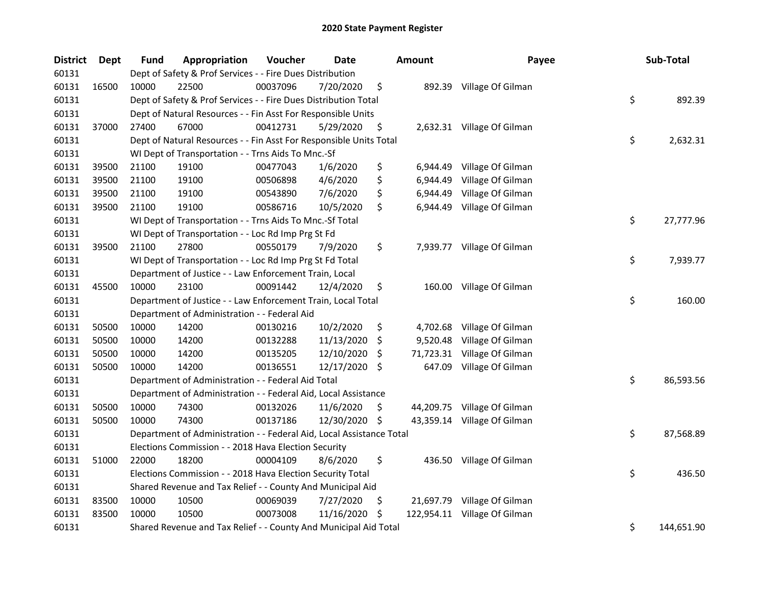| <b>District</b> | Dept  | <b>Fund</b> | Appropriation                                                        | Voucher  | Date       | Amount           | Payee                       | Sub-Total        |
|-----------------|-------|-------------|----------------------------------------------------------------------|----------|------------|------------------|-----------------------------|------------------|
| 60131           |       |             | Dept of Safety & Prof Services - - Fire Dues Distribution            |          |            |                  |                             |                  |
| 60131           | 16500 | 10000       | 22500                                                                | 00037096 | 7/20/2020  | \$               | 892.39 Village Of Gilman    |                  |
| 60131           |       |             | Dept of Safety & Prof Services - - Fire Dues Distribution Total      |          |            |                  |                             | \$<br>892.39     |
| 60131           |       |             | Dept of Natural Resources - - Fin Asst For Responsible Units         |          |            |                  |                             |                  |
| 60131           | 37000 | 27400       | 67000                                                                | 00412731 | 5/29/2020  | \$               | 2,632.31 Village Of Gilman  |                  |
| 60131           |       |             | Dept of Natural Resources - - Fin Asst For Responsible Units Total   |          |            |                  |                             | \$<br>2,632.31   |
| 60131           |       |             | WI Dept of Transportation - - Trns Aids To Mnc.-Sf                   |          |            |                  |                             |                  |
| 60131           | 39500 | 21100       | 19100                                                                | 00477043 | 1/6/2020   | \$<br>6,944.49   | Village Of Gilman           |                  |
| 60131           | 39500 | 21100       | 19100                                                                | 00506898 | 4/6/2020   | \$<br>6,944.49   | Village Of Gilman           |                  |
| 60131           | 39500 | 21100       | 19100                                                                | 00543890 | 7/6/2020   | \$<br>6,944.49   | Village Of Gilman           |                  |
| 60131           | 39500 | 21100       | 19100                                                                | 00586716 | 10/5/2020  | \$<br>6,944.49   | Village Of Gilman           |                  |
| 60131           |       |             | WI Dept of Transportation - - Trns Aids To Mnc.-Sf Total             |          |            |                  |                             | \$<br>27,777.96  |
| 60131           |       |             | WI Dept of Transportation - - Loc Rd Imp Prg St Fd                   |          |            |                  |                             |                  |
| 60131           | 39500 | 21100       | 27800                                                                | 00550179 | 7/9/2020   | \$               | 7,939.77 Village Of Gilman  |                  |
| 60131           |       |             | WI Dept of Transportation - - Loc Rd Imp Prg St Fd Total             |          |            |                  |                             | \$<br>7,939.77   |
| 60131           |       |             | Department of Justice - - Law Enforcement Train, Local               |          |            |                  |                             |                  |
| 60131           | 45500 | 10000       | 23100                                                                | 00091442 | 12/4/2020  | \$               | 160.00 Village Of Gilman    |                  |
| 60131           |       |             | Department of Justice - - Law Enforcement Train, Local Total         |          |            |                  |                             | \$<br>160.00     |
| 60131           |       |             | Department of Administration - - Federal Aid                         |          |            |                  |                             |                  |
| 60131           | 50500 | 10000       | 14200                                                                | 00130216 | 10/2/2020  | \$<br>4,702.68   | Village Of Gilman           |                  |
| 60131           | 50500 | 10000       | 14200                                                                | 00132288 | 11/13/2020 | \$<br>9,520.48   | Village Of Gilman           |                  |
| 60131           | 50500 | 10000       | 14200                                                                | 00135205 | 12/10/2020 | \$<br>71,723.31  | Village Of Gilman           |                  |
| 60131           | 50500 | 10000       | 14200                                                                | 00136551 | 12/17/2020 | \$<br>647.09     | Village Of Gilman           |                  |
| 60131           |       |             | Department of Administration - - Federal Aid Total                   |          |            |                  |                             | \$<br>86,593.56  |
| 60131           |       |             | Department of Administration - - Federal Aid, Local Assistance       |          |            |                  |                             |                  |
| 60131           | 50500 | 10000       | 74300                                                                | 00132026 | 11/6/2020  | \$               | 44,209.75 Village Of Gilman |                  |
| 60131           | 50500 | 10000       | 74300                                                                | 00137186 | 12/30/2020 | \$               | 43,359.14 Village Of Gilman |                  |
| 60131           |       |             | Department of Administration - - Federal Aid, Local Assistance Total |          |            |                  |                             | \$<br>87,568.89  |
| 60131           |       |             | Elections Commission - - 2018 Hava Election Security                 |          |            |                  |                             |                  |
| 60131           | 51000 | 22000       | 18200                                                                | 00004109 | 8/6/2020   | \$               | 436.50 Village Of Gilman    |                  |
| 60131           |       |             | Elections Commission - - 2018 Hava Election Security Total           |          |            |                  |                             | \$<br>436.50     |
| 60131           |       |             | Shared Revenue and Tax Relief - - County And Municipal Aid           |          |            |                  |                             |                  |
| 60131           | 83500 | 10000       | 10500                                                                | 00069039 | 7/27/2020  | \$<br>21,697.79  | Village Of Gilman           |                  |
| 60131           | 83500 | 10000       | 10500                                                                | 00073008 | 11/16/2020 | \$<br>122,954.11 | Village Of Gilman           |                  |
| 60131           |       |             | Shared Revenue and Tax Relief - - County And Municipal Aid Total     |          |            |                  |                             | \$<br>144,651.90 |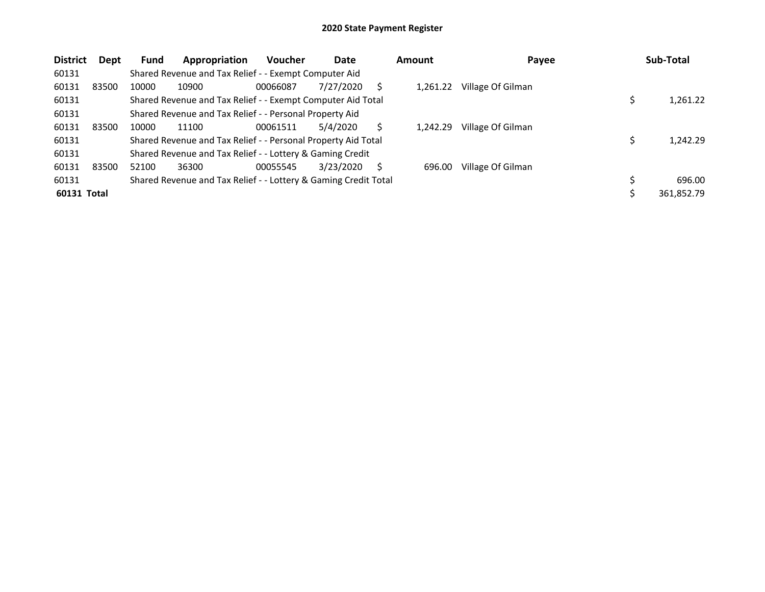| <b>District</b> | <b>Dept</b> | <b>Fund</b> | Appropriation                                                   | Voucher  | Date      |    | <b>Amount</b> | Payee             | Sub-Total  |
|-----------------|-------------|-------------|-----------------------------------------------------------------|----------|-----------|----|---------------|-------------------|------------|
| 60131           |             |             | Shared Revenue and Tax Relief - - Exempt Computer Aid           |          |           |    |               |                   |            |
| 60131<br>83500  |             | 10000       | 10900                                                           | 00066087 | 7/27/2020 |    | 1,261.22      | Village Of Gilman |            |
| 60131           |             |             | Shared Revenue and Tax Relief - - Exempt Computer Aid Total     |          |           |    |               |                   | 1,261.22   |
| 60131           |             |             | Shared Revenue and Tax Relief - - Personal Property Aid         |          |           |    |               |                   |            |
| 60131<br>83500  |             | 10000       | 11100                                                           | 00061511 | 5/4/2020  |    | 1.242.29      | Village Of Gilman |            |
| 60131           |             |             | Shared Revenue and Tax Relief - - Personal Property Aid Total   |          |           |    |               |                   | 1,242.29   |
| 60131           |             |             | Shared Revenue and Tax Relief - - Lottery & Gaming Credit       |          |           |    |               |                   |            |
| 60131<br>83500  |             | 52100       | 36300                                                           | 00055545 | 3/23/2020 | S. | 696.00        | Village Of Gilman |            |
| 60131           |             |             | Shared Revenue and Tax Relief - - Lottery & Gaming Credit Total |          |           |    |               |                   | 696.00     |
| 60131 Total     |             |             |                                                                 |          |           |    |               |                   | 361,852.79 |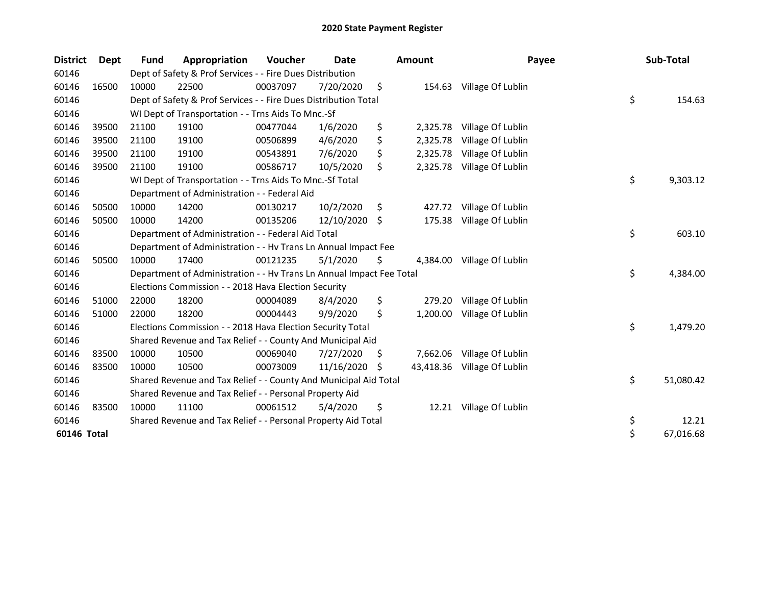| <b>District</b> | Dept  | <b>Fund</b> | Appropriation                                                        | Voucher  | <b>Date</b> |    | Amount    | Payee                      | Sub-Total       |
|-----------------|-------|-------------|----------------------------------------------------------------------|----------|-------------|----|-----------|----------------------------|-----------------|
| 60146           |       |             | Dept of Safety & Prof Services - - Fire Dues Distribution            |          |             |    |           |                            |                 |
| 60146           | 16500 | 10000       | 22500                                                                | 00037097 | 7/20/2020   | \$ | 154.63    | Village Of Lublin          |                 |
| 60146           |       |             | Dept of Safety & Prof Services - - Fire Dues Distribution Total      |          |             |    |           |                            | \$<br>154.63    |
| 60146           |       |             | WI Dept of Transportation - - Trns Aids To Mnc.-Sf                   |          |             |    |           |                            |                 |
| 60146           | 39500 | 21100       | 19100                                                                | 00477044 | 1/6/2020    | \$ | 2,325.78  | Village Of Lublin          |                 |
| 60146           | 39500 | 21100       | 19100                                                                | 00506899 | 4/6/2020    | \$ | 2,325.78  | Village Of Lublin          |                 |
| 60146           | 39500 | 21100       | 19100                                                                | 00543891 | 7/6/2020    | \$ | 2,325.78  | Village Of Lublin          |                 |
| 60146           | 39500 | 21100       | 19100                                                                | 00586717 | 10/5/2020   | \$ |           | 2,325.78 Village Of Lublin |                 |
| 60146           |       |             | WI Dept of Transportation - - Trns Aids To Mnc.-Sf Total             |          |             |    |           |                            | \$<br>9,303.12  |
| 60146           |       |             | Department of Administration - - Federal Aid                         |          |             |    |           |                            |                 |
| 60146           | 50500 | 10000       | 14200                                                                | 00130217 | 10/2/2020   | \$ | 427.72    | Village Of Lublin          |                 |
| 60146           | 50500 | 10000       | 14200                                                                | 00135206 | 12/10/2020  | \$ | 175.38    | Village Of Lublin          |                 |
| 60146           |       |             | Department of Administration - - Federal Aid Total                   |          |             |    |           |                            | \$<br>603.10    |
| 60146           |       |             | Department of Administration - - Hv Trans Ln Annual Impact Fee       |          |             |    |           |                            |                 |
| 60146           | 50500 | 10000       | 17400                                                                | 00121235 | 5/1/2020    | \$ | 4,384.00  | Village Of Lublin          |                 |
| 60146           |       |             | Department of Administration - - Hv Trans Ln Annual Impact Fee Total |          |             |    |           |                            | \$<br>4,384.00  |
| 60146           |       |             | Elections Commission - - 2018 Hava Election Security                 |          |             |    |           |                            |                 |
| 60146           | 51000 | 22000       | 18200                                                                | 00004089 | 8/4/2020    | \$ | 279.20    | Village Of Lublin          |                 |
| 60146           | 51000 | 22000       | 18200                                                                | 00004443 | 9/9/2020    | \$ | 1,200.00  | Village Of Lublin          |                 |
| 60146           |       |             | Elections Commission - - 2018 Hava Election Security Total           |          |             |    |           |                            | \$<br>1,479.20  |
| 60146           |       |             | Shared Revenue and Tax Relief - - County And Municipal Aid           |          |             |    |           |                            |                 |
| 60146           | 83500 | 10000       | 10500                                                                | 00069040 | 7/27/2020   | \$ | 7,662.06  | Village Of Lublin          |                 |
| 60146           | 83500 | 10000       | 10500                                                                | 00073009 | 11/16/2020  | S  | 43,418.36 | Village Of Lublin          |                 |
| 60146           |       |             | Shared Revenue and Tax Relief - - County And Municipal Aid Total     |          |             |    |           |                            | \$<br>51,080.42 |
| 60146           |       |             | Shared Revenue and Tax Relief - - Personal Property Aid              |          |             |    |           |                            |                 |
| 60146           | 83500 | 10000       | 11100                                                                | 00061512 | 5/4/2020    | \$ |           | 12.21 Village Of Lublin    |                 |
| 60146           |       |             | Shared Revenue and Tax Relief - - Personal Property Aid Total        |          |             |    |           |                            | \$<br>12.21     |
| 60146 Total     |       |             |                                                                      |          |             |    |           |                            | \$<br>67,016.68 |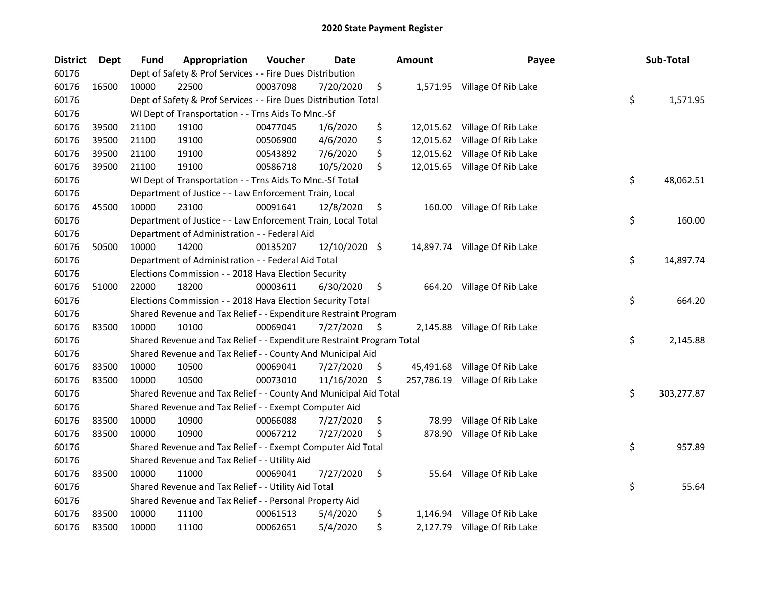| <b>District</b> | Dept  | <b>Fund</b> | Appropriation                                                         | Voucher  | <b>Date</b>   |     | Amount | Payee                          | Sub-Total        |
|-----------------|-------|-------------|-----------------------------------------------------------------------|----------|---------------|-----|--------|--------------------------------|------------------|
| 60176           |       |             | Dept of Safety & Prof Services - - Fire Dues Distribution             |          |               |     |        |                                |                  |
| 60176           | 16500 | 10000       | 22500                                                                 | 00037098 | 7/20/2020     | \$  |        | 1,571.95 Village Of Rib Lake   |                  |
| 60176           |       |             | Dept of Safety & Prof Services - - Fire Dues Distribution Total       |          |               |     |        |                                | \$<br>1,571.95   |
| 60176           |       |             | WI Dept of Transportation - - Trns Aids To Mnc.-Sf                    |          |               |     |        |                                |                  |
| 60176           | 39500 | 21100       | 19100                                                                 | 00477045 | 1/6/2020      | \$  |        | 12,015.62 Village Of Rib Lake  |                  |
| 60176           | 39500 | 21100       | 19100                                                                 | 00506900 | 4/6/2020      | \$  |        | 12,015.62 Village Of Rib Lake  |                  |
| 60176           | 39500 | 21100       | 19100                                                                 | 00543892 | 7/6/2020      | \$  |        | 12,015.62 Village Of Rib Lake  |                  |
| 60176           | 39500 | 21100       | 19100                                                                 | 00586718 | 10/5/2020     | \$  |        | 12,015.65 Village Of Rib Lake  |                  |
| 60176           |       |             | WI Dept of Transportation - - Trns Aids To Mnc.-Sf Total              |          |               |     |        |                                | \$<br>48,062.51  |
| 60176           |       |             | Department of Justice - - Law Enforcement Train, Local                |          |               |     |        |                                |                  |
| 60176           | 45500 | 10000       | 23100                                                                 | 00091641 | 12/8/2020     | \$  |        | 160.00 Village Of Rib Lake     |                  |
| 60176           |       |             | Department of Justice - - Law Enforcement Train, Local Total          |          |               |     |        |                                | \$<br>160.00     |
| 60176           |       |             | Department of Administration - - Federal Aid                          |          |               |     |        |                                |                  |
| 60176           | 50500 | 10000       | 14200                                                                 | 00135207 | 12/10/2020 \$ |     |        | 14,897.74 Village Of Rib Lake  |                  |
| 60176           |       |             | Department of Administration - - Federal Aid Total                    |          |               |     |        |                                | \$<br>14,897.74  |
| 60176           |       |             | Elections Commission - - 2018 Hava Election Security                  |          |               |     |        |                                |                  |
| 60176           | 51000 | 22000       | 18200                                                                 | 00003611 | 6/30/2020     | \$  |        | 664.20 Village Of Rib Lake     |                  |
| 60176           |       |             | Elections Commission - - 2018 Hava Election Security Total            |          |               |     |        |                                | \$<br>664.20     |
| 60176           |       |             | Shared Revenue and Tax Relief - - Expenditure Restraint Program       |          |               |     |        |                                |                  |
| 60176           | 83500 | 10000       | 10100                                                                 | 00069041 | 7/27/2020     | \$  |        | 2,145.88 Village Of Rib Lake   |                  |
| 60176           |       |             | Shared Revenue and Tax Relief - - Expenditure Restraint Program Total |          |               |     |        |                                | \$<br>2,145.88   |
| 60176           |       |             | Shared Revenue and Tax Relief - - County And Municipal Aid            |          |               |     |        |                                |                  |
| 60176           | 83500 | 10000       | 10500                                                                 | 00069041 | 7/27/2020     | \$. |        | 45,491.68 Village Of Rib Lake  |                  |
| 60176           | 83500 | 10000       | 10500                                                                 | 00073010 | 11/16/2020    | \$  |        | 257,786.19 Village Of Rib Lake |                  |
| 60176           |       |             | Shared Revenue and Tax Relief - - County And Municipal Aid Total      |          |               |     |        |                                | \$<br>303,277.87 |
| 60176           |       |             | Shared Revenue and Tax Relief - - Exempt Computer Aid                 |          |               |     |        |                                |                  |
| 60176           | 83500 | 10000       | 10900                                                                 | 00066088 | 7/27/2020     | \$  | 78.99  | Village Of Rib Lake            |                  |
| 60176           | 83500 | 10000       | 10900                                                                 | 00067212 | 7/27/2020     | \$, |        | 878.90 Village Of Rib Lake     |                  |
| 60176           |       |             | Shared Revenue and Tax Relief - - Exempt Computer Aid Total           |          |               |     |        |                                | \$<br>957.89     |
| 60176           |       |             | Shared Revenue and Tax Relief - - Utility Aid                         |          |               |     |        |                                |                  |
| 60176           | 83500 | 10000       | 11000                                                                 | 00069041 | 7/27/2020     | \$  | 55.64  | Village Of Rib Lake            |                  |
| 60176           |       |             | Shared Revenue and Tax Relief - - Utility Aid Total                   |          |               |     |        |                                | \$<br>55.64      |
| 60176           |       |             | Shared Revenue and Tax Relief - - Personal Property Aid               |          |               |     |        |                                |                  |
| 60176           | 83500 | 10000       | 11100                                                                 | 00061513 | 5/4/2020      | \$  |        | 1,146.94 Village Of Rib Lake   |                  |
| 60176           | 83500 | 10000       | 11100                                                                 | 00062651 | 5/4/2020      | \$  |        | 2,127.79 Village Of Rib Lake   |                  |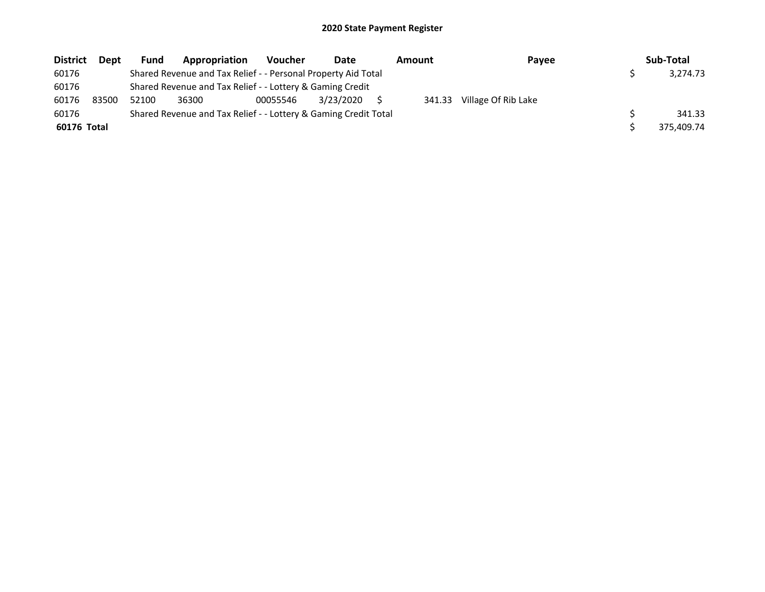| <b>District</b> | <b>Dept</b> | <b>Fund</b> | Appropriation                                                   | <b>Voucher</b> | Date      | <b>Amount</b> | Payee               | Sub-Total  |
|-----------------|-------------|-------------|-----------------------------------------------------------------|----------------|-----------|---------------|---------------------|------------|
| 60176           |             |             | Shared Revenue and Tax Relief - - Personal Property Aid Total   |                |           |               |                     | 3.274.73   |
| 60176           |             |             | Shared Revenue and Tax Relief - - Lottery & Gaming Credit       |                |           |               |                     |            |
| 60176           | 83500       | 52100       | 36300                                                           | 00055546       | 3/23/2020 | 341.33        | Village Of Rib Lake |            |
| 60176           |             |             | Shared Revenue and Tax Relief - - Lottery & Gaming Credit Total |                |           |               |                     | 341.33     |
| 60176 Total     |             |             |                                                                 |                |           |               |                     | 375,409.74 |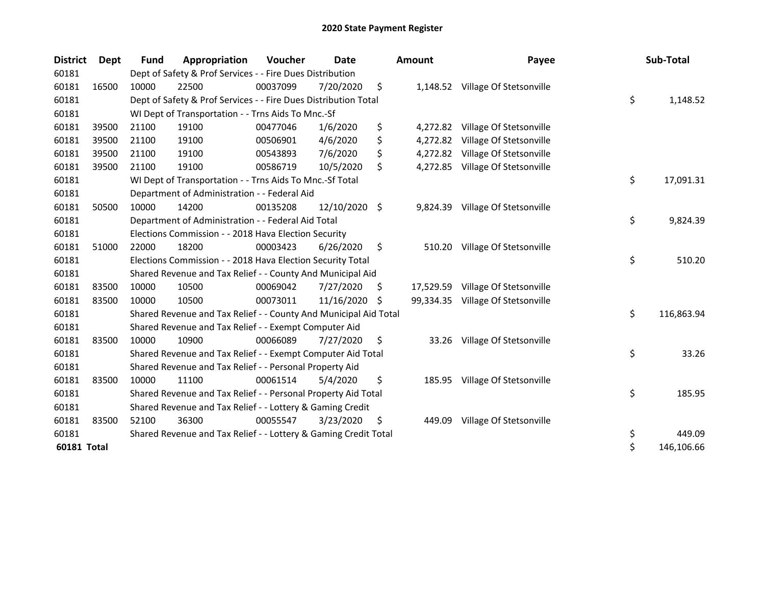| <b>District</b>    | Dept  | Fund  | Appropriation                                                    | Voucher  | Date          |    | <b>Amount</b> | Payee                            | Sub-Total        |
|--------------------|-------|-------|------------------------------------------------------------------|----------|---------------|----|---------------|----------------------------------|------------------|
| 60181              |       |       | Dept of Safety & Prof Services - - Fire Dues Distribution        |          |               |    |               |                                  |                  |
| 60181              | 16500 | 10000 | 22500                                                            | 00037099 | 7/20/2020     | \$ |               | 1,148.52 Village Of Stetsonville |                  |
| 60181              |       |       | Dept of Safety & Prof Services - - Fire Dues Distribution Total  |          |               |    |               |                                  | \$<br>1,148.52   |
| 60181              |       |       | WI Dept of Transportation - - Trns Aids To Mnc.-Sf               |          |               |    |               |                                  |                  |
| 60181              | 39500 | 21100 | 19100                                                            | 00477046 | 1/6/2020      | \$ |               | 4,272.82 Village Of Stetsonville |                  |
| 60181              | 39500 | 21100 | 19100                                                            | 00506901 | 4/6/2020      | \$ | 4,272.82      | Village Of Stetsonville          |                  |
| 60181              | 39500 | 21100 | 19100                                                            | 00543893 | 7/6/2020      | \$ |               | 4,272.82 Village Of Stetsonville |                  |
| 60181              | 39500 | 21100 | 19100                                                            | 00586719 | 10/5/2020     | \$ |               | 4,272.85 Village Of Stetsonville |                  |
| 60181              |       |       | WI Dept of Transportation - - Trns Aids To Mnc.-Sf Total         |          |               |    |               |                                  | \$<br>17,091.31  |
| 60181              |       |       | Department of Administration - - Federal Aid                     |          |               |    |               |                                  |                  |
| 60181              | 50500 | 10000 | 14200                                                            | 00135208 | 12/10/2020 \$ |    | 9,824.39      | Village Of Stetsonville          |                  |
| 60181              |       |       | Department of Administration - - Federal Aid Total               |          |               |    |               |                                  | \$<br>9,824.39   |
| 60181              |       |       | Elections Commission - - 2018 Hava Election Security             |          |               |    |               |                                  |                  |
| 60181              | 51000 | 22000 | 18200                                                            | 00003423 | 6/26/2020     | \$ | 510.20        | Village Of Stetsonville          |                  |
| 60181              |       |       | Elections Commission - - 2018 Hava Election Security Total       |          |               |    |               |                                  | \$<br>510.20     |
| 60181              |       |       | Shared Revenue and Tax Relief - - County And Municipal Aid       |          |               |    |               |                                  |                  |
| 60181              | 83500 | 10000 | 10500                                                            | 00069042 | 7/27/2020     | \$ | 17,529.59     | Village Of Stetsonville          |                  |
| 60181              | 83500 | 10000 | 10500                                                            | 00073011 | 11/16/2020    | S  | 99,334.35     | Village Of Stetsonville          |                  |
| 60181              |       |       | Shared Revenue and Tax Relief - - County And Municipal Aid Total |          |               |    |               |                                  | \$<br>116,863.94 |
| 60181              |       |       | Shared Revenue and Tax Relief - - Exempt Computer Aid            |          |               |    |               |                                  |                  |
| 60181              | 83500 | 10000 | 10900                                                            | 00066089 | 7/27/2020     | \$ | 33.26         | Village Of Stetsonville          |                  |
| 60181              |       |       | Shared Revenue and Tax Relief - - Exempt Computer Aid Total      |          |               |    |               |                                  | \$<br>33.26      |
| 60181              |       |       | Shared Revenue and Tax Relief - - Personal Property Aid          |          |               |    |               |                                  |                  |
| 60181              | 83500 | 10000 | 11100                                                            | 00061514 | 5/4/2020      | \$ |               | 185.95 Village Of Stetsonville   |                  |
| 60181              |       |       | Shared Revenue and Tax Relief - - Personal Property Aid Total    |          |               |    |               |                                  | \$<br>185.95     |
| 60181              |       |       | Shared Revenue and Tax Relief - - Lottery & Gaming Credit        |          |               |    |               |                                  |                  |
| 60181              | 83500 | 52100 | 36300                                                            | 00055547 | 3/23/2020     | \$ | 449.09        | Village Of Stetsonville          |                  |
| 60181              |       |       | Shared Revenue and Tax Relief - - Lottery & Gaming Credit Total  |          |               |    |               |                                  | \$<br>449.09     |
| <b>60181 Total</b> |       |       |                                                                  |          |               |    |               |                                  | \$<br>146,106.66 |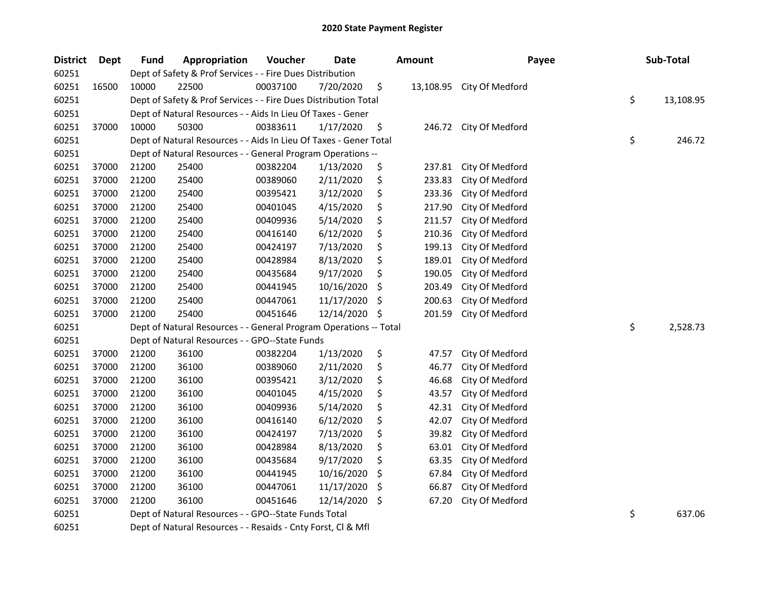| <b>District</b> | <b>Dept</b> | <b>Fund</b> | Appropriation                                                     | Voucher  | Date       |    | Amount    | Payee                  |    | Sub-Total |
|-----------------|-------------|-------------|-------------------------------------------------------------------|----------|------------|----|-----------|------------------------|----|-----------|
| 60251           |             |             | Dept of Safety & Prof Services - - Fire Dues Distribution         |          |            |    |           |                        |    |           |
| 60251           | 16500       | 10000       | 22500                                                             | 00037100 | 7/20/2020  | \$ | 13,108.95 | City Of Medford        |    |           |
| 60251           |             |             | Dept of Safety & Prof Services - - Fire Dues Distribution Total   |          |            |    |           |                        | \$ | 13,108.95 |
| 60251           |             |             | Dept of Natural Resources - - Aids In Lieu Of Taxes - Gener       |          |            |    |           |                        |    |           |
| 60251           | 37000       | 10000       | 50300                                                             | 00383611 | 1/17/2020  | \$ |           | 246.72 City Of Medford |    |           |
| 60251           |             |             | Dept of Natural Resources - - Aids In Lieu Of Taxes - Gener Total |          |            |    |           |                        | \$ | 246.72    |
| 60251           |             |             | Dept of Natural Resources - - General Program Operations --       |          |            |    |           |                        |    |           |
| 60251           | 37000       | 21200       | 25400                                                             | 00382204 | 1/13/2020  | \$ | 237.81    | City Of Medford        |    |           |
| 60251           | 37000       | 21200       | 25400                                                             | 00389060 | 2/11/2020  | \$ | 233.83    | City Of Medford        |    |           |
| 60251           | 37000       | 21200       | 25400                                                             | 00395421 | 3/12/2020  | \$ | 233.36    | City Of Medford        |    |           |
| 60251           | 37000       | 21200       | 25400                                                             | 00401045 | 4/15/2020  | \$ | 217.90    | City Of Medford        |    |           |
| 60251           | 37000       | 21200       | 25400                                                             | 00409936 | 5/14/2020  | \$ | 211.57    | City Of Medford        |    |           |
| 60251           | 37000       | 21200       | 25400                                                             | 00416140 | 6/12/2020  | \$ | 210.36    | City Of Medford        |    |           |
| 60251           | 37000       | 21200       | 25400                                                             | 00424197 | 7/13/2020  | \$ | 199.13    | City Of Medford        |    |           |
| 60251           | 37000       | 21200       | 25400                                                             | 00428984 | 8/13/2020  | \$ | 189.01    | City Of Medford        |    |           |
| 60251           | 37000       | 21200       | 25400                                                             | 00435684 | 9/17/2020  | \$ | 190.05    | City Of Medford        |    |           |
| 60251           | 37000       | 21200       | 25400                                                             | 00441945 | 10/16/2020 | \$ | 203.49    | City Of Medford        |    |           |
| 60251           | 37000       | 21200       | 25400                                                             | 00447061 | 11/17/2020 | \$ | 200.63    | City Of Medford        |    |           |
| 60251           | 37000       | 21200       | 25400                                                             | 00451646 | 12/14/2020 | \$ | 201.59    | City Of Medford        |    |           |
| 60251           |             |             | Dept of Natural Resources - - General Program Operations -- Total |          |            |    |           |                        | \$ | 2,528.73  |
| 60251           |             |             | Dept of Natural Resources - - GPO--State Funds                    |          |            |    |           |                        |    |           |
| 60251           | 37000       | 21200       | 36100                                                             | 00382204 | 1/13/2020  | \$ | 47.57     | City Of Medford        |    |           |
| 60251           | 37000       | 21200       | 36100                                                             | 00389060 | 2/11/2020  | \$ | 46.77     | City Of Medford        |    |           |
| 60251           | 37000       | 21200       | 36100                                                             | 00395421 | 3/12/2020  | \$ | 46.68     | City Of Medford        |    |           |
| 60251           | 37000       | 21200       | 36100                                                             | 00401045 | 4/15/2020  | \$ | 43.57     | City Of Medford        |    |           |
| 60251           | 37000       | 21200       | 36100                                                             | 00409936 | 5/14/2020  | \$ | 42.31     | City Of Medford        |    |           |
| 60251           | 37000       | 21200       | 36100                                                             | 00416140 | 6/12/2020  | \$ | 42.07     | City Of Medford        |    |           |
| 60251           | 37000       | 21200       | 36100                                                             | 00424197 | 7/13/2020  | \$ | 39.82     | City Of Medford        |    |           |
| 60251           | 37000       | 21200       | 36100                                                             | 00428984 | 8/13/2020  | \$ | 63.01     | City Of Medford        |    |           |
| 60251           | 37000       | 21200       | 36100                                                             | 00435684 | 9/17/2020  | \$ | 63.35     | City Of Medford        |    |           |
| 60251           | 37000       | 21200       | 36100                                                             | 00441945 | 10/16/2020 | \$ | 67.84     | City Of Medford        |    |           |
| 60251           | 37000       | 21200       | 36100                                                             | 00447061 | 11/17/2020 | \$ | 66.87     | City Of Medford        |    |           |
| 60251           | 37000       | 21200       | 36100                                                             | 00451646 | 12/14/2020 | \$ | 67.20     | City Of Medford        |    |           |
| 60251           |             |             | Dept of Natural Resources - - GPO--State Funds Total              |          |            |    |           |                        | \$ | 637.06    |
| 60251           |             |             | Dept of Natural Resources - - Resaids - Cnty Forst, Cl & Mfl      |          |            |    |           |                        |    |           |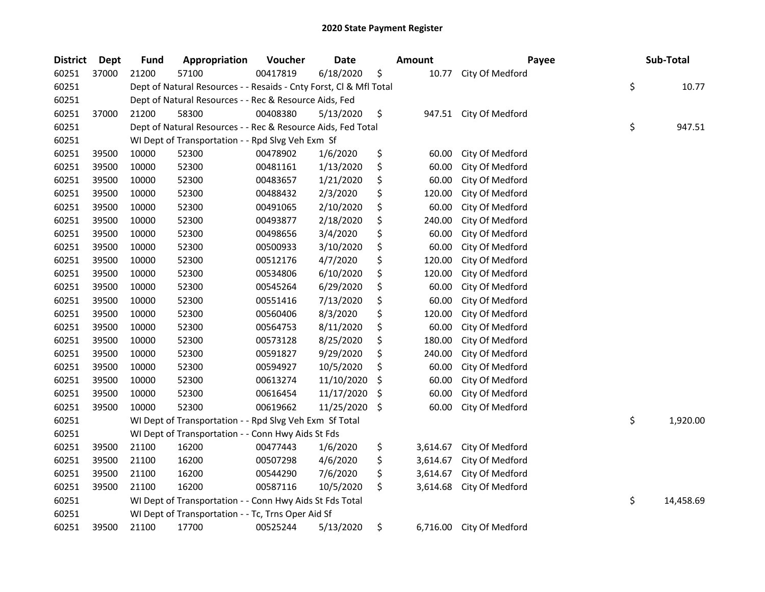| <b>District</b> | <b>Dept</b> | <b>Fund</b> | Appropriation                                                      | Voucher  | Date       | <b>Amount</b>  | Payee                    | Sub-Total       |
|-----------------|-------------|-------------|--------------------------------------------------------------------|----------|------------|----------------|--------------------------|-----------------|
| 60251           | 37000       | 21200       | 57100                                                              | 00417819 | 6/18/2020  | \$<br>10.77    | City Of Medford          |                 |
| 60251           |             |             | Dept of Natural Resources - - Resaids - Cnty Forst, Cl & Mfl Total |          |            |                |                          | \$<br>10.77     |
| 60251           |             |             | Dept of Natural Resources - - Rec & Resource Aids, Fed             |          |            |                |                          |                 |
| 60251           | 37000       | 21200       | 58300                                                              | 00408380 | 5/13/2020  | \$             | 947.51 City Of Medford   |                 |
| 60251           |             |             | Dept of Natural Resources - - Rec & Resource Aids, Fed Total       |          |            |                |                          | \$<br>947.51    |
| 60251           |             |             | WI Dept of Transportation - - Rpd Slvg Veh Exm Sf                  |          |            |                |                          |                 |
| 60251           | 39500       | 10000       | 52300                                                              | 00478902 | 1/6/2020   | \$<br>60.00    | City Of Medford          |                 |
| 60251           | 39500       | 10000       | 52300                                                              | 00481161 | 1/13/2020  | \$<br>60.00    | City Of Medford          |                 |
| 60251           | 39500       | 10000       | 52300                                                              | 00483657 | 1/21/2020  | \$<br>60.00    | City Of Medford          |                 |
| 60251           | 39500       | 10000       | 52300                                                              | 00488432 | 2/3/2020   | \$<br>120.00   | City Of Medford          |                 |
| 60251           | 39500       | 10000       | 52300                                                              | 00491065 | 2/10/2020  | \$<br>60.00    | City Of Medford          |                 |
| 60251           | 39500       | 10000       | 52300                                                              | 00493877 | 2/18/2020  | \$<br>240.00   | City Of Medford          |                 |
| 60251           | 39500       | 10000       | 52300                                                              | 00498656 | 3/4/2020   | \$<br>60.00    | City Of Medford          |                 |
| 60251           | 39500       | 10000       | 52300                                                              | 00500933 | 3/10/2020  | \$<br>60.00    | City Of Medford          |                 |
| 60251           | 39500       | 10000       | 52300                                                              | 00512176 | 4/7/2020   | \$<br>120.00   | City Of Medford          |                 |
| 60251           | 39500       | 10000       | 52300                                                              | 00534806 | 6/10/2020  | \$<br>120.00   | City Of Medford          |                 |
| 60251           | 39500       | 10000       | 52300                                                              | 00545264 | 6/29/2020  | \$<br>60.00    | City Of Medford          |                 |
| 60251           | 39500       | 10000       | 52300                                                              | 00551416 | 7/13/2020  | \$<br>60.00    | City Of Medford          |                 |
| 60251           | 39500       | 10000       | 52300                                                              | 00560406 | 8/3/2020   | \$<br>120.00   | City Of Medford          |                 |
| 60251           | 39500       | 10000       | 52300                                                              | 00564753 | 8/11/2020  | \$<br>60.00    | City Of Medford          |                 |
| 60251           | 39500       | 10000       | 52300                                                              | 00573128 | 8/25/2020  | \$<br>180.00   | City Of Medford          |                 |
| 60251           | 39500       | 10000       | 52300                                                              | 00591827 | 9/29/2020  | \$<br>240.00   | City Of Medford          |                 |
| 60251           | 39500       | 10000       | 52300                                                              | 00594927 | 10/5/2020  | \$<br>60.00    | City Of Medford          |                 |
| 60251           | 39500       | 10000       | 52300                                                              | 00613274 | 11/10/2020 | \$<br>60.00    | City Of Medford          |                 |
| 60251           | 39500       | 10000       | 52300                                                              | 00616454 | 11/17/2020 | \$<br>60.00    | City Of Medford          |                 |
| 60251           | 39500       | 10000       | 52300                                                              | 00619662 | 11/25/2020 | \$<br>60.00    | City Of Medford          |                 |
| 60251           |             |             | WI Dept of Transportation - - Rpd Slvg Veh Exm Sf Total            |          |            |                |                          | \$<br>1,920.00  |
| 60251           |             |             | WI Dept of Transportation - - Conn Hwy Aids St Fds                 |          |            |                |                          |                 |
| 60251           | 39500       | 21100       | 16200                                                              | 00477443 | 1/6/2020   | \$<br>3,614.67 | City Of Medford          |                 |
| 60251           | 39500       | 21100       | 16200                                                              | 00507298 | 4/6/2020   | \$<br>3,614.67 | City Of Medford          |                 |
| 60251           | 39500       | 21100       | 16200                                                              | 00544290 | 7/6/2020   | \$<br>3,614.67 | City Of Medford          |                 |
| 60251           | 39500       | 21100       | 16200                                                              | 00587116 | 10/5/2020  | \$<br>3,614.68 | City Of Medford          |                 |
| 60251           |             |             | WI Dept of Transportation - - Conn Hwy Aids St Fds Total           |          |            |                |                          | \$<br>14,458.69 |
| 60251           |             |             | WI Dept of Transportation - - Tc, Trns Oper Aid Sf                 |          |            |                |                          |                 |
| 60251           | 39500       | 21100       | 17700                                                              | 00525244 | 5/13/2020  | \$             | 6,716.00 City Of Medford |                 |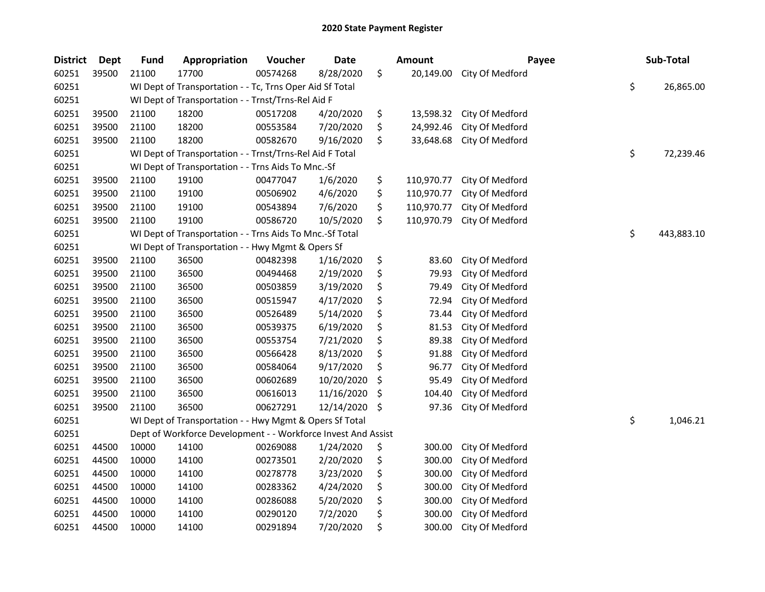| <b>District</b> | <b>Dept</b> | <b>Fund</b> | Appropriation                                                 | Voucher  | <b>Date</b> | <b>Amount</b>    | Payee           | Sub-Total        |
|-----------------|-------------|-------------|---------------------------------------------------------------|----------|-------------|------------------|-----------------|------------------|
| 60251           | 39500       | 21100       | 17700                                                         | 00574268 | 8/28/2020   | \$<br>20,149.00  | City Of Medford |                  |
| 60251           |             |             | WI Dept of Transportation - - Tc, Trns Oper Aid Sf Total      |          |             |                  |                 | \$<br>26,865.00  |
| 60251           |             |             | WI Dept of Transportation - - Trnst/Trns-Rel Aid F            |          |             |                  |                 |                  |
| 60251           | 39500       | 21100       | 18200                                                         | 00517208 | 4/20/2020   | \$<br>13,598.32  | City Of Medford |                  |
| 60251           | 39500       | 21100       | 18200                                                         | 00553584 | 7/20/2020   | \$<br>24,992.46  | City Of Medford |                  |
| 60251           | 39500       | 21100       | 18200                                                         | 00582670 | 9/16/2020   | \$<br>33,648.68  | City Of Medford |                  |
| 60251           |             |             | WI Dept of Transportation - - Trnst/Trns-Rel Aid F Total      |          |             |                  |                 | \$<br>72,239.46  |
| 60251           |             |             | WI Dept of Transportation - - Trns Aids To Mnc.-Sf            |          |             |                  |                 |                  |
| 60251           | 39500       | 21100       | 19100                                                         | 00477047 | 1/6/2020    | \$<br>110,970.77 | City Of Medford |                  |
| 60251           | 39500       | 21100       | 19100                                                         | 00506902 | 4/6/2020    | \$<br>110,970.77 | City Of Medford |                  |
| 60251           | 39500       | 21100       | 19100                                                         | 00543894 | 7/6/2020    | \$<br>110,970.77 | City Of Medford |                  |
| 60251           | 39500       | 21100       | 19100                                                         | 00586720 | 10/5/2020   | \$<br>110,970.79 | City Of Medford |                  |
| 60251           |             |             | WI Dept of Transportation - - Trns Aids To Mnc.-Sf Total      |          |             |                  |                 | \$<br>443,883.10 |
| 60251           |             |             | WI Dept of Transportation - - Hwy Mgmt & Opers Sf             |          |             |                  |                 |                  |
| 60251           | 39500       | 21100       | 36500                                                         | 00482398 | 1/16/2020   | \$<br>83.60      | City Of Medford |                  |
| 60251           | 39500       | 21100       | 36500                                                         | 00494468 | 2/19/2020   | \$<br>79.93      | City Of Medford |                  |
| 60251           | 39500       | 21100       | 36500                                                         | 00503859 | 3/19/2020   | \$<br>79.49      | City Of Medford |                  |
| 60251           | 39500       | 21100       | 36500                                                         | 00515947 | 4/17/2020   | \$<br>72.94      | City Of Medford |                  |
| 60251           | 39500       | 21100       | 36500                                                         | 00526489 | 5/14/2020   | \$<br>73.44      | City Of Medford |                  |
| 60251           | 39500       | 21100       | 36500                                                         | 00539375 | 6/19/2020   | \$<br>81.53      | City Of Medford |                  |
| 60251           | 39500       | 21100       | 36500                                                         | 00553754 | 7/21/2020   | \$<br>89.38      | City Of Medford |                  |
| 60251           | 39500       | 21100       | 36500                                                         | 00566428 | 8/13/2020   | \$<br>91.88      | City Of Medford |                  |
| 60251           | 39500       | 21100       | 36500                                                         | 00584064 | 9/17/2020   | \$<br>96.77      | City Of Medford |                  |
| 60251           | 39500       | 21100       | 36500                                                         | 00602689 | 10/20/2020  | \$<br>95.49      | City Of Medford |                  |
| 60251           | 39500       | 21100       | 36500                                                         | 00616013 | 11/16/2020  | \$<br>104.40     | City Of Medford |                  |
| 60251           | 39500       | 21100       | 36500                                                         | 00627291 | 12/14/2020  | \$<br>97.36      | City Of Medford |                  |
| 60251           |             |             | WI Dept of Transportation - - Hwy Mgmt & Opers Sf Total       |          |             |                  |                 | \$<br>1,046.21   |
| 60251           |             |             | Dept of Workforce Development - - Workforce Invest And Assist |          |             |                  |                 |                  |
| 60251           | 44500       | 10000       | 14100                                                         | 00269088 | 1/24/2020   | \$<br>300.00     | City Of Medford |                  |
| 60251           | 44500       | 10000       | 14100                                                         | 00273501 | 2/20/2020   | \$<br>300.00     | City Of Medford |                  |
| 60251           | 44500       | 10000       | 14100                                                         | 00278778 | 3/23/2020   | \$<br>300.00     | City Of Medford |                  |
| 60251           | 44500       | 10000       | 14100                                                         | 00283362 | 4/24/2020   | \$<br>300.00     | City Of Medford |                  |
| 60251           | 44500       | 10000       | 14100                                                         | 00286088 | 5/20/2020   | \$<br>300.00     | City Of Medford |                  |
| 60251           | 44500       | 10000       | 14100                                                         | 00290120 | 7/2/2020    | \$<br>300.00     | City Of Medford |                  |
| 60251           | 44500       | 10000       | 14100                                                         | 00291894 | 7/20/2020   | \$<br>300.00     | City Of Medford |                  |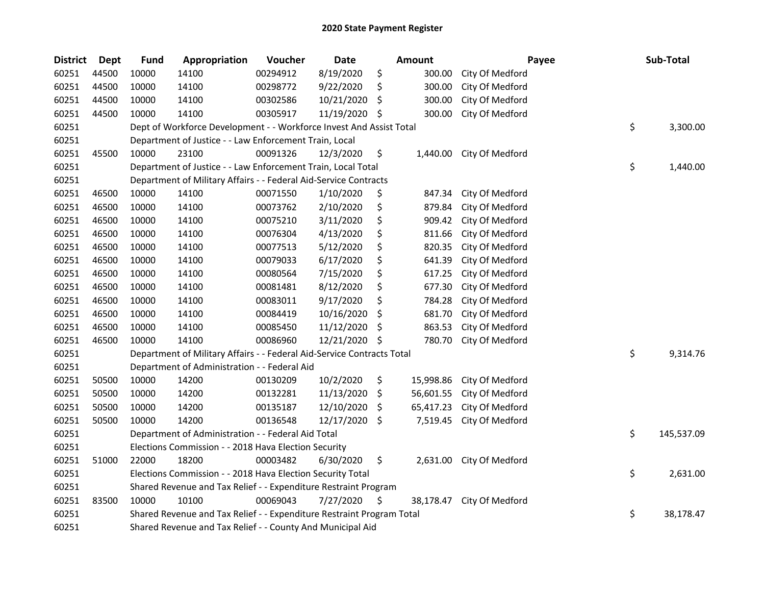| <b>District</b> | Dept  | <b>Fund</b> | Appropriation                                                          | Voucher  | Date       |     | <b>Amount</b> | Payee           |    | Sub-Total  |
|-----------------|-------|-------------|------------------------------------------------------------------------|----------|------------|-----|---------------|-----------------|----|------------|
| 60251           | 44500 | 10000       | 14100                                                                  | 00294912 | 8/19/2020  | \$  | 300.00        | City Of Medford |    |            |
| 60251           | 44500 | 10000       | 14100                                                                  | 00298772 | 9/22/2020  | \$  | 300.00        | City Of Medford |    |            |
| 60251           | 44500 | 10000       | 14100                                                                  | 00302586 | 10/21/2020 | \$  | 300.00        | City Of Medford |    |            |
| 60251           | 44500 | 10000       | 14100                                                                  | 00305917 | 11/19/2020 | \$  | 300.00        | City Of Medford |    |            |
| 60251           |       |             | Dept of Workforce Development - - Workforce Invest And Assist Total    |          |            |     |               |                 | \$ | 3,300.00   |
| 60251           |       |             | Department of Justice - - Law Enforcement Train, Local                 |          |            |     |               |                 |    |            |
| 60251           | 45500 | 10000       | 23100                                                                  | 00091326 | 12/3/2020  | \$  | 1,440.00      | City Of Medford |    |            |
| 60251           |       |             | Department of Justice - - Law Enforcement Train, Local Total           |          |            |     |               |                 | \$ | 1,440.00   |
| 60251           |       |             | Department of Military Affairs - - Federal Aid-Service Contracts       |          |            |     |               |                 |    |            |
| 60251           | 46500 | 10000       | 14100                                                                  | 00071550 | 1/10/2020  | \$  | 847.34        | City Of Medford |    |            |
| 60251           | 46500 | 10000       | 14100                                                                  | 00073762 | 2/10/2020  | \$  | 879.84        | City Of Medford |    |            |
| 60251           | 46500 | 10000       | 14100                                                                  | 00075210 | 3/11/2020  | \$  | 909.42        | City Of Medford |    |            |
| 60251           | 46500 | 10000       | 14100                                                                  | 00076304 | 4/13/2020  | \$  | 811.66        | City Of Medford |    |            |
| 60251           | 46500 | 10000       | 14100                                                                  | 00077513 | 5/12/2020  | \$  | 820.35        | City Of Medford |    |            |
| 60251           | 46500 | 10000       | 14100                                                                  | 00079033 | 6/17/2020  | \$  | 641.39        | City Of Medford |    |            |
| 60251           | 46500 | 10000       | 14100                                                                  | 00080564 | 7/15/2020  | \$  | 617.25        | City Of Medford |    |            |
| 60251           | 46500 | 10000       | 14100                                                                  | 00081481 | 8/12/2020  | \$  | 677.30        | City Of Medford |    |            |
| 60251           | 46500 | 10000       | 14100                                                                  | 00083011 | 9/17/2020  | \$  | 784.28        | City Of Medford |    |            |
| 60251           | 46500 | 10000       | 14100                                                                  | 00084419 | 10/16/2020 | \$  | 681.70        | City Of Medford |    |            |
| 60251           | 46500 | 10000       | 14100                                                                  | 00085450 | 11/12/2020 | \$  | 863.53        | City Of Medford |    |            |
| 60251           | 46500 | 10000       | 14100                                                                  | 00086960 | 12/21/2020 | \$  | 780.70        | City Of Medford |    |            |
| 60251           |       |             | Department of Military Affairs - - Federal Aid-Service Contracts Total |          |            |     |               |                 | \$ | 9,314.76   |
| 60251           |       |             | Department of Administration - - Federal Aid                           |          |            |     |               |                 |    |            |
| 60251           | 50500 | 10000       | 14200                                                                  | 00130209 | 10/2/2020  | \$  | 15,998.86     | City Of Medford |    |            |
| 60251           | 50500 | 10000       | 14200                                                                  | 00132281 | 11/13/2020 | \$  | 56,601.55     | City Of Medford |    |            |
| 60251           | 50500 | 10000       | 14200                                                                  | 00135187 | 12/10/2020 | \$. | 65,417.23     | City Of Medford |    |            |
| 60251           | 50500 | 10000       | 14200                                                                  | 00136548 | 12/17/2020 | \$. | 7,519.45      | City Of Medford |    |            |
| 60251           |       |             | Department of Administration - - Federal Aid Total                     |          |            |     |               |                 | \$ | 145,537.09 |
| 60251           |       |             | Elections Commission - - 2018 Hava Election Security                   |          |            |     |               |                 |    |            |
| 60251           | 51000 | 22000       | 18200                                                                  | 00003482 | 6/30/2020  | \$  | 2,631.00      | City Of Medford |    |            |
| 60251           |       |             | Elections Commission - - 2018 Hava Election Security Total             |          |            |     |               |                 | \$ | 2,631.00   |
| 60251           |       |             | Shared Revenue and Tax Relief - - Expenditure Restraint Program        |          |            |     |               |                 |    |            |
| 60251           | 83500 | 10000       | 10100                                                                  | 00069043 | 7/27/2020  | \$  | 38,178.47     | City Of Medford |    |            |
| 60251           |       |             | Shared Revenue and Tax Relief - - Expenditure Restraint Program Total  |          |            |     |               |                 | \$ | 38,178.47  |
| 60251           |       |             | Shared Revenue and Tax Relief - - County And Municipal Aid             |          |            |     |               |                 |    |            |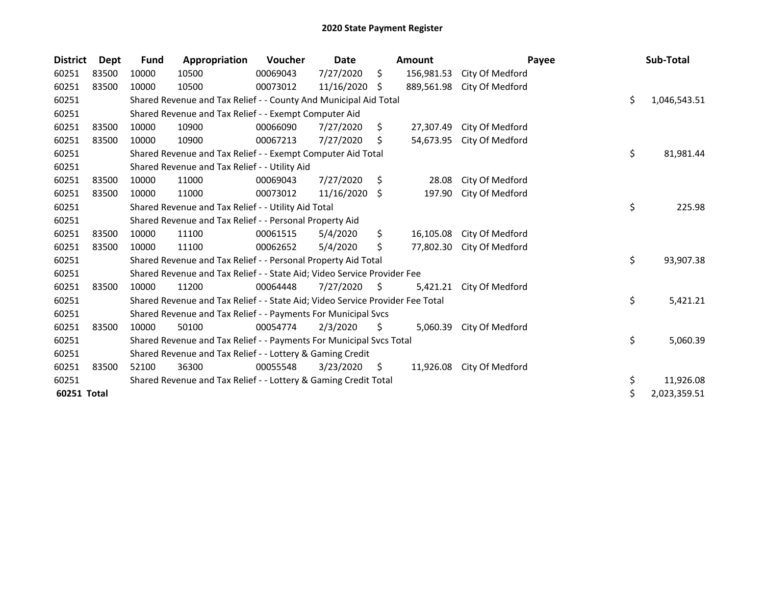| <b>District</b> | <b>Dept</b> | <b>Fund</b> | Appropriation                                                                 | <b>Voucher</b> | Date       |     | Amount     |                 | Payee | Sub-Total          |
|-----------------|-------------|-------------|-------------------------------------------------------------------------------|----------------|------------|-----|------------|-----------------|-------|--------------------|
| 60251           | 83500       | 10000       | 10500                                                                         | 00069043       | 7/27/2020  | \$  | 156,981.53 | City Of Medford |       |                    |
| 60251           | 83500       | 10000       | 10500                                                                         | 00073012       | 11/16/2020 | \$  | 889,561.98 | City Of Medford |       |                    |
| 60251           |             |             | Shared Revenue and Tax Relief - - County And Municipal Aid Total              |                |            |     |            |                 |       | \$<br>1,046,543.51 |
| 60251           |             |             | Shared Revenue and Tax Relief - - Exempt Computer Aid                         |                |            |     |            |                 |       |                    |
| 60251           | 83500       | 10000       | 10900                                                                         | 00066090       | 7/27/2020  | \$  | 27,307.49  | City Of Medford |       |                    |
| 60251           | 83500       | 10000       | 10900                                                                         | 00067213       | 7/27/2020  | \$  | 54,673.95  | City Of Medford |       |                    |
| 60251           |             |             | Shared Revenue and Tax Relief - - Exempt Computer Aid Total                   |                |            |     |            |                 |       | \$<br>81,981.44    |
| 60251           |             |             | Shared Revenue and Tax Relief - - Utility Aid                                 |                |            |     |            |                 |       |                    |
| 60251           | 83500       | 10000       | 11000                                                                         | 00069043       | 7/27/2020  | S.  | 28.08      | City Of Medford |       |                    |
| 60251           | 83500       | 10000       | 11000                                                                         | 00073012       | 11/16/2020 | S.  | 197.90     | City Of Medford |       |                    |
| 60251           |             |             | Shared Revenue and Tax Relief - - Utility Aid Total                           |                |            |     |            |                 |       | \$<br>225.98       |
| 60251           |             |             | Shared Revenue and Tax Relief - - Personal Property Aid                       |                |            |     |            |                 |       |                    |
| 60251           | 83500       | 10000       | 11100                                                                         | 00061515       | 5/4/2020   | \$  | 16,105.08  | City Of Medford |       |                    |
| 60251           | 83500       | 10000       | 11100                                                                         | 00062652       | 5/4/2020   | \$  | 77,802.30  | City Of Medford |       |                    |
| 60251           |             |             | Shared Revenue and Tax Relief - - Personal Property Aid Total                 |                |            |     |            |                 |       | \$<br>93,907.38    |
| 60251           |             |             | Shared Revenue and Tax Relief - - State Aid; Video Service Provider Fee       |                |            |     |            |                 |       |                    |
| 60251           | 83500       | 10000       | 11200                                                                         | 00064448       | 7/27/2020  | \$. | 5,421.21   | City Of Medford |       |                    |
| 60251           |             |             | Shared Revenue and Tax Relief - - State Aid; Video Service Provider Fee Total |                |            |     |            |                 |       | \$<br>5,421.21     |
| 60251           |             |             | Shared Revenue and Tax Relief - - Payments For Municipal Svcs                 |                |            |     |            |                 |       |                    |
| 60251           | 83500       | 10000       | 50100                                                                         | 00054774       | 2/3/2020   | \$  | 5,060.39   | City Of Medford |       |                    |
| 60251           |             |             | Shared Revenue and Tax Relief - - Payments For Municipal Svcs Total           |                |            |     |            |                 |       | \$<br>5,060.39     |
| 60251           |             |             | Shared Revenue and Tax Relief - - Lottery & Gaming Credit                     |                |            |     |            |                 |       |                    |
| 60251           | 83500       | 52100       | 36300                                                                         | 00055548       | 3/23/2020  | S.  | 11,926.08  | City Of Medford |       |                    |
| 60251           |             |             | Shared Revenue and Tax Relief - - Lottery & Gaming Credit Total               |                |            |     |            |                 |       | \$<br>11,926.08    |
| 60251 Total     |             |             |                                                                               |                |            |     |            |                 |       | \$<br>2,023,359.51 |